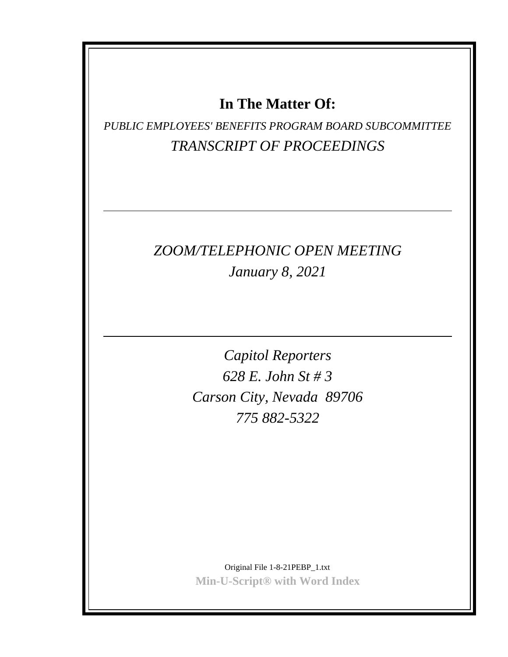## **In The Matter Of:**

*PUBLIC EMPLOYEES' BENEFITS PROGRAM BOARD SUBCOMMITTEE TRANSCRIPT OF PROCEEDINGS*

## *ZOOM/TELEPHONIC OPEN MEETING January 8, 2021*

*Capitol Reporters 628 E. John St # 3 Carson City, Nevada 89706 775 882-5322*

Original File 1-8-21PEBP\_1.txt **Min-U-Script® with Word Index**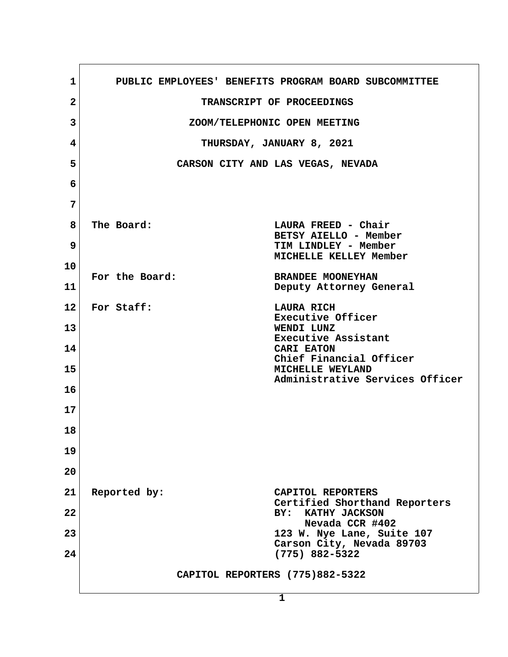| 1               | PUBLIC EMPLOYEES' BENEFITS PROGRAM BOARD SUBCOMMITTEE |                                                                      |
|-----------------|-------------------------------------------------------|----------------------------------------------------------------------|
| $\mathbf{2}$    |                                                       | TRANSCRIPT OF PROCEEDINGS                                            |
| 3               | ZOOM/TELEPHONIC OPEN MEETING                          |                                                                      |
| 4               | THURSDAY, JANUARY 8, 2021                             |                                                                      |
| 5               |                                                       | CARSON CITY AND LAS VEGAS, NEVADA                                    |
| 6               |                                                       |                                                                      |
| 7               |                                                       |                                                                      |
| 8<br>9          | The Board:                                            | LAURA FREED - Chair<br>BETSY AIELLO - Member<br>TIM LINDLEY - Member |
| 10              |                                                       | MICHELLE KELLEY Member                                               |
| 11              | For the Board:                                        | <b>BRANDEE MOONEYHAN</b><br>Deputy Attorney General                  |
| 12 <sub>1</sub> | For Staff:                                            | <b>LAURA RICH</b><br>Executive Officer                               |
| 13              |                                                       | WENDI LUNZ<br>Executive Assistant                                    |
| 14              |                                                       | CARI EATON<br>Chief Financial Officer                                |
| 15              |                                                       | MICHELLE WEYLAND<br>Administrative Services Officer                  |
| 16              |                                                       |                                                                      |
| 17              |                                                       |                                                                      |
| 18              |                                                       |                                                                      |
| 19              |                                                       |                                                                      |
| 20              |                                                       |                                                                      |
| 21              | Reported by:                                          | CAPITOL REPORTERS                                                    |
| 22              |                                                       | Certified Shorthand Reporters<br>BY:<br>KATHY JACKSON                |
| 23              |                                                       | Nevada CCR #402<br>123 W. Nye Lane, Suite 107                        |
| 24              |                                                       | Carson City, Nevada 89703<br>$(775)$ 882-5322                        |
|                 | CAPITOL REPORTERS (775)882-5322                       |                                                                      |
|                 |                                                       | $\mathbf{1}$                                                         |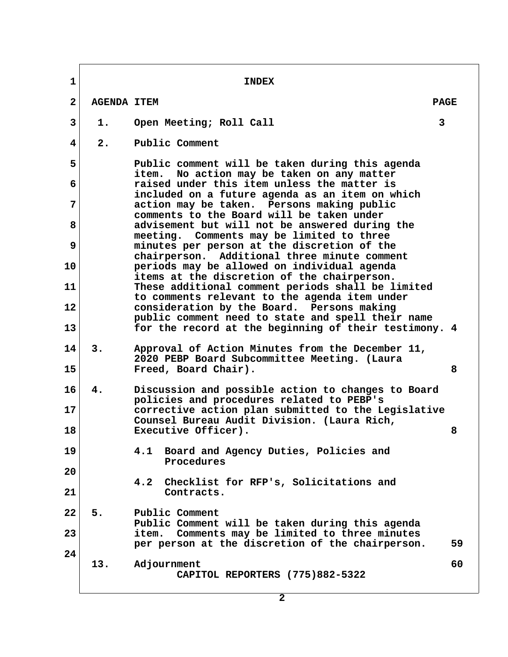**1** INDEX  **2 AGENDA ITEM PAGE 3 1. Open Meeting; Roll Call 3 4 2. Public Comment 5 Public comment will be taken during this agenda item. No action may be taken on any matter 6 raised under this item unless the matter is included on a future agenda as an item on which 7 action may be taken. Persons making public comments to the Board will be taken under 8 advisement but will not be answered during the meeting. Comments may be limited to three 9 minutes per person at the discretion of the chairperson. Additional three minute comment 10 periods may be allowed on individual agenda items at the discretion of the chairperson. 11 These additional comment periods shall be limited to comments relevant to the agenda item under 12 consideration by the Board. Persons making public comment need to state and spell their name 13 for the record at the beginning of their testimony. 4 14 3. Approval of Action Minutes from the December 11, 2020 PEBP Board Subcommittee Meeting. (Laura 15 Freed, Board Chair). 8 16 4. Discussion and possible action to changes to Board policies and procedures related to PEBP's 17 corrective action plan submitted to the Legislative Counsel Bureau Audit Division. (Laura Rich, 18 Executive Officer). 8 19 4.1 Board and Agency Duties, Policies and Procedures 20 4.2 Checklist for RFP's, Solicitations and 21 Contracts. 22 5. Public Comment Public Comment will be taken during this agenda 23 item. Comments may be limited to three minutes per person at the discretion of the chairperson. 59 24 13. Adjournment 60 CAPITOL REPORTERS (775)882-5322**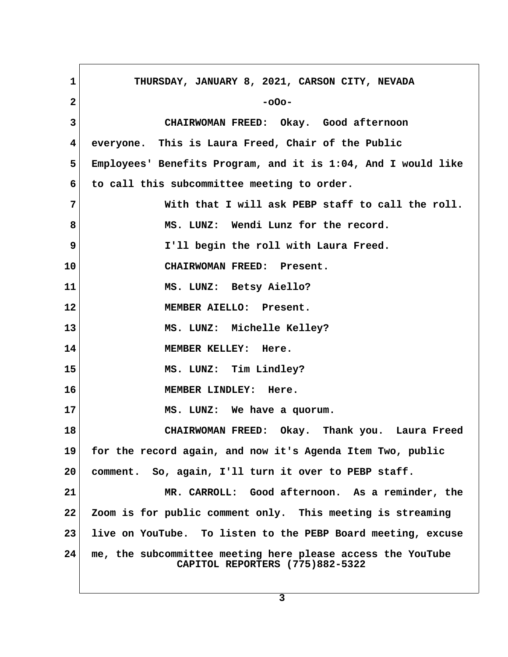| $\mathbf{1}$ | THURSDAY, JANUARY 8, 2021, CARSON CITY, NEVADA                                                 |  |
|--------------|------------------------------------------------------------------------------------------------|--|
| $\mathbf{2}$ | $-000-$                                                                                        |  |
| 3            | CHAIRWOMAN FREED: Okay. Good afternoon                                                         |  |
| 4            | everyone. This is Laura Freed, Chair of the Public                                             |  |
| 5            | Employees' Benefits Program, and it is 1:04, And I would like                                  |  |
| 6            | to call this subcommittee meeting to order.                                                    |  |
| 7            | With that I will ask PEBP staff to call the roll.                                              |  |
| 8            | MS. LUNZ: Wendi Lunz for the record.                                                           |  |
| 9            | I'll begin the roll with Laura Freed.                                                          |  |
| 10           | CHAIRWOMAN FREED: Present.                                                                     |  |
| 11           | MS. LUNZ: Betsy Aiello?                                                                        |  |
| 12           | MEMBER AIELLO: Present.                                                                        |  |
| 13           | MS. LUNZ: Michelle Kelley?                                                                     |  |
| 14           | MEMBER KELLEY: Here.                                                                           |  |
| 15           | MS. LUNZ: Tim Lindley?                                                                         |  |
| 16           | MEMBER LINDLEY: Here.                                                                          |  |
| 17           | MS. LUNZ: We have a quorum.                                                                    |  |
| 18           | CHAIRWOMAN FREED: Okay. Thank you. Laura Freed                                                 |  |
| 19           | for the record again, and now it's Agenda Item Two, public                                     |  |
| 20           | comment. So, again, I'll turn it over to PEBP staff.                                           |  |
| 21           | MR. CARROLL: Good afternoon. As a reminder, the                                                |  |
| $22 \,$      | Zoom is for public comment only. This meeting is streaming                                     |  |
| 23           | live on YouTube. To listen to the PEBP Board meeting, excuse                                   |  |
| 24           | me, the subcommittee meeting here please access the YouTube<br>CAPITOL REPORTERS (775)882-5322 |  |

 $\sqrt{2}$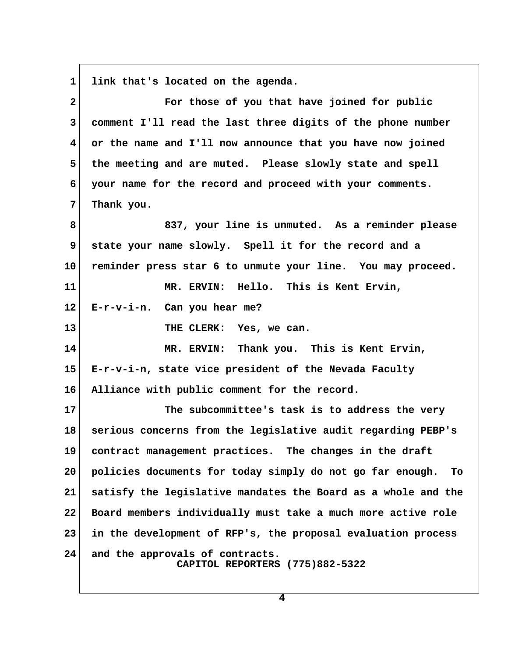1 link that's located on the agenda.

| $\mathbf{2}$            | For those of you that have joined for public                       |  |
|-------------------------|--------------------------------------------------------------------|--|
| 3                       | comment I'll read the last three digits of the phone number        |  |
| $\overline{\mathbf{4}}$ | or the name and I'll now announce that you have now joined         |  |
| 5                       | the meeting and are muted. Please slowly state and spell           |  |
| 6                       | your name for the record and proceed with your comments.           |  |
| 7                       | Thank you.                                                         |  |
| 8                       | 837, your line is unmuted. As a reminder please                    |  |
| 9                       | state your name slowly. Spell it for the record and a              |  |
| 10                      | reminder press star 6 to unmute your line. You may proceed.        |  |
| 11                      | MR. ERVIN: Hello. This is Kent Ervin,                              |  |
| $12 \,$                 | $E-r-v-i-n$ . Can you hear me?                                     |  |
| 13                      | THE CLERK: Yes, we can.                                            |  |
| 14                      | MR. ERVIN: Thank you. This is Kent Ervin,                          |  |
| 15                      | E-r-v-i-n, state vice president of the Nevada Faculty              |  |
| 16                      | Alliance with public comment for the record.                       |  |
| 17                      | The subcommittee's task is to address the very                     |  |
| 18                      | serious concerns from the legislative audit regarding PEBP's       |  |
| 19                      | contract management practices. The changes in the draft            |  |
| 20                      | policies documents for today simply do not go far enough.<br>To    |  |
| 21                      | satisfy the legislative mandates the Board as a whole and the      |  |
| 22                      | Board members individually must take a much more active role       |  |
| 23                      | in the development of RFP's, the proposal evaluation process       |  |
| 24                      | and the approvals of contracts.<br>CAPITOL REPORTERS (775)882-5322 |  |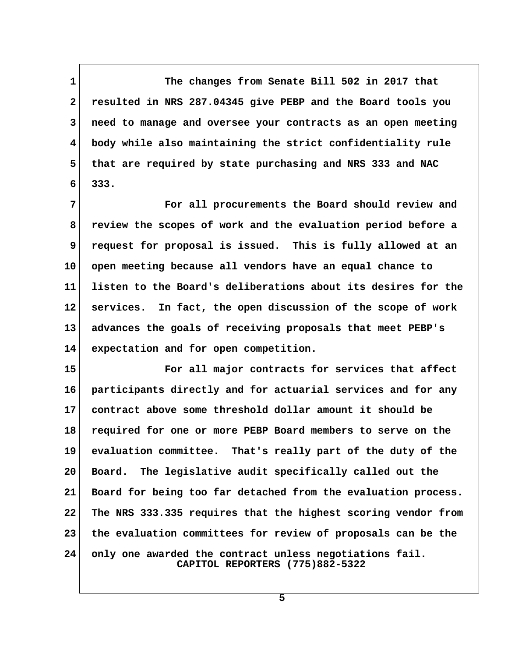**1 The changes from Senate Bill 502 in 2017 that 2 resulted in NRS 287.04345 give PEBP and the Board tools you 3 need to manage and oversee your contracts as an open meeting 4 body while also maintaining the strict confidentiality rule 5 that are required by state purchasing and NRS 333 and NAC 6 333.**

 **7 For all procurements the Board should review and 8 review the scopes of work and the evaluation period before a 9 request for proposal is issued. This is fully allowed at an 10 open meeting because all vendors have an equal chance to 11 listen to the Board's deliberations about its desires for the 12 services. In fact, the open discussion of the scope of work 13 advances the goals of receiving proposals that meet PEBP's 14 expectation and for open competition.**

**15 For all major contracts for services that affect 16 participants directly and for actuarial services and for any 17 contract above some threshold dollar amount it should be 18 required for one or more PEBP Board members to serve on the 19 evaluation committee. That's really part of the duty of the 20 Board. The legislative audit specifically called out the 21 Board for being too far detached from the evaluation process. 22 The NRS 333.335 requires that the highest scoring vendor from 23 the evaluation committees for review of proposals can be the 24 only one awarded the contract unless negotiations fail. CAPITOL REPORTERS (775)882-5322**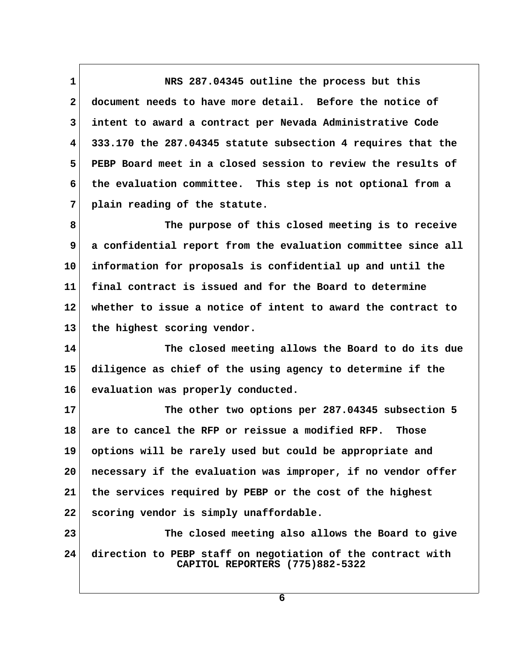**1 NRS 287.04345 outline the process but this 2 document needs to have more detail. Before the notice of 3 intent to award a contract per Nevada Administrative Code 4 333.170 the 287.04345 statute subsection 4 requires that the 5 PEBP Board meet in a closed session to review the results of 6 the evaluation committee. This step is not optional from a 7 plain reading of the statute.**

 **8 The purpose of this closed meeting is to receive 9 a confidential report from the evaluation committee since all 10 information for proposals is confidential up and until the 11 final contract is issued and for the Board to determine 12 whether to issue a notice of intent to award the contract to 13 the highest scoring vendor.**

**14 The closed meeting allows the Board to do its due 15 diligence as chief of the using agency to determine if the 16 evaluation was properly conducted.**

**17 The other two options per 287.04345 subsection 5 18 are to cancel the RFP or reissue a modified RFP. Those 19 options will be rarely used but could be appropriate and 20 necessary if the evaluation was improper, if no vendor offer 21 the services required by PEBP or the cost of the highest 22 scoring vendor is simply unaffordable.**

**23 The closed meeting also allows the Board to give 24 direction to PEBP staff on negotiation of the contract with CAPITOL REPORTERS (775)882-5322**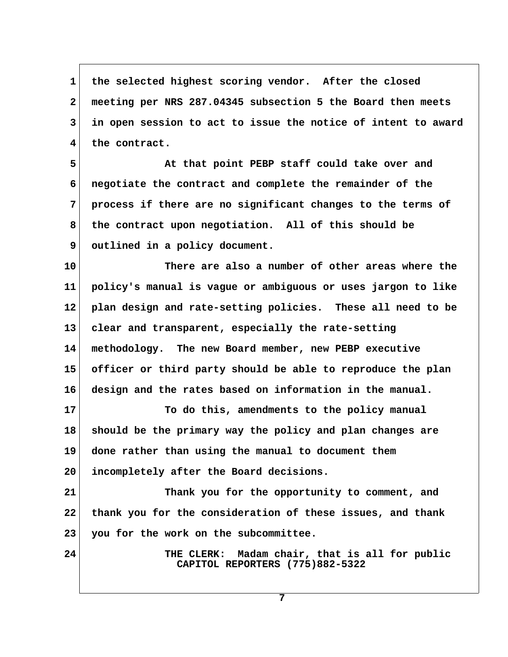1 the selected highest scoring vendor. After the closed  **2 meeting per NRS 287.04345 subsection 5 the Board then meets 3 in open session to act to issue the notice of intent to award 4 the contract.**

 **5 At that point PEBP staff could take over and 6 negotiate the contract and complete the remainder of the 7 process if there are no significant changes to the terms of 8 the contract upon negotiation. All of this should be 9 outlined in a policy document.**

**10 There are also a number of other areas where the 11 policy's manual is vague or ambiguous or uses jargon to like 12 plan design and rate-setting policies. These all need to be 13 clear and transparent, especially the rate-setting 14 methodology. The new Board member, new PEBP executive 15 officer or third party should be able to reproduce the plan 16 design and the rates based on information in the manual.**

**17 To do this, amendments to the policy manual 18 should be the primary way the policy and plan changes are 19 done rather than using the manual to document them 20 incompletely after the Board decisions.**

**21 Thank you for the opportunity to comment, and 22 thank you for the consideration of these issues, and thank 23 you for the work on the subcommittee.**

**24 THE CLERK: Madam chair, that is all for public CAPITOL REPORTERS (775)882-5322**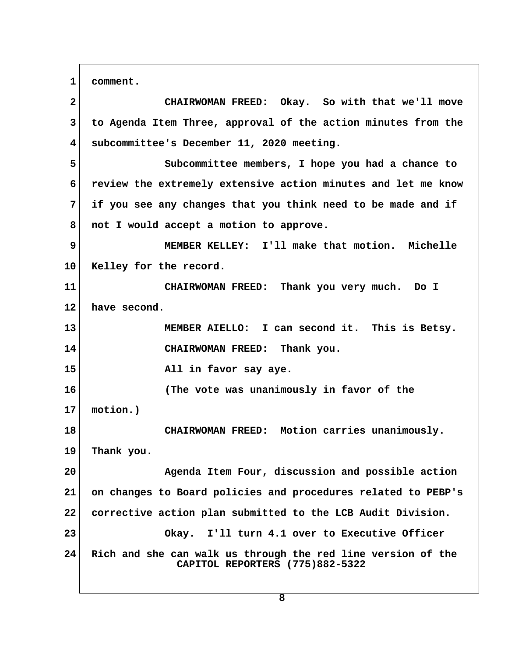**1 comment.**

 **2 CHAIRWOMAN FREED: Okay. So with that we'll move 3 to Agenda Item Three, approval of the action minutes from the 4 subcommittee's December 11, 2020 meeting. 5 Subcommittee members, I hope you had a chance to**

 **6 review the extremely extensive action minutes and let me know 7 if you see any changes that you think need to be made and if 8 not I would accept a motion to approve.**

 **9 MEMBER KELLEY: I'll make that motion. Michelle 10 Kelley for the record.**

**11 CHAIRWOMAN FREED: Thank you very much. Do I 12 have second.**

**13 MEMBER AIELLO: I can second it. This is Betsy. 14 CHAIRWOMAN FREED: Thank you.**

**15 All in favor say aye.**

**16 (The vote was unanimously in favor of the**

**17 motion.)**

**18 CHAIRWOMAN FREED: Motion carries unanimously.**

**19 Thank you.**

**20 Agenda Item Four, discussion and possible action 21 on changes to Board policies and procedures related to PEBP's 22 corrective action plan submitted to the LCB Audit Division. 23 Okay. I'll turn 4.1 over to Executive Officer 24 Rich and she can walk us through the red line version of the CAPITOL REPORTERS (775)882-5322**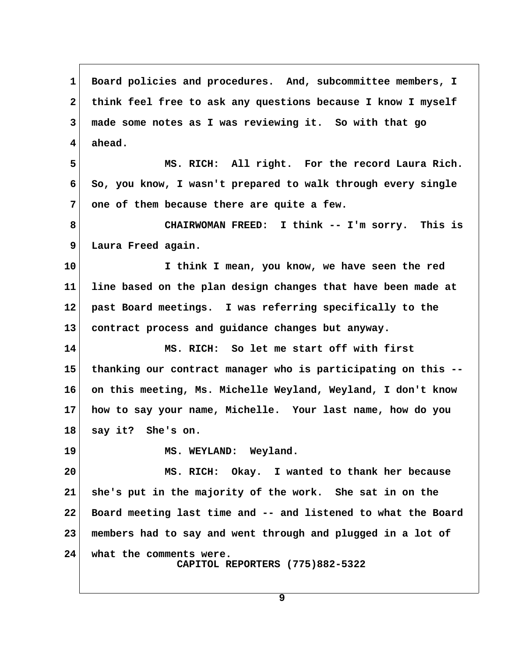**1 Board policies and procedures. And, subcommittee members, I 2 think feel free to ask any questions because I know I myself 3 made some notes as I was reviewing it. So with that go 4 ahead. 5 MS. RICH: All right. For the record Laura Rich. 6 So, you know, I wasn't prepared to walk through every single 7 one of them because there are quite a few. 8 CHAIRWOMAN FREED: I think -- I'm sorry. This is 9 Laura Freed again. 10 I think I mean, you know, we have seen the red 11 line based on the plan design changes that have been made at 12 past Board meetings. I was referring specifically to the 13 contract process and guidance changes but anyway. 14 MS. RICH: So let me start off with first 15 thanking our contract manager who is participating on this -- 16 on this meeting, Ms. Michelle Weyland, Weyland, I don't know 17 how to say your name, Michelle. Your last name, how do you 18 say it? She's on.** 19 MS. WEYLAND: Weyland. **20 MS. RICH: Okay. I wanted to thank her because 21 she's put in the majority of the work. She sat in on the 22 Board meeting last time and -- and listened to what the Board 23 members had to say and went through and plugged in a lot of 24 what the comments were. CAPITOL REPORTERS (775)882-5322**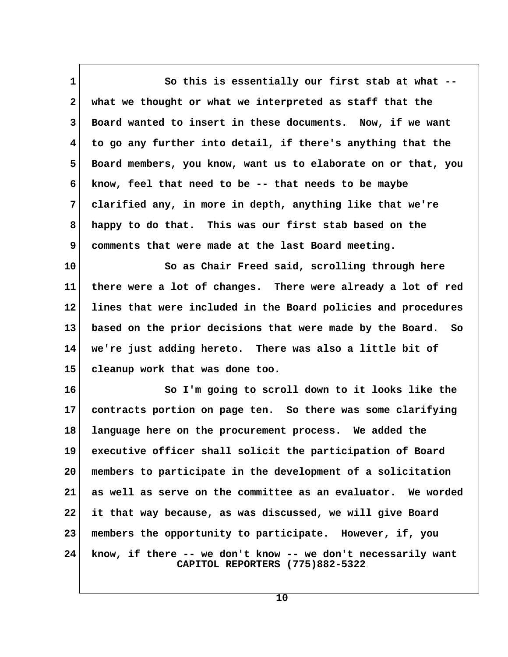1 So this is essentially our first stab at what -- **2 what we thought or what we interpreted as staff that the 3 Board wanted to insert in these documents. Now, if we want 4 to go any further into detail, if there's anything that the 5 Board members, you know, want us to elaborate on or that, you 6 know, feel that need to be -- that needs to be maybe 7 clarified any, in more in depth, anything like that we're 8 happy to do that. This was our first stab based on the 9 comments that were made at the last Board meeting.**

**10 So as Chair Freed said, scrolling through here 11 there were a lot of changes. There were already a lot of red 12 lines that were included in the Board policies and procedures 13 based on the prior decisions that were made by the Board. So 14 we're just adding hereto. There was also a little bit of 15 cleanup work that was done too.**

**16 So I'm going to scroll down to it looks like the 17 contracts portion on page ten. So there was some clarifying 18 language here on the procurement process. We added the 19 executive officer shall solicit the participation of Board 20 members to participate in the development of a solicitation 21 as well as serve on the committee as an evaluator. We worded 22 it that way because, as was discussed, we will give Board 23 members the opportunity to participate. However, if, you 24 know, if there -- we don't know -- we don't necessarily want CAPITOL REPORTERS (775)882-5322**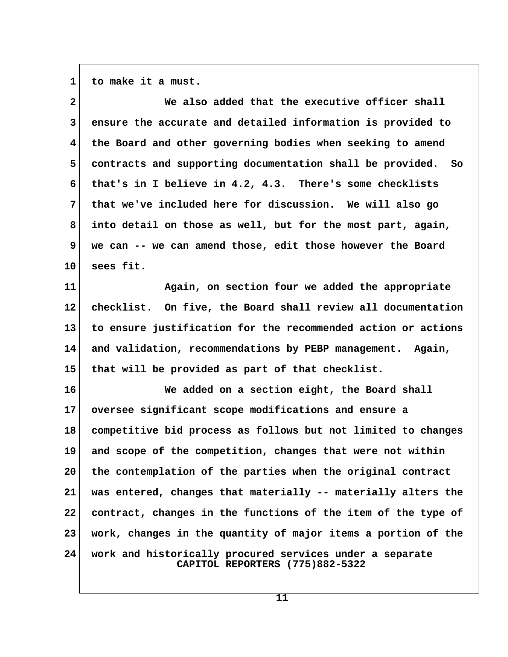**1 to make it a must.**

| $\mathbf{2}$    | We also added that the executive officer shall                                              |  |
|-----------------|---------------------------------------------------------------------------------------------|--|
| $\mathbf{3}$    | ensure the accurate and detailed information is provided to                                 |  |
| 4               | the Board and other governing bodies when seeking to amend                                  |  |
| 5               | contracts and supporting documentation shall be provided. So                                |  |
| 6               | that's in I believe in 4.2, 4.3. There's some checklists                                    |  |
| 7               | that we've included here for discussion. We will also go                                    |  |
| 8               | into detail on those as well, but for the most part, again,                                 |  |
| 9               | we can -- we can amend those, edit those however the Board                                  |  |
| 10 <sub>1</sub> | sees fit.                                                                                   |  |
| 11              | Again, on section four we added the appropriate                                             |  |
| $12 \,$         | checklist. On five, the Board shall review all documentation                                |  |
| 13              | to ensure justification for the recommended action or actions                               |  |
| 14              | and validation, recommendations by PEBP management. Again,                                  |  |
| 15              | that will be provided as part of that checklist.                                            |  |
| 16              | We added on a section eight, the Board shall                                                |  |
| 17              | oversee significant scope modifications and ensure a                                        |  |
| 18              | competitive bid process as follows but not limited to changes                               |  |
| 19              | and scope of the competition, changes that were not within                                  |  |
| 20              | the contemplation of the parties when the original contract                                 |  |
| 21              | was entered, changes that materially -- materially alters the                               |  |
| 22              | contract, changes in the functions of the item of the type of                               |  |
| 23              | work, changes in the quantity of major items a portion of the                               |  |
| 24              | work and historically procured services under a separate<br>CAPITOL REPORTERS (775)882-5322 |  |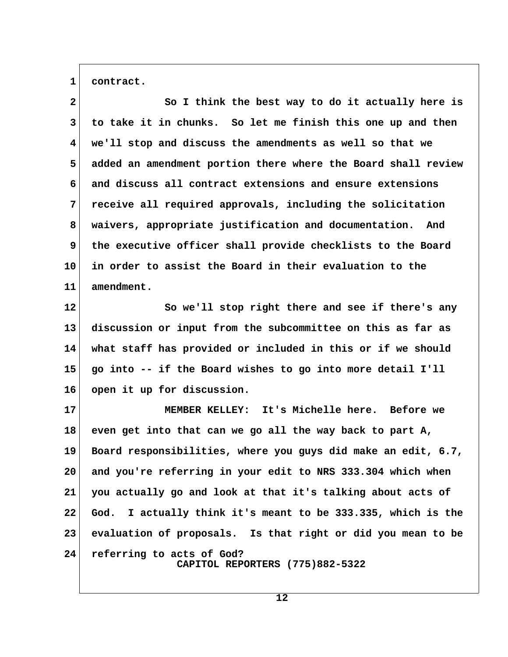**1 contract.**

 **2 So I think the best way to do it actually here is 3 to take it in chunks. So let me finish this one up and then 4 we'll stop and discuss the amendments as well so that we 5 added an amendment portion there where the Board shall review 6 and discuss all contract extensions and ensure extensions 7 receive all required approvals, including the solicitation 8 waivers, appropriate justification and documentation. And 9 the executive officer shall provide checklists to the Board 10 in order to assist the Board in their evaluation to the 11 amendment.**

**12 So we'll stop right there and see if there's any 13 discussion or input from the subcommittee on this as far as 14 what staff has provided or included in this or if we should 15 go into -- if the Board wishes to go into more detail I'll 16 open it up for discussion.**

**17 MEMBER KELLEY: It's Michelle here. Before we 18 even get into that can we go all the way back to part A, 19 Board responsibilities, where you guys did make an edit, 6.7, 20 and you're referring in your edit to NRS 333.304 which when 21 you actually go and look at that it's talking about acts of 22 God. I actually think it's meant to be 333.335, which is the 23 evaluation of proposals. Is that right or did you mean to be 24 referring to acts of God? CAPITOL REPORTERS (775)882-5322**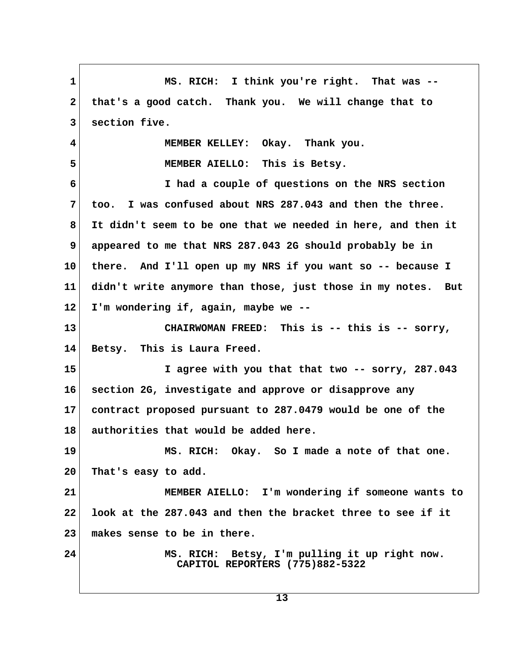**1 MS. RICH: I think you're right. That was -- 2 that's a good catch. Thank you. We will change that to 3 section five. 4 MEMBER KELLEY: Okay. Thank you. 5 MEMBER AIELLO: This is Betsy. 6 I had a couple of questions on the NRS section 7 too. I was confused about NRS 287.043 and then the three. 8 It didn't seem to be one that we needed in here, and then it 9 appeared to me that NRS 287.043 2G should probably be in 10 there. And I'll open up my NRS if you want so -- because I 11 didn't write anymore than those, just those in my notes. But 12 I'm wondering if, again, maybe we -- 13 CHAIRWOMAN FREED: This is -- this is -- sorry, 14 Betsy. This is Laura Freed. 15 I agree with you that that two -- sorry, 287.043 16 section 2G, investigate and approve or disapprove any 17 contract proposed pursuant to 287.0479 would be one of the 18 authorities that would be added here. 19 MS. RICH: Okay. So I made a note of that one. 20 That's easy to add. 21 MEMBER AIELLO: I'm wondering if someone wants to 22 look at the 287.043 and then the bracket three to see if it 23 makes sense to be in there. 24 MS. RICH: Betsy, I'm pulling it up right now. CAPITOL REPORTERS (775)882-5322**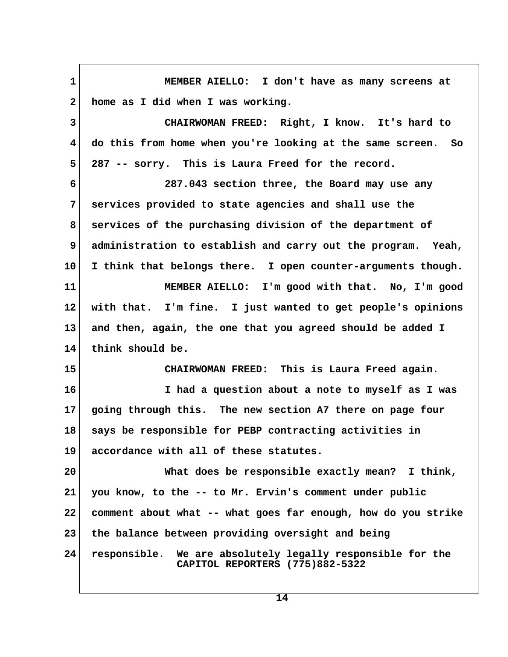**1 MEMBER AIELLO: I don't have as many screens at 2 home as I did when I was working. 3 CHAIRWOMAN FREED: Right, I know. It's hard to 4 do this from home when you're looking at the same screen. So 5 287 -- sorry. This is Laura Freed for the record. 6 287.043 section three, the Board may use any 7 services provided to state agencies and shall use the 8 services of the purchasing division of the department of 9 administration to establish and carry out the program. Yeah, 10 I think that belongs there. I open counter-arguments though. 11 MEMBER AIELLO: I'm good with that. No, I'm good 12 with that. I'm fine. I just wanted to get people's opinions 13 and then, again, the one that you agreed should be added I 14 think should be. 15 CHAIRWOMAN FREED: This is Laura Freed again. 16 I had a question about a note to myself as I was 17 going through this. The new section A7 there on page four 18 says be responsible for PEBP contracting activities in 19 accordance with all of these statutes. 20 What does be responsible exactly mean? I think, 21 you know, to the -- to Mr. Ervin's comment under public 22 comment about what -- what goes far enough, how do you strike 23 the balance between providing oversight and being 24 responsible. We are absolutely legally responsible for the CAPITOL REPORTERS (775)882-5322**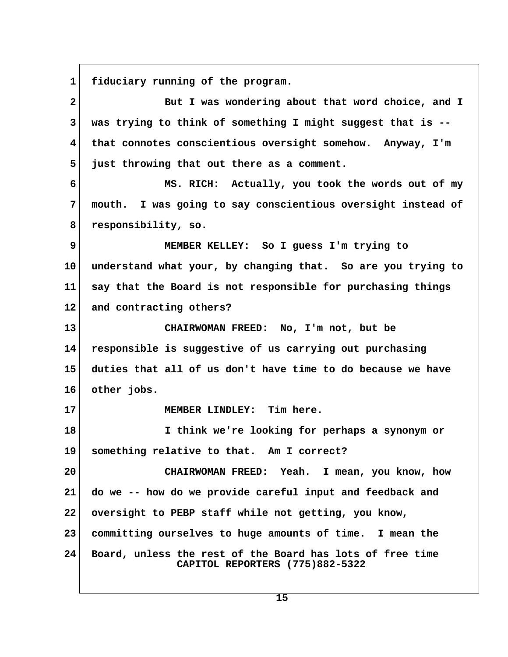1 fiduciary running of the program.

| $\mathbf{2}$            | But I was wondering about that word choice, and I                                            |  |
|-------------------------|----------------------------------------------------------------------------------------------|--|
| 3                       | was trying to think of something I might suggest that is --                                  |  |
| $\overline{\mathbf{4}}$ | that connotes conscientious oversight somehow. Anyway, I'm                                   |  |
| 5                       | just throwing that out there as a comment.                                                   |  |
| 6                       | MS. RICH: Actually, you took the words out of my                                             |  |
| 7                       | mouth. I was going to say conscientious oversight instead of                                 |  |
| 8                       | responsibility, so.                                                                          |  |
| 9                       | MEMBER KELLEY: So I guess I'm trying to                                                      |  |
| 10                      | understand what your, by changing that. So are you trying to                                 |  |
| 11                      | say that the Board is not responsible for purchasing things                                  |  |
| $12 \,$                 | and contracting others?                                                                      |  |
| 13                      | CHAIRWOMAN FREED: No, I'm not, but be                                                        |  |
| 14                      | responsible is suggestive of us carrying out purchasing                                      |  |
| 15                      | duties that all of us don't have time to do because we have                                  |  |
| 16                      | other jobs.                                                                                  |  |
| 17                      | MEMBER LINDLEY: Tim here.                                                                    |  |
| 18                      | I think we're looking for perhaps a synonym or                                               |  |
| 19                      | something relative to that. Am I correct?                                                    |  |
| 20                      | CHAIRWOMAN FREED: Yeah. I mean, you know, how                                                |  |
| 21                      | do we -- how do we provide careful input and feedback and                                    |  |
| 22                      | oversight to PEBP staff while not getting, you know,                                         |  |
| 23                      | committing ourselves to huge amounts of time. I mean the                                     |  |
| 24                      | Board, unless the rest of the Board has lots of free time<br>CAPITOL REPORTERS (775)882-5322 |  |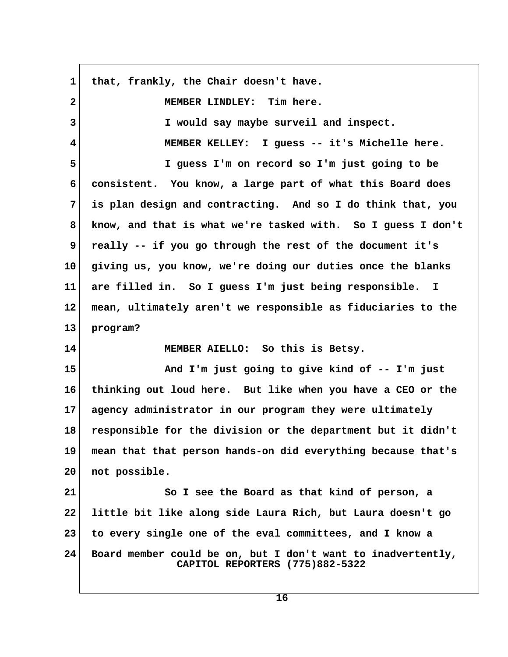| $\mathbf 1$  | that, frankly, the Chair doesn't have.                                                          |  |
|--------------|-------------------------------------------------------------------------------------------------|--|
| $\mathbf{2}$ | MEMBER LINDLEY: Tim here.                                                                       |  |
| $\mathbf{3}$ | I would say maybe surveil and inspect.                                                          |  |
| 4            | MEMBER KELLEY: I guess -- it's Michelle here.                                                   |  |
| 5            | I guess I'm on record so I'm just going to be                                                   |  |
| 6            | consistent. You know, a large part of what this Board does                                      |  |
| 7            | is plan design and contracting. And so I do think that, you                                     |  |
| 8            | know, and that is what we're tasked with. So I guess I don't                                    |  |
| 9            | really -- if you go through the rest of the document it's                                       |  |
| 10           | giving us, you know, we're doing our duties once the blanks                                     |  |
| 11           | are filled in. So I guess I'm just being responsible. I                                         |  |
| 12           | mean, ultimately aren't we responsible as fiduciaries to the                                    |  |
| 13           | program?                                                                                        |  |
| 14           | MEMBER AIELLO: So this is Betsy.                                                                |  |
| 15           | And I'm just going to give kind of -- I'm just                                                  |  |
| 16           | thinking out loud here. But like when you have a CEO or the                                     |  |
| 17           | agency administrator in our program they were ultimately                                        |  |
| 18           | responsible for the division or the department but it didn't                                    |  |
| 19           | mean that that person hands-on did everything because that's                                    |  |
| 20           | not possible.                                                                                   |  |
| 21           | So I see the Board as that kind of person, a                                                    |  |
| 22           | little bit like along side Laura Rich, but Laura doesn't go                                     |  |
| 23           | to every single one of the eval committees, and I know a                                        |  |
| 24           | Board member could be on, but I don't want to inadvertently,<br>CAPITOL REPORTERS (775)882-5322 |  |

 $\overline{1}$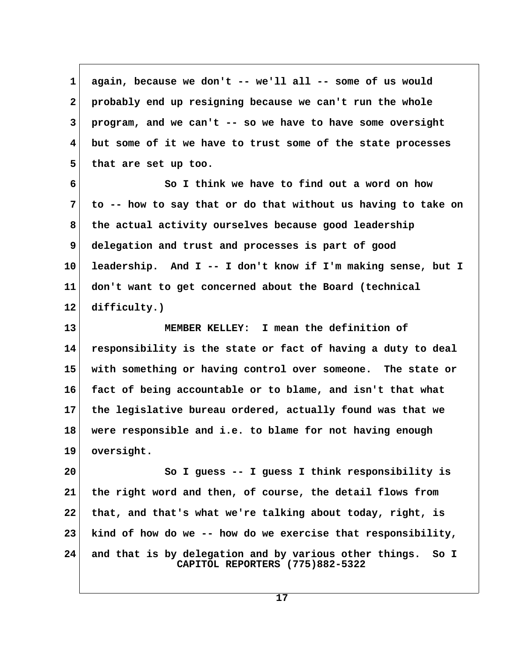**1 again, because we don't -- we'll all -- some of us would 2 probably end up resigning because we can't run the whole 3 program, and we can't -- so we have to have some oversight 4 but some of it we have to trust some of the state processes 5 that are set up too. 6 So I think we have to find out a word on how**

 **7 to -- how to say that or do that without us having to take on 8 the actual activity ourselves because good leadership 9 delegation and trust and processes is part of good 10 leadership. And I -- I don't know if I'm making sense, but I 11 don't want to get concerned about the Board (technical 12 difficulty.)**

**13 MEMBER KELLEY: I mean the definition of 14 responsibility is the state or fact of having a duty to deal 15 with something or having control over someone. The state or 16 fact of being accountable or to blame, and isn't that what 17 the legislative bureau ordered, actually found was that we 18 were responsible and i.e. to blame for not having enough 19 oversight.**

**20 So I guess -- I guess I think responsibility is 21 the right word and then, of course, the detail flows from 22 that, and that's what we're talking about today, right, is 23 kind of how do we -- how do we exercise that responsibility, 24 and that is by delegation and by various other things. So I CAPITOL REPORTERS (775)882-5322**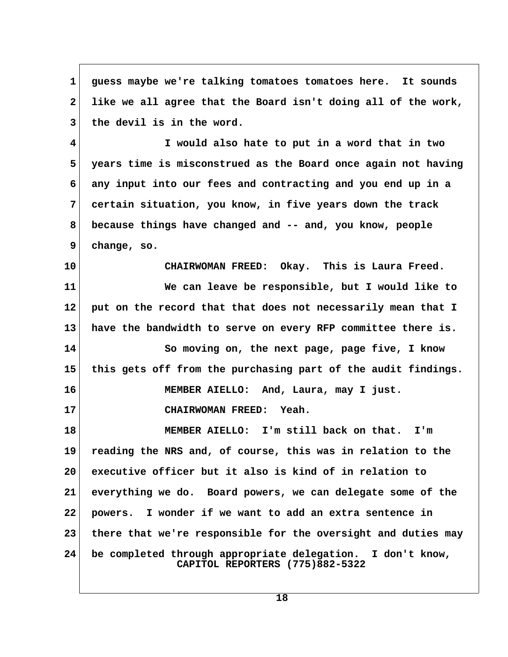**1 guess maybe we're talking tomatoes tomatoes here. It sounds 2 like we all agree that the Board isn't doing all of the work, 3 the devil is in the word. 4 I would also hate to put in a word that in two**

 **5 years time is misconstrued as the Board once again not having 6 any input into our fees and contracting and you end up in a 7 certain situation, you know, in five years down the track 8 because things have changed and -- and, you know, people 9 change, so.**

**10 CHAIRWOMAN FREED: Okay. This is Laura Freed. 11 We can leave be responsible, but I would like to 12 put on the record that that does not necessarily mean that I 13 have the bandwidth to serve on every RFP committee there is. 14 So moving on, the next page, page five, I know**

**15 this gets off from the purchasing part of the audit findings. 16 MEMBER AIELLO: And, Laura, may I just.**

**17 CHAIRWOMAN FREED: Yeah.**

**18 MEMBER AIELLO: I'm still back on that. I'm 19 reading the NRS and, of course, this was in relation to the 20 executive officer but it also is kind of in relation to 21 everything we do. Board powers, we can delegate some of the 22 powers. I wonder if we want to add an extra sentence in 23 there that we're responsible for the oversight and duties may 24 be completed through appropriate delegation. I don't know, CAPITOL REPORTERS (775)882-5322**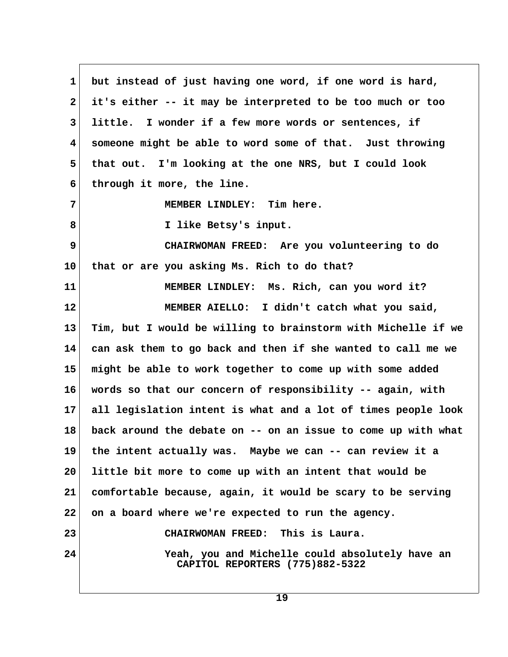**1 but instead of just having one word, if one word is hard, 2 it's either -- it may be interpreted to be too much or too 3 little. I wonder if a few more words or sentences, if 4 someone might be able to word some of that. Just throwing 5 that out. I'm looking at the one NRS, but I could look 6 through it more, the line. 7 MEMBER LINDLEY: Tim here. 8 I like Betsy's input. 9 CHAIRWOMAN FREED: Are you volunteering to do 10 that or are you asking Ms. Rich to do that? 11 MEMBER LINDLEY: Ms. Rich, can you word it? 12 MEMBER AIELLO: I didn't catch what you said, 13 Tim, but I would be willing to brainstorm with Michelle if we 14 can ask them to go back and then if she wanted to call me we 15 might be able to work together to come up with some added 16 words so that our concern of responsibility -- again, with 17 all legislation intent is what and a lot of times people look 18 back around the debate on -- on an issue to come up with what 19 the intent actually was. Maybe we can -- can review it a 20 little bit more to come up with an intent that would be 21 comfortable because, again, it would be scary to be serving 22 on a board where we're expected to run the agency. 23 CHAIRWOMAN FREED: This is Laura. 24 Yeah, you and Michelle could absolutely have an CAPITOL REPORTERS (775)882-5322**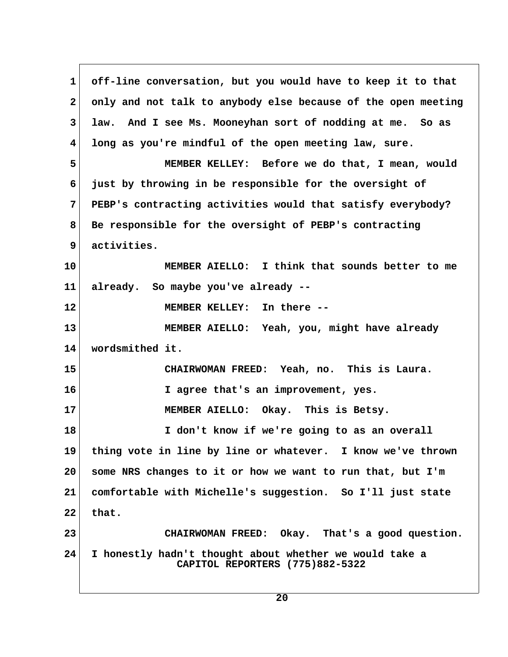**1 off-line conversation, but you would have to keep it to that 2 only and not talk to anybody else because of the open meeting 3 law. And I see Ms. Mooneyhan sort of nodding at me. So as 4 long as you're mindful of the open meeting law, sure. 5 MEMBER KELLEY: Before we do that, I mean, would 6 just by throwing in be responsible for the oversight of 7 PEBP's contracting activities would that satisfy everybody? 8 Be responsible for the oversight of PEBP's contracting 9 activities. 10 MEMBER AIELLO: I think that sounds better to me 11 already. So maybe you've already -- 12 MEMBER KELLEY: In there -- 13 MEMBER AIELLO: Yeah, you, might have already 14 wordsmithed it. 15 CHAIRWOMAN FREED: Yeah, no. This is Laura. 16 I agree that's an improvement, yes. 17 MEMBER AIELLO: Okay. This is Betsy. 18 I don't know if we're going to as an overall 19 thing vote in line by line or whatever. I know we've thrown 20 some NRS changes to it or how we want to run that, but I'm 21 comfortable with Michelle's suggestion. So I'll just state 22 that. 23 CHAIRWOMAN FREED: Okay. That's a good question. 24 I honestly hadn't thought about whether we would take a CAPITOL REPORTERS (775)882-5322**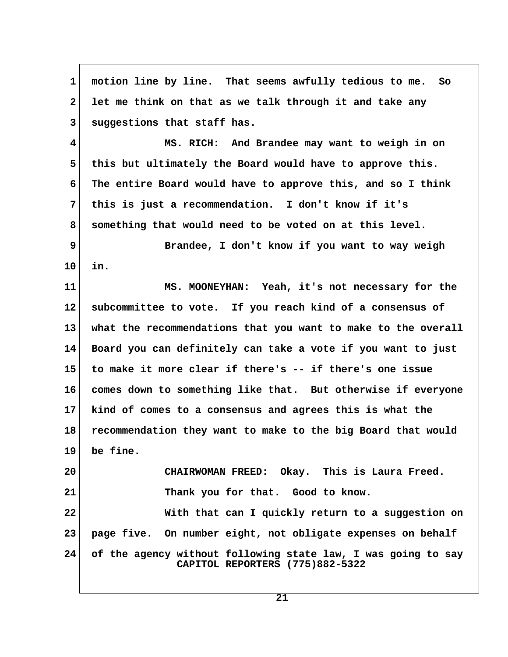**1 motion line by line. That seems awfully tedious to me. So 2 let me think on that as we talk through it and take any 3 suggestions that staff has. 4 MS. RICH: And Brandee may want to weigh in on 5 this but ultimately the Board would have to approve this. 6 The entire Board would have to approve this, and so I think 7 this is just a recommendation. I don't know if it's 8 something that would need to be voted on at this level. 9 Brandee, I don't know if you want to way weigh 10 in. 11 MS. MOONEYHAN: Yeah, it's not necessary for the 12 subcommittee to vote. If you reach kind of a consensus of 13 what the recommendations that you want to make to the overall 14 Board you can definitely can take a vote if you want to just 15 to make it more clear if there's -- if there's one issue 16 comes down to something like that. But otherwise if everyone 17 kind of comes to a consensus and agrees this is what the 18 recommendation they want to make to the big Board that would 19 be fine. 20 CHAIRWOMAN FREED: Okay. This is Laura Freed. 21 Thank you for that. Good to know. 22 With that can I quickly return to a suggestion on 23 page five. On number eight, not obligate expenses on behalf 24 of the agency without following state law, I was going to say CAPITOL REPORTERS (775)882-5322**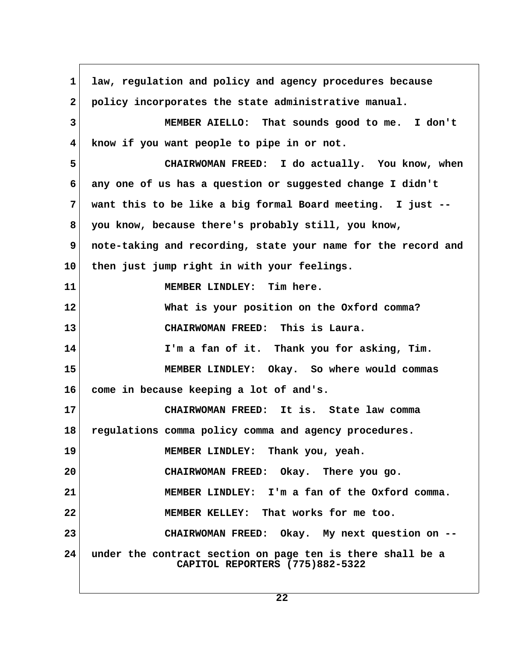1 law, regulation and policy and agency procedures because  **2 policy incorporates the state administrative manual. 3 MEMBER AIELLO: That sounds good to me. I don't 4 know if you want people to pipe in or not. 5 CHAIRWOMAN FREED: I do actually. You know, when 6 any one of us has a question or suggested change I didn't 7 want this to be like a big formal Board meeting. I just -- 8 you know, because there's probably still, you know, 9 note-taking and recording, state your name for the record and 10 then just jump right in with your feelings. 11 MEMBER LINDLEY: Tim here. 12 What is your position on the Oxford comma? 13 CHAIRWOMAN FREED: This is Laura. 14 I'm a fan of it. Thank you for asking, Tim. 15 MEMBER LINDLEY: Okay. So where would commas 16 come in because keeping a lot of and's. 17 CHAIRWOMAN FREED: It is. State law comma 18 regulations comma policy comma and agency procedures. 19 MEMBER LINDLEY: Thank you, yeah. 20 CHAIRWOMAN FREED: Okay. There you go. 21 MEMBER LINDLEY: I'm a fan of the Oxford comma. 22 MEMBER KELLEY: That works for me too. 23 CHAIRWOMAN FREED: Okay. My next question on -- 24 under the contract section on page ten is there shall be a CAPITOL REPORTERS (775)882-5322**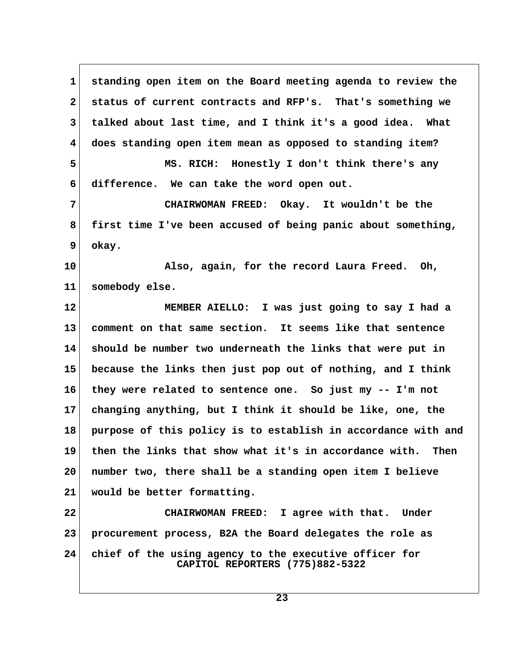**1 standing open item on the Board meeting agenda to review the 2 status of current contracts and RFP's. That's something we 3 talked about last time, and I think it's a good idea. What 4 does standing open item mean as opposed to standing item? 5 MS. RICH: Honestly I don't think there's any 6 difference. We can take the word open out. 7 CHAIRWOMAN FREED: Okay. It wouldn't be the 8 first time I've been accused of being panic about something, 9 okay. 10 Also, again, for the record Laura Freed. Oh, 11 somebody else. 12 MEMBER AIELLO: I was just going to say I had a 13 comment on that same section. It seems like that sentence 14 should be number two underneath the links that were put in 15 because the links then just pop out of nothing, and I think 16 they were related to sentence one. So just my -- I'm not 17 changing anything, but I think it should be like, one, the 18 purpose of this policy is to establish in accordance with and 19 then the links that show what it's in accordance with. Then 20 number two, there shall be a standing open item I believe 21 would be better formatting. 22 CHAIRWOMAN FREED: I agree with that. Under 23 procurement process, B2A the Board delegates the role as 24 chief of the using agency to the executive officer for CAPITOL REPORTERS (775)882-5322**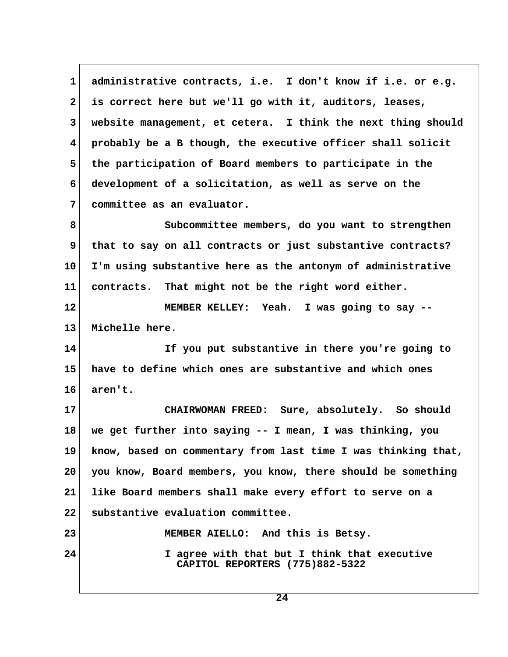**1 administrative contracts, i.e. I don't know if i.e. or e.g. 2 is correct here but we'll go with it, auditors, leases, 3 website management, et cetera. I think the next thing should 4 probably be a B though, the executive officer shall solicit 5 the participation of Board members to participate in the 6 development of a solicitation, as well as serve on the 7 committee as an evaluator. 8 Subcommittee members, do you want to strengthen** 9 that to say on all contracts or just substantive contracts? **10 I'm using substantive here as the antonym of administrative 11 contracts. That might not be the right word either. 12 MEMBER KELLEY: Yeah. I was going to say -- 13 Michelle here. 14 If you put substantive in there you're going to 15 have to define which ones are substantive and which ones 16 aren't. 17 CHAIRWOMAN FREED: Sure, absolutely. So should 18 we get further into saying -- I mean, I was thinking, you 19 know, based on commentary from last time I was thinking that, 20 you know, Board members, you know, there should be something 21 like Board members shall make every effort to serve on a 22 substantive evaluation committee. 23 MEMBER AIELLO: And this is Betsy. 24 I agree with that but I think that executive CAPITOL REPORTERS (775)882-5322**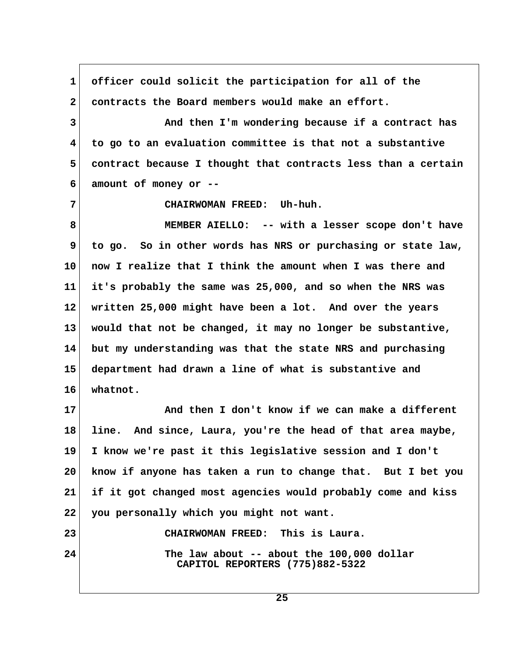**1 officer could solicit the participation for all of the 2 contracts the Board members would make an effort. 3 And then I'm wondering because if a contract has 4 to go to an evaluation committee is that not a substantive 5 contract because I thought that contracts less than a certain 6 amount of money or -- 7 CHAIRWOMAN FREED: Uh-huh. 8 MEMBER AIELLO: -- with a lesser scope don't have 9 to go. So in other words has NRS or purchasing or state law, 10 now I realize that I think the amount when I was there and 11 it's probably the same was 25,000, and so when the NRS was 12 written 25,000 might have been a lot. And over the years 13 would that not be changed, it may no longer be substantive, 14 but my understanding was that the state NRS and purchasing 15 department had drawn a line of what is substantive and 16 whatnot. 17 And then I don't know if we can make a different 18 line. And since, Laura, you're the head of that area maybe, 19 I know we're past it this legislative session and I don't 20 know if anyone has taken a run to change that. But I bet you 21 if it got changed most agencies would probably come and kiss 22 you personally which you might not want. 23 CHAIRWOMAN FREED: This is Laura. 24 The law about -- about the 100,000 dollar CAPITOL REPORTERS (775)882-5322**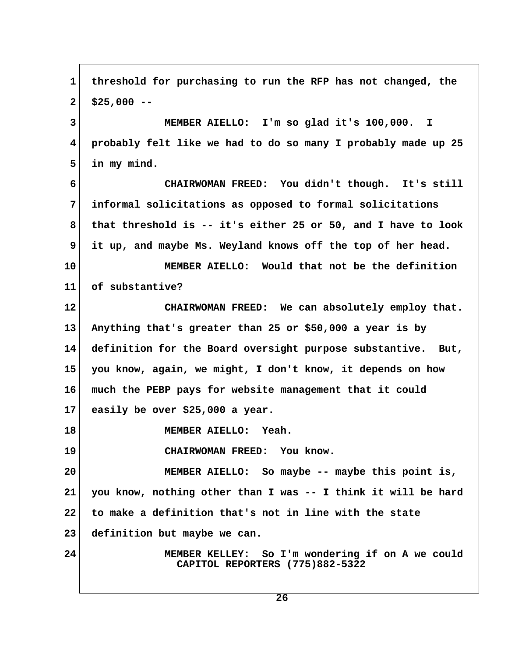1 threshold for purchasing to run the RFP has not changed, the  **2 \$25,000 -- 3 MEMBER AIELLO: I'm so glad it's 100,000. I 4 probably felt like we had to do so many I probably made up 25 5 in my mind. 6 CHAIRWOMAN FREED: You didn't though. It's still 7 informal solicitations as opposed to formal solicitations 8 that threshold is -- it's either 25 or 50, and I have to look 9 it up, and maybe Ms. Weyland knows off the top of her head. 10 MEMBER AIELLO: Would that not be the definition 11 of substantive? 12 CHAIRWOMAN FREED: We can absolutely employ that. 13 Anything that's greater than 25 or \$50,000 a year is by 14 definition for the Board oversight purpose substantive. But, 15 you know, again, we might, I don't know, it depends on how 16 much the PEBP pays for website management that it could 17 easily be over \$25,000 a year. 18 MEMBER AIELLO: Yeah. 19 CHAIRWOMAN FREED: You know. 20 MEMBER AIELLO: So maybe -- maybe this point is, 21 you know, nothing other than I was -- I think it will be hard 22 to make a definition that's not in line with the state 23 definition but maybe we can. 24 MEMBER KELLEY: So I'm wondering if on A we could CAPITOL REPORTERS (775)882-5322**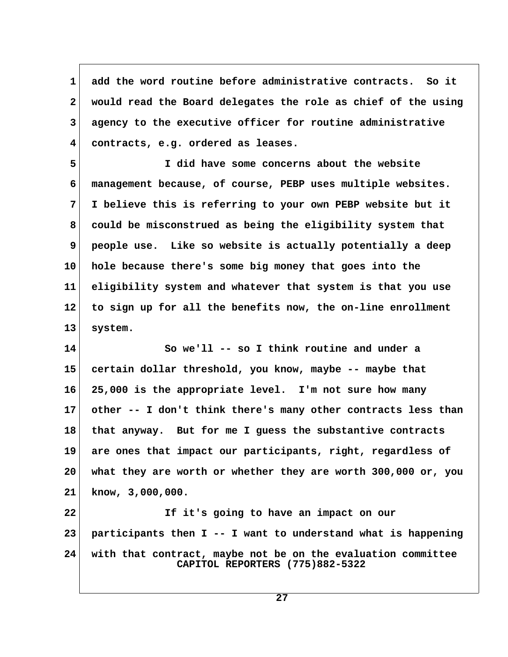**1 add the word routine before administrative contracts. So it 2 would read the Board delegates the role as chief of the using 3 agency to the executive officer for routine administrative 4 contracts, e.g. ordered as leases.**

 **5 I did have some concerns about the website 6 management because, of course, PEBP uses multiple websites. 7 I believe this is referring to your own PEBP website but it 8 could be misconstrued as being the eligibility system that 9 people use. Like so website is actually potentially a deep 10 hole because there's some big money that goes into the 11 eligibility system and whatever that system is that you use 12 to sign up for all the benefits now, the on-line enrollment 13 system.**

**14 So we'll -- so I think routine and under a 15 certain dollar threshold, you know, maybe -- maybe that 16 25,000 is the appropriate level. I'm not sure how many 17 other -- I don't think there's many other contracts less than 18 that anyway. But for me I guess the substantive contracts 19 are ones that impact our participants, right, regardless of 20 what they are worth or whether they are worth 300,000 or, you 21 know, 3,000,000.**

**22 If it's going to have an impact on our 23 participants then I -- I want to understand what is happening 24 with that contract, maybe not be on the evaluation committee CAPITOL REPORTERS (775)882-5322**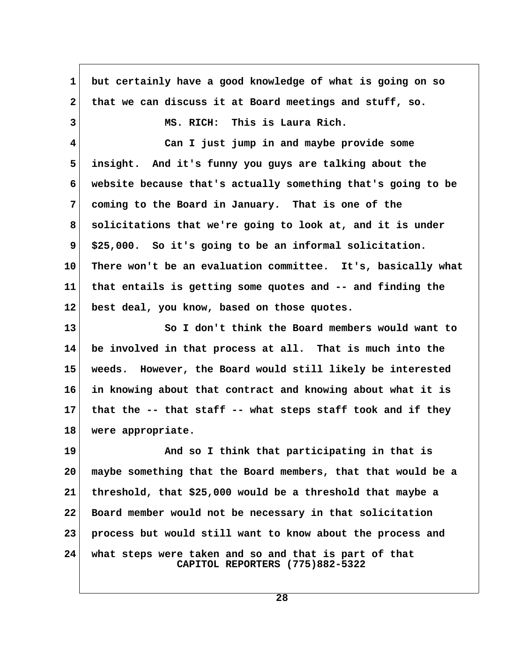**1 but certainly have a good knowledge of what is going on so 2 that we can discuss it at Board meetings and stuff, so. 3 MS. RICH: This is Laura Rich. 4 Can I just jump in and maybe provide some 5 insight. And it's funny you guys are talking about the 6 website because that's actually something that's going to be 7 coming to the Board in January. That is one of the 8 solicitations that we're going to look at, and it is under 9 \$25,000. So it's going to be an informal solicitation. 10 There won't be an evaluation committee. It's, basically what 11 that entails is getting some quotes and -- and finding the 12 best deal, you know, based on those quotes. 13 So I don't think the Board members would want to 14 be involved in that process at all. That is much into the 15 weeds. However, the Board would still likely be interested 16 in knowing about that contract and knowing about what it is 17 that the -- that staff -- what steps staff took and if they 18 were appropriate. 19 And so I think that participating in that is 20 maybe something that the Board members, that that would be a 21 threshold, that \$25,000 would be a threshold that maybe a 22 Board member would not be necessary in that solicitation 23 process but would still want to know about the process and 24 what steps were taken and so and that is part of that CAPITOL REPORTERS (775)882-5322**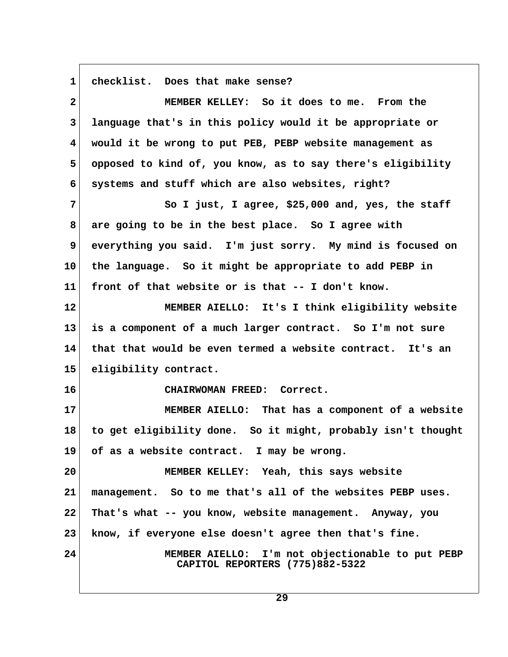1 checklist. Does that make sense?

| $\mathbf{2}$            | MEMBER KELLEY: So it does to me. From the                                           |  |
|-------------------------|-------------------------------------------------------------------------------------|--|
| $\mathbf{3}$            | language that's in this policy would it be appropriate or                           |  |
| $\overline{\mathbf{4}}$ | would it be wrong to put PEB, PEBP website management as                            |  |
| 5                       | opposed to kind of, you know, as to say there's eligibility                         |  |
| 6                       | systems and stuff which are also websites, right?                                   |  |
| 7                       | So I just, I agree, \$25,000 and, yes, the staff                                    |  |
| 8                       | are going to be in the best place. So I agree with                                  |  |
| 9                       | everything you said. I'm just sorry. My mind is focused on                          |  |
| 10                      | the language. So it might be appropriate to add PEBP in                             |  |
| 11                      | front of that website or is that -- I don't know.                                   |  |
| 12 <sub>2</sub>         | MEMBER AIELLO: It's I think eligibility website                                     |  |
| 13                      | is a component of a much larger contract. So I'm not sure                           |  |
| 14                      | that that would be even termed a website contract. It's an                          |  |
| 15                      | eligibility contract.                                                               |  |
| 16                      | CHAIRWOMAN FREED: Correct.                                                          |  |
| 17                      | MEMBER AIELLO: That has a component of a website                                    |  |
| 18                      | to get eligibility done. So it might, probably isn't thought                        |  |
| 19                      | of as a website contract. I may be wrong.                                           |  |
| 20                      | MEMBER KELLEY: Yeah, this says website                                              |  |
| 21                      | management. So to me that's all of the websites PEBP uses.                          |  |
| 22                      | That's what -- you know, website management. Anyway, you                            |  |
| 23                      | know, if everyone else doesn't agree then that's fine.                              |  |
| 24                      | MEMBER AIELLO: I'm not objectionable to put PEBP<br>CAPITOL REPORTERS (775)882-5322 |  |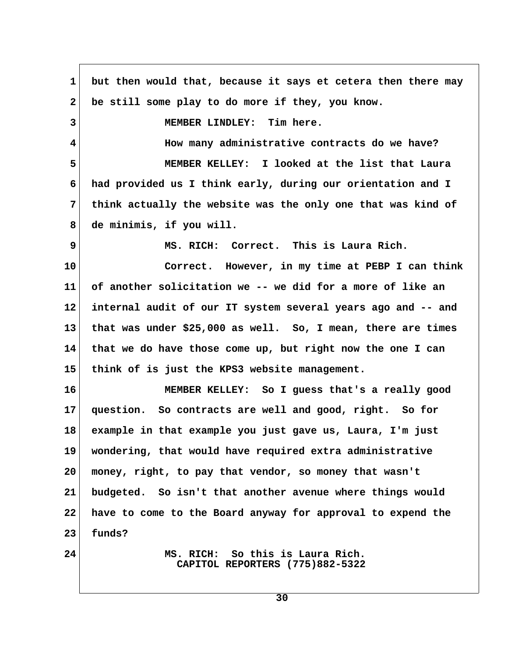**1 but then would that, because it says et cetera then there may 2 be still some play to do more if they, you know. 3 MEMBER LINDLEY: Tim here. 4 How many administrative contracts do we have? 5 MEMBER KELLEY: I looked at the list that Laura 6 had provided us I think early, during our orientation and I 7 think actually the website was the only one that was kind of 8 de minimis, if you will. 9 MS. RICH: Correct. This is Laura Rich. 10 Correct. However, in my time at PEBP I can think 11 of another solicitation we -- we did for a more of like an 12 internal audit of our IT system several years ago and -- and 13 that was under \$25,000 as well. So, I mean, there are times 14 that we do have those come up, but right now the one I can 15 think of is just the KPS3 website management. 16 MEMBER KELLEY: So I guess that's a really good 17 question. So contracts are well and good, right. So for 18 example in that example you just gave us, Laura, I'm just 19 wondering, that would have required extra administrative 20 money, right, to pay that vendor, so money that wasn't 21 budgeted. So isn't that another avenue where things would 22 have to come to the Board anyway for approval to expend the 23 funds? 24 MS. RICH: So this is Laura Rich. CAPITOL REPORTERS (775)882-5322**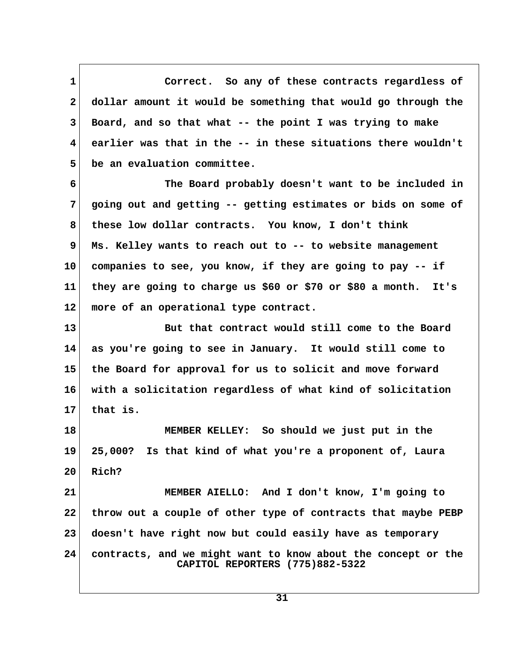**1 Correct. So any of these contracts regardless of 2 dollar amount it would be something that would go through the 3 Board, and so that what -- the point I was trying to make 4 earlier was that in the -- in these situations there wouldn't 5 be an evaluation committee.**

 **6 The Board probably doesn't want to be included in 7 going out and getting -- getting estimates or bids on some of 8 these low dollar contracts. You know, I don't think 9 Ms. Kelley wants to reach out to -- to website management 10 companies to see, you know, if they are going to pay -- if 11 they are going to charge us \$60 or \$70 or \$80 a month. It's 12 more of an operational type contract.**

**13 But that contract would still come to the Board 14 as you're going to see in January. It would still come to 15 the Board for approval for us to solicit and move forward 16 with a solicitation regardless of what kind of solicitation 17 that is.**

**18 MEMBER KELLEY: So should we just put in the 19 25,000? Is that kind of what you're a proponent of, Laura 20 Rich?**

**21 MEMBER AIELLO: And I don't know, I'm going to 22 throw out a couple of other type of contracts that maybe PEBP 23 doesn't have right now but could easily have as temporary 24 contracts, and we might want to know about the concept or the CAPITOL REPORTERS (775)882-5322**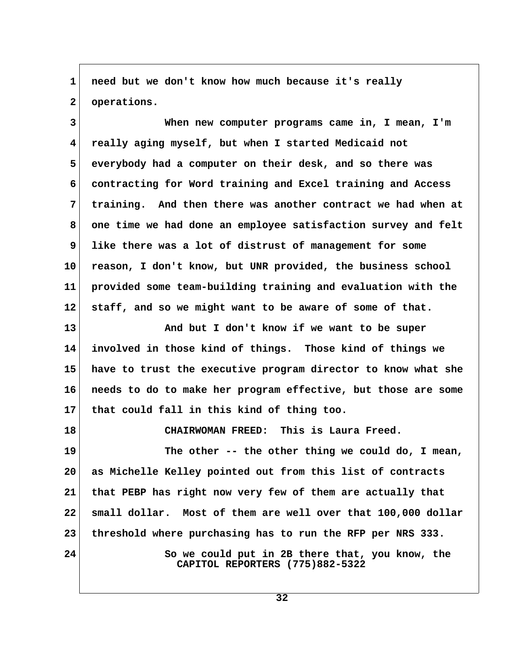1 need but we don't know how much because it's really  **2 operations.**

 **3 When new computer programs came in, I mean, I'm 4 really aging myself, but when I started Medicaid not 5 everybody had a computer on their desk, and so there was 6 contracting for Word training and Excel training and Access 7 training. And then there was another contract we had when at 8 one time we had done an employee satisfaction survey and felt 9 like there was a lot of distrust of management for some 10 reason, I don't know, but UNR provided, the business school 11 provided some team-building training and evaluation with the 12 staff, and so we might want to be aware of some of that.**

**13 And but I don't know if we want to be super 14 involved in those kind of things. Those kind of things we 15 have to trust the executive program director to know what she 16 needs to do to make her program effective, but those are some 17 that could fall in this kind of thing too.**

**18 CHAIRWOMAN FREED: This is Laura Freed. 19 The other -- the other thing we could do, I mean, 20 as Michelle Kelley pointed out from this list of contracts 21 that PEBP has right now very few of them are actually that 22 small dollar. Most of them are well over that 100,000 dollar 23 threshold where purchasing has to run the RFP per NRS 333. 24 So we could put in 2B there that, you know, the CAPITOL REPORTERS (775)882-5322**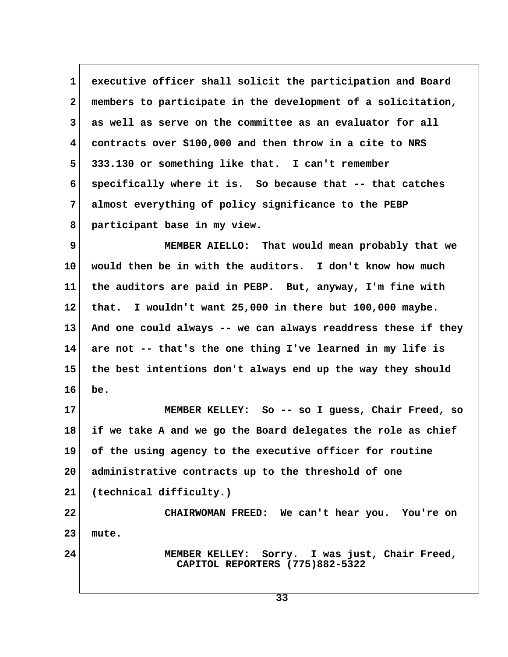**1 executive officer shall solicit the participation and Board 2 members to participate in the development of a solicitation, 3 as well as serve on the committee as an evaluator for all 4 contracts over \$100,000 and then throw in a cite to NRS 5 333.130 or something like that. I can't remember 6 specifically where it is. So because that -- that catches 7 almost everything of policy significance to the PEBP 8 participant base in my view.**

 **9 MEMBER AIELLO: That would mean probably that we 10 would then be in with the auditors. I don't know how much 11 the auditors are paid in PEBP. But, anyway, I'm fine with 12 that. I wouldn't want 25,000 in there but 100,000 maybe. 13 And one could always -- we can always readdress these if they 14 are not -- that's the one thing I've learned in my life is 15 the best intentions don't always end up the way they should 16 be.**

**17 MEMBER KELLEY: So -- so I guess, Chair Freed, so 18 if we take A and we go the Board delegates the role as chief 19 of the using agency to the executive officer for routine 20 administrative contracts up to the threshold of one 21 (technical difficulty.)**

**22 CHAIRWOMAN FREED: We can't hear you. You're on 23 mute.**

**24 MEMBER KELLEY: Sorry. I was just, Chair Freed, CAPITOL REPORTERS (775)882-5322**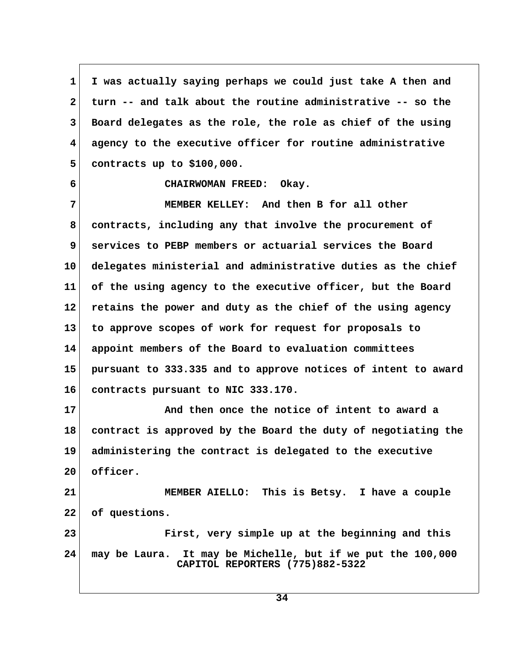**1 I was actually saying perhaps we could just take A then and 2 turn -- and talk about the routine administrative -- so the 3 Board delegates as the role, the role as chief of the using 4 agency to the executive officer for routine administrative 5 contracts up to \$100,000.**

 **6 CHAIRWOMAN FREED: Okay.**

 **7 MEMBER KELLEY: And then B for all other 8 contracts, including any that involve the procurement of 9 services to PEBP members or actuarial services the Board 10 delegates ministerial and administrative duties as the chief 11 of the using agency to the executive officer, but the Board 12 retains the power and duty as the chief of the using agency 13 to approve scopes of work for request for proposals to 14 appoint members of the Board to evaluation committees 15 pursuant to 333.335 and to approve notices of intent to award 16 contracts pursuant to NIC 333.170.**

**17 And then once the notice of intent to award a 18 contract is approved by the Board the duty of negotiating the 19 administering the contract is delegated to the executive 20 officer.**

**21 MEMBER AIELLO: This is Betsy. I have a couple 22 of questions.**

**23 First, very simple up at the beginning and this 24 may be Laura. It may be Michelle, but if we put the 100,000 CAPITOL REPORTERS (775)882-5322**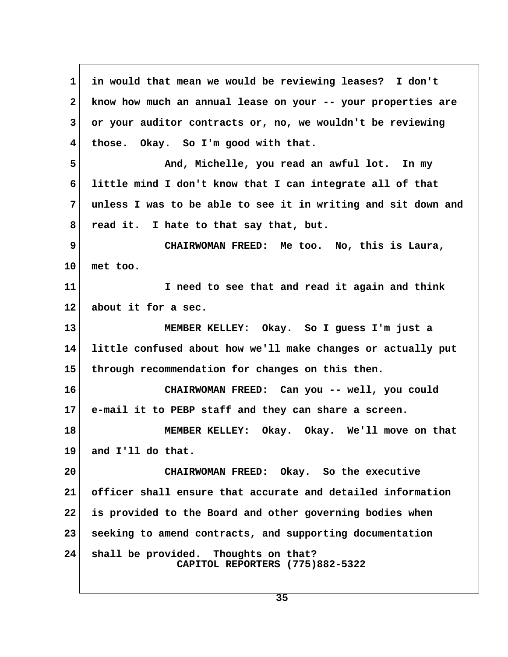**1 in would that mean we would be reviewing leases? I don't 2 know how much an annual lease on your -- your properties are 3 or your auditor contracts or, no, we wouldn't be reviewing 4 those. Okay. So I'm good with that. 5 And, Michelle, you read an awful lot. In my 6 little mind I don't know that I can integrate all of that 7 unless I was to be able to see it in writing and sit down and 8 read it. I hate to that say that, but. 9 CHAIRWOMAN FREED: Me too. No, this is Laura, 10 met too. 11 I need to see that and read it again and think 12 about it for a sec. 13 MEMBER KELLEY: Okay. So I guess I'm just a 14 little confused about how we'll make changes or actually put 15 through recommendation for changes on this then. 16 CHAIRWOMAN FREED: Can you -- well, you could 17 e-mail it to PEBP staff and they can share a screen. 18 MEMBER KELLEY: Okay. Okay. We'll move on that 19 and I'll do that. 20 CHAIRWOMAN FREED: Okay. So the executive 21 officer shall ensure that accurate and detailed information 22 is provided to the Board and other governing bodies when 23 seeking to amend contracts, and supporting documentation 24 shall be provided. Thoughts on that? CAPITOL REPORTERS (775)882-5322**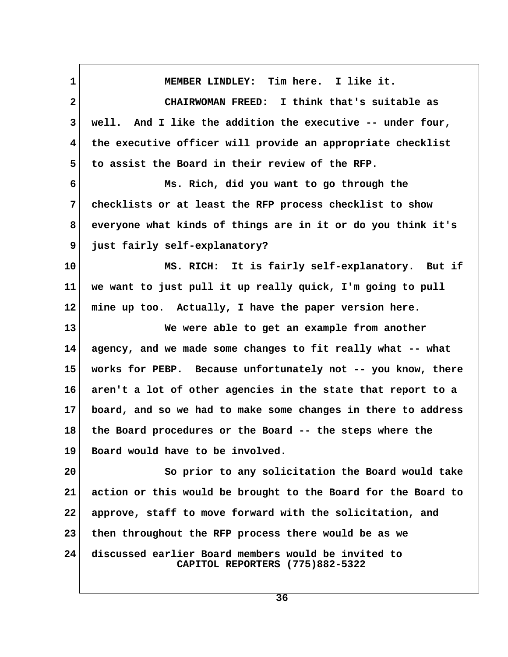**1 MEMBER LINDLEY: Tim here. I like it. 2 CHAIRWOMAN FREED: I think that's suitable as 3 well. And I like the addition the executive -- under four, 4 the executive officer will provide an appropriate checklist 5 to assist the Board in their review of the RFP. 6 Ms. Rich, did you want to go through the 7 checklists or at least the RFP process checklist to show 8 everyone what kinds of things are in it or do you think it's 9 just fairly self-explanatory? 10 MS. RICH: It is fairly self-explanatory. But if 11 we want to just pull it up really quick, I'm going to pull 12 mine up too. Actually, I have the paper version here. 13 We were able to get an example from another 14 agency, and we made some changes to fit really what -- what 15 works for PEBP. Because unfortunately not -- you know, there 16 aren't a lot of other agencies in the state that report to a 17 board, and so we had to make some changes in there to address 18 the Board procedures or the Board -- the steps where the 19 Board would have to be involved. 20 So prior to any solicitation the Board would take 21 action or this would be brought to the Board for the Board to 22 approve, staff to move forward with the solicitation, and 23 then throughout the RFP process there would be as we 24 discussed earlier Board members would be invited to CAPITOL REPORTERS (775)882-5322**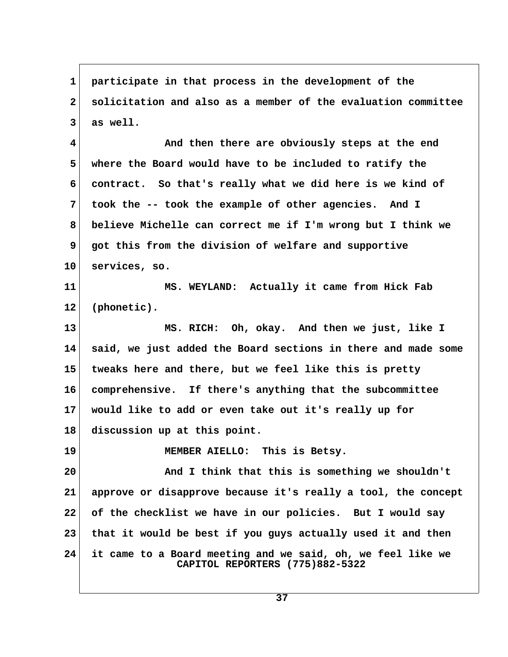**1 participate in that process in the development of the 2 solicitation and also as a member of the evaluation committee 3 as well.**

 **4 And then there are obviously steps at the end 5 where the Board would have to be included to ratify the 6 contract. So that's really what we did here is we kind of 7 took the -- took the example of other agencies. And I 8 believe Michelle can correct me if I'm wrong but I think we 9 got this from the division of welfare and supportive 10 services, so.**

**11 MS. WEYLAND: Actually it came from Hick Fab 12 (phonetic).**

**13 MS. RICH: Oh, okay. And then we just, like I 14 said, we just added the Board sections in there and made some 15 tweaks here and there, but we feel like this is pretty 16 comprehensive. If there's anything that the subcommittee 17 would like to add or even take out it's really up for 18 discussion up at this point.**

**19 MEMBER AIELLO: This is Betsy.**

**20 And I think that this is something we shouldn't 21 approve or disapprove because it's really a tool, the concept 22 of the checklist we have in our policies. But I would say 23 that it would be best if you guys actually used it and then 24 it came to a Board meeting and we said, oh, we feel like we CAPITOL REPORTERS (775)882-5322**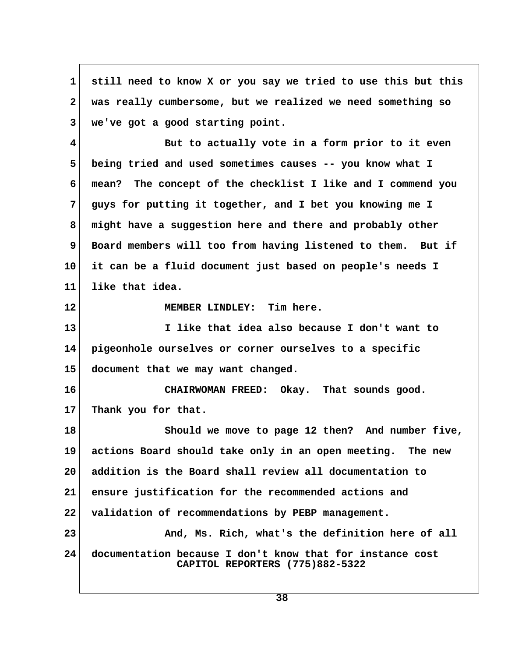**1 still need to know X or you say we tried to use this but this 2 was really cumbersome, but we realized we need something so 3 we've got a good starting point.**

 **4 But to actually vote in a form prior to it even 5 being tried and used sometimes causes -- you know what I 6 mean? The concept of the checklist I like and I commend you 7 guys for putting it together, and I bet you knowing me I 8 might have a suggestion here and there and probably other 9 Board members will too from having listened to them. But if 10 it can be a fluid document just based on people's needs I 11 like that idea.**

**12 MEMBER LINDLEY: Tim here.**

**13 I like that idea also because I don't want to 14 pigeonhole ourselves or corner ourselves to a specific 15 document that we may want changed.**

**16 CHAIRWOMAN FREED: Okay. That sounds good. 17 Thank you for that.**

**18 Should we move to page 12 then? And number five, 19 actions Board should take only in an open meeting. The new 20 addition is the Board shall review all documentation to 21 ensure justification for the recommended actions and 22 validation of recommendations by PEBP management. 23** And, Ms. Rich, what's the definition here of all **24 documentation because I don't know that for instance cost CAPITOL REPORTERS (775)882-5322**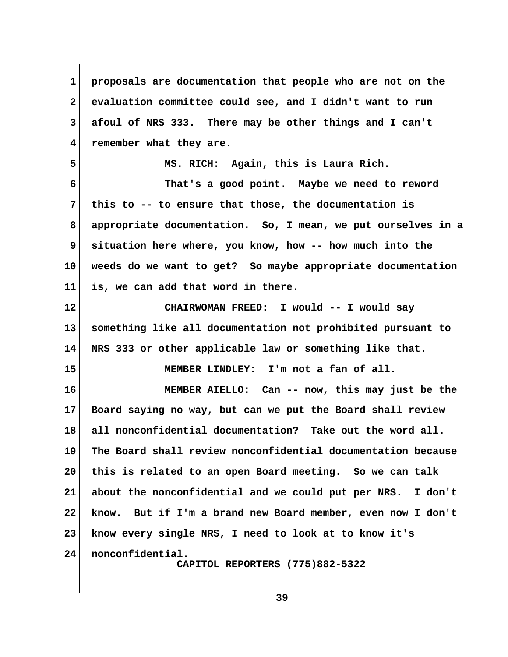**1 proposals are documentation that people who are not on the 2 evaluation committee could see, and I didn't want to run 3 afoul of NRS 333. There may be other things and I can't 4 remember what they are. 5 MS. RICH: Again, this is Laura Rich. 6 That's a good point. Maybe we need to reword 7 this to -- to ensure that those, the documentation is 8 appropriate documentation. So, I mean, we put ourselves in a 9 situation here where, you know, how -- how much into the 10 weeds do we want to get? So maybe appropriate documentation 11 is, we can add that word in there. 12 CHAIRWOMAN FREED: I would -- I would say 13 something like all documentation not prohibited pursuant to 14 NRS 333 or other applicable law or something like that. 15 MEMBER LINDLEY: I'm not a fan of all. 16 MEMBER AIELLO: Can -- now, this may just be the 17 Board saying no way, but can we put the Board shall review 18 all nonconfidential documentation? Take out the word all. 19 The Board shall review nonconfidential documentation because 20 this is related to an open Board meeting. So we can talk 21 about the nonconfidential and we could put per NRS. I don't 22 know. But if I'm a brand new Board member, even now I don't 23 know every single NRS, I need to look at to know it's 24 nonconfidential. CAPITOL REPORTERS (775)882-5322**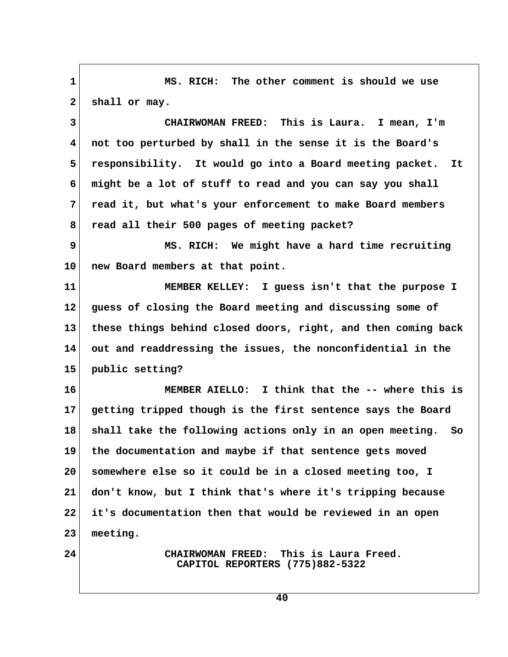**1 MS. RICH: The other comment is should we use** 2 shall or may.  **3 CHAIRWOMAN FREED: This is Laura. I mean, I'm 4 not too perturbed by shall in the sense it is the Board's 5 responsibility. It would go into a Board meeting packet. It 6 might be a lot of stuff to read and you can say you shall 7 read it, but what's your enforcement to make Board members 8 read all their 500 pages of meeting packet? 9 MS. RICH: We might have a hard time recruiting 10 new Board members at that point. 11 MEMBER KELLEY: I guess isn't that the purpose I 12 guess of closing the Board meeting and discussing some of 13 these things behind closed doors, right, and then coming back 14 out and readdressing the issues, the nonconfidential in the 15 public setting? 16 MEMBER AIELLO: I think that the -- where this is 17 getting tripped though is the first sentence says the Board 18 shall take the following actions only in an open meeting. So 19 the documentation and maybe if that sentence gets moved 20 somewhere else so it could be in a closed meeting too, I 21 don't know, but I think that's where it's tripping because 22 it's documentation then that would be reviewed in an open 23 meeting. 24 CHAIRWOMAN FREED: This is Laura Freed. CAPITOL REPORTERS (775)882-5322**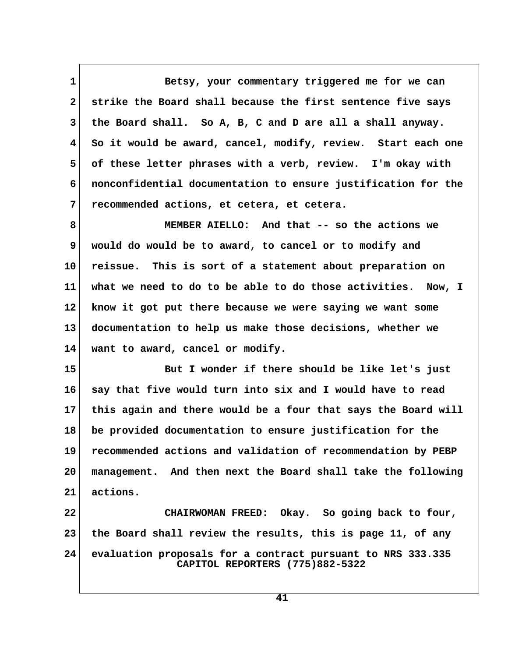**1 Betsy, your commentary triggered me for we can 2 strike the Board shall because the first sentence five says 3 the Board shall. So A, B, C and D are all a shall anyway. 4 So it would be award, cancel, modify, review. Start each one 5 of these letter phrases with a verb, review. I'm okay with 6 nonconfidential documentation to ensure justification for the 7 recommended actions, et cetera, et cetera.**

 **8 MEMBER AIELLO: And that -- so the actions we 9 would do would be to award, to cancel or to modify and 10 reissue. This is sort of a statement about preparation on 11 what we need to do to be able to do those activities. Now, I 12 know it got put there because we were saying we want some 13 documentation to help us make those decisions, whether we 14 want to award, cancel or modify.**

**15 But I wonder if there should be like let's just 16 say that five would turn into six and I would have to read 17 this again and there would be a four that says the Board will 18 be provided documentation to ensure justification for the 19 recommended actions and validation of recommendation by PEBP 20 management. And then next the Board shall take the following 21 actions.**

**22 CHAIRWOMAN FREED: Okay. So going back to four, 23 the Board shall review the results, this is page 11, of any 24 evaluation proposals for a contract pursuant to NRS 333.335 CAPITOL REPORTERS (775)882-5322**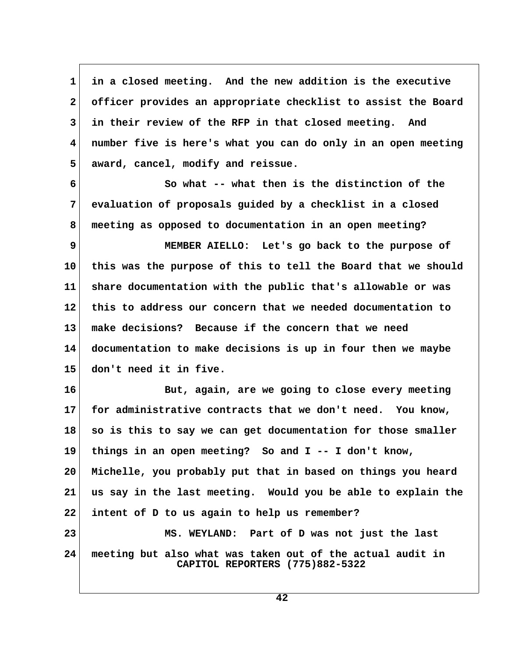**1 in a closed meeting. And the new addition is the executive 2 officer provides an appropriate checklist to assist the Board 3 in their review of the RFP in that closed meeting. And 4 number five is here's what you can do only in an open meeting 5 award, cancel, modify and reissue.**

 **6 So what -- what then is the distinction of the 7 evaluation of proposals guided by a checklist in a closed 8 meeting as opposed to documentation in an open meeting?**

 **9 MEMBER AIELLO: Let's go back to the purpose of 10 this was the purpose of this to tell the Board that we should 11 share documentation with the public that's allowable or was 12 this to address our concern that we needed documentation to 13 make decisions? Because if the concern that we need 14 documentation to make decisions is up in four then we maybe 15 don't need it in five.**

**16 But, again, are we going to close every meeting 17 for administrative contracts that we don't need. You know, 18 so is this to say we can get documentation for those smaller 19 things in an open meeting? So and I -- I don't know, 20 Michelle, you probably put that in based on things you heard 21 us say in the last meeting. Would you be able to explain the 22 intent of D to us again to help us remember? 23 MS. WEYLAND: Part of D was not just the last 24 meeting but also what was taken out of the actual audit in CAPITOL REPORTERS (775)882-5322**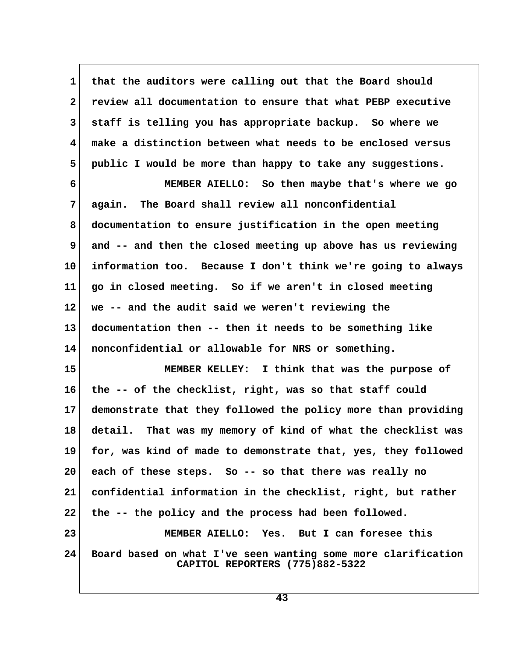**1 that the auditors were calling out that the Board should 2 review all documentation to ensure that what PEBP executive 3 staff is telling you has appropriate backup. So where we 4 make a distinction between what needs to be enclosed versus 5 public I would be more than happy to take any suggestions. 6 MEMBER AIELLO: So then maybe that's where we go 7 again. The Board shall review all nonconfidential 8 documentation to ensure justification in the open meeting 9 and -- and then the closed meeting up above has us reviewing 10 information too. Because I don't think we're going to always 11 go in closed meeting. So if we aren't in closed meeting 12 we -- and the audit said we weren't reviewing the 13 documentation then -- then it needs to be something like 14 nonconfidential or allowable for NRS or something. 15 MEMBER KELLEY: I think that was the purpose of 16 the -- of the checklist, right, was so that staff could 17 demonstrate that they followed the policy more than providing 18 detail. That was my memory of kind of what the checklist was 19 for, was kind of made to demonstrate that, yes, they followed 20 each of these steps. So -- so that there was really no 21 confidential information in the checklist, right, but rather 22 the -- the policy and the process had been followed. 23 MEMBER AIELLO: Yes. But I can foresee this 24 Board based on what I've seen wanting some more clarification CAPITOL REPORTERS (775)882-5322**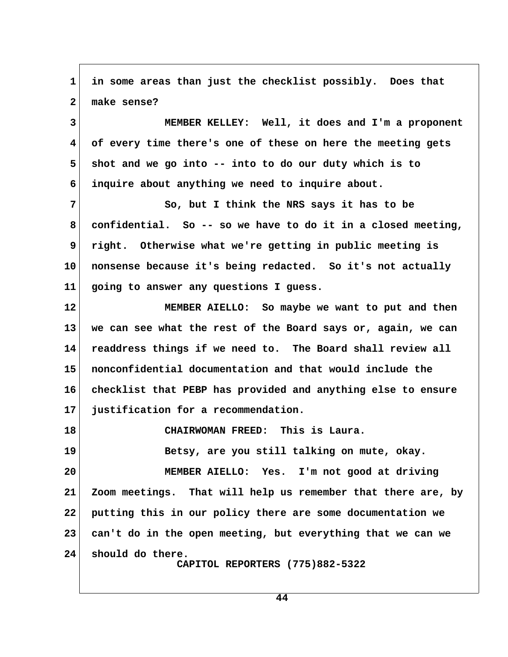**1 in some areas than just the checklist possibly. Does that 2 make sense? 3 MEMBER KELLEY: Well, it does and I'm a proponent 4 of every time there's one of these on here the meeting gets 5 shot and we go into -- into to do our duty which is to 6 inquire about anything we need to inquire about.** 7 So, but I think the NRS says it has to be  **8 confidential. So -- so we have to do it in a closed meeting, 9 right. Otherwise what we're getting in public meeting is 10 nonsense because it's being redacted. So it's not actually 11 going to answer any questions I guess. 12 MEMBER AIELLO: So maybe we want to put and then 13 we can see what the rest of the Board says or, again, we can 14 readdress things if we need to. The Board shall review all 15 nonconfidential documentation and that would include the 16 checklist that PEBP has provided and anything else to ensure 17 justification for a recommendation. 18 CHAIRWOMAN FREED: This is Laura. 19 Betsy, are you still talking on mute, okay. 20 MEMBER AIELLO: Yes. I'm not good at driving 21 Zoom meetings. That will help us remember that there are, by 22 putting this in our policy there are some documentation we 23 can't do in the open meeting, but everything that we can we 24 should do there. CAPITOL REPORTERS (775)882-5322**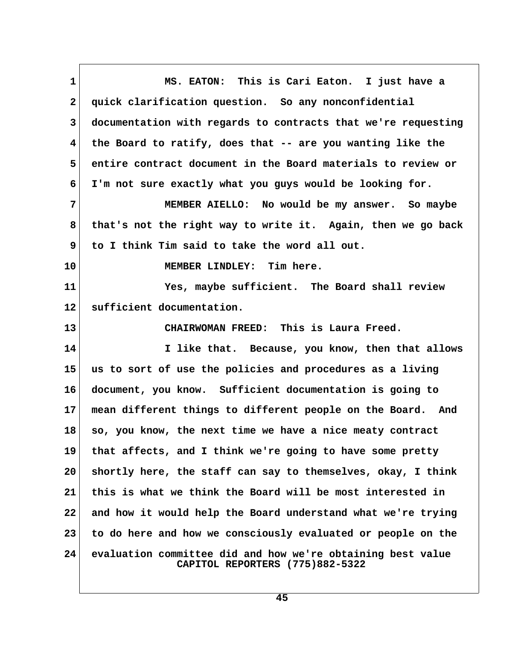**1 MS. EATON: This is Cari Eaton. I just have a 2 quick clarification question. So any nonconfidential 3 documentation with regards to contracts that we're requesting 4 the Board to ratify, does that -- are you wanting like the 5 entire contract document in the Board materials to review or 6 I'm not sure exactly what you guys would be looking for. 7 MEMBER AIELLO: No would be my answer. So maybe 8 that's not the right way to write it. Again, then we go back 9 to I think Tim said to take the word all out. 10 MEMBER LINDLEY: Tim here. 11 Yes, maybe sufficient. The Board shall review 12 sufficient documentation. 13 CHAIRWOMAN FREED: This is Laura Freed. 14 I like that. Because, you know, then that allows 15 us to sort of use the policies and procedures as a living 16 document, you know. Sufficient documentation is going to 17 mean different things to different people on the Board. And 18 so, you know, the next time we have a nice meaty contract 19 that affects, and I think we're going to have some pretty 20 shortly here, the staff can say to themselves, okay, I think 21 this is what we think the Board will be most interested in 22 and how it would help the Board understand what we're trying 23 to do here and how we consciously evaluated or people on the 24 evaluation committee did and how we're obtaining best value CAPITOL REPORTERS (775)882-5322**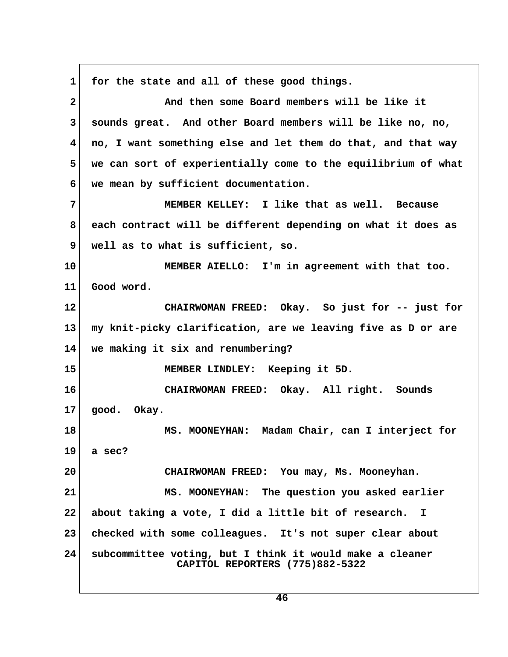**1 for the state and all of these good things. 2 And then some Board members will be like it 3 sounds great. And other Board members will be like no, no, 4 no, I want something else and let them do that, and that way 5 we can sort of experientially come to the equilibrium of what 6 we mean by sufficient documentation. 7 MEMBER KELLEY: I like that as well. Because 8 each contract will be different depending on what it does as 9 well as to what is sufficient, so. 10 MEMBER AIELLO: I'm in agreement with that too. 11 Good word. 12 CHAIRWOMAN FREED: Okay. So just for -- just for 13 my knit-picky clarification, are we leaving five as D or are 14 we making it six and renumbering? 15 MEMBER LINDLEY: Keeping it 5D. 16 CHAIRWOMAN FREED: Okay. All right. Sounds 17 good. Okay. 18 MS. MOONEYHAN: Madam Chair, can I interject for 19 a sec? 20 CHAIRWOMAN FREED: You may, Ms. Mooneyhan. 21 MS. MOONEYHAN: The question you asked earlier 22 about taking a vote, I did a little bit of research. I 23 checked with some colleagues. It's not super clear about 24 subcommittee voting, but I think it would make a cleaner CAPITOL REPORTERS (775)882-5322**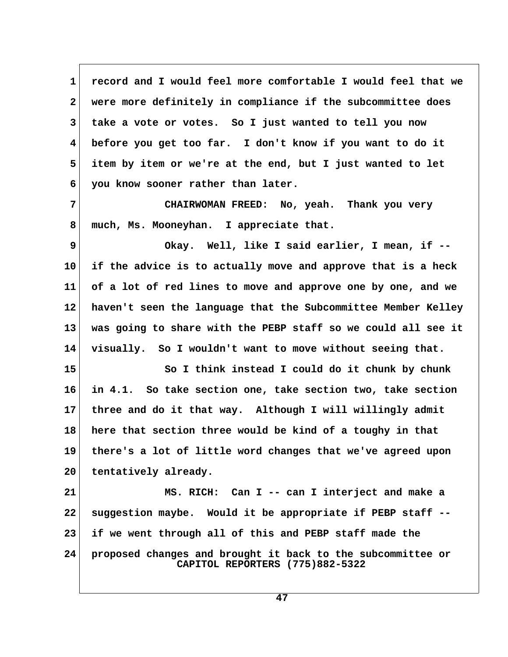**1 record and I would feel more comfortable I would feel that we 2 were more definitely in compliance if the subcommittee does 3 take a vote or votes. So I just wanted to tell you now 4 before you get too far. I don't know if you want to do it 5 item by item or we're at the end, but I just wanted to let 6 you know sooner rather than later.**

 **7 CHAIRWOMAN FREED: No, yeah. Thank you very 8 much, Ms. Mooneyhan. I appreciate that.**

 **9 Okay. Well, like I said earlier, I mean, if -- 10 if the advice is to actually move and approve that is a heck 11 of a lot of red lines to move and approve one by one, and we 12 haven't seen the language that the Subcommittee Member Kelley 13 was going to share with the PEBP staff so we could all see it 14 visually. So I wouldn't want to move without seeing that.**

15 So I think instead I could do it chunk by chunk **16 in 4.1. So take section one, take section two, take section 17 three and do it that way. Although I will willingly admit 18 here that section three would be kind of a toughy in that 19 there's a lot of little word changes that we've agreed upon 20 tentatively already.**

**21 MS. RICH: Can I -- can I interject and make a 22 suggestion maybe. Would it be appropriate if PEBP staff -- 23 if we went through all of this and PEBP staff made the 24 proposed changes and brought it back to the subcommittee or CAPITOL REPORTERS (775)882-5322**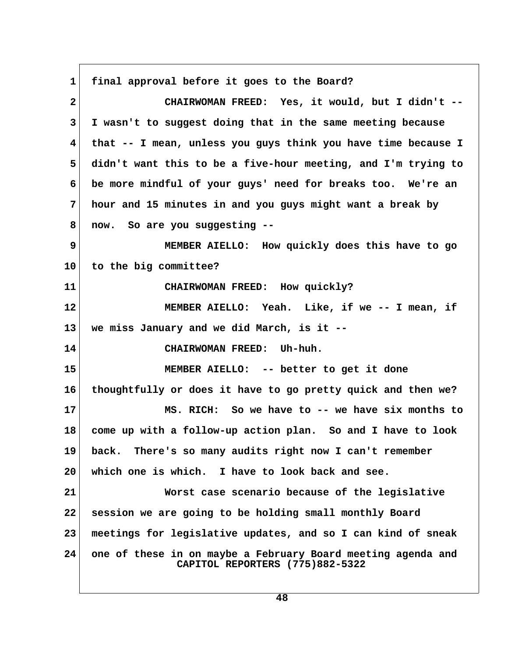**1 final approval before it goes to the Board? 2 CHAIRWOMAN FREED: Yes, it would, but I didn't -- 3 I wasn't to suggest doing that in the same meeting because 4 that -- I mean, unless you guys think you have time because I 5 didn't want this to be a five-hour meeting, and I'm trying to 6 be more mindful of your guys' need for breaks too. We're an 7 hour and 15 minutes in and you guys might want a break by 8 now. So are you suggesting -- 9 MEMBER AIELLO: How quickly does this have to go 10 to the big committee? 11 CHAIRWOMAN FREED: How quickly? 12 MEMBER AIELLO: Yeah. Like, if we -- I mean, if 13 we miss January and we did March, is it -- 14 CHAIRWOMAN FREED: Uh-huh. 15 MEMBER AIELLO: -- better to get it done 16 thoughtfully or does it have to go pretty quick and then we? 17 MS. RICH: So we have to -- we have six months to 18 come up with a follow-up action plan. So and I have to look 19 back. There's so many audits right now I can't remember 20 which one is which. I have to look back and see. 21 Worst case scenario because of the legislative 22 session we are going to be holding small monthly Board 23 meetings for legislative updates, and so I can kind of sneak 24 one of these in on maybe a February Board meeting agenda and CAPITOL REPORTERS (775)882-5322**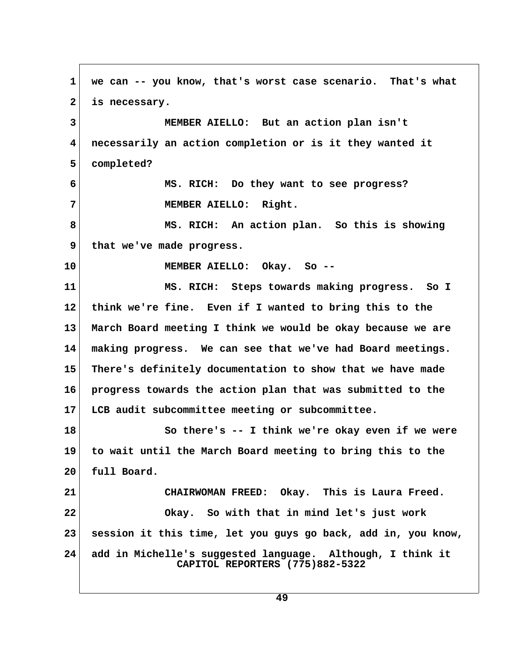**1 we can -- you know, that's worst case scenario. That's what 2 is necessary. 3 MEMBER AIELLO: But an action plan isn't 4 necessarily an action completion or is it they wanted it 5 completed? 6 MS. RICH: Do they want to see progress? 7 MEMBER AIELLO: Right. 8 MS. RICH: An action plan. So this is showing 9 that we've made progress. 10 MEMBER AIELLO: Okay. So -- 11 MS. RICH: Steps towards making progress. So I 12 think we're fine. Even if I wanted to bring this to the 13 March Board meeting I think we would be okay because we are 14 making progress. We can see that we've had Board meetings. 15 There's definitely documentation to show that we have made 16 progress towards the action plan that was submitted to the 17 LCB audit subcommittee meeting or subcommittee. 18 So there's -- I think we're okay even if we were 19 to wait until the March Board meeting to bring this to the 20 full Board. 21 CHAIRWOMAN FREED: Okay. This is Laura Freed. 22 Okay. So with that in mind let's just work 23 session it this time, let you guys go back, add in, you know, 24 add in Michelle's suggested language. Although, I think it CAPITOL REPORTERS (775)882-5322**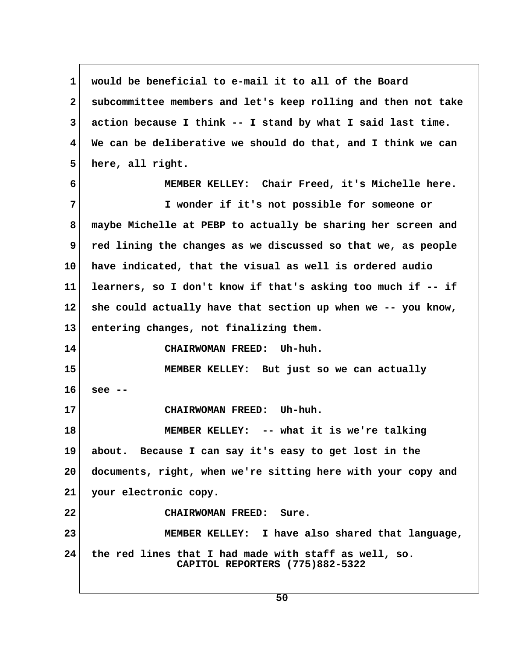**1 would be beneficial to e-mail it to all of the Board 2 subcommittee members and let's keep rolling and then not take 3 action because I think -- I stand by what I said last time. 4 We can be deliberative we should do that, and I think we can 5 here, all right. 6 MEMBER KELLEY: Chair Freed, it's Michelle here. 7 I wonder if it's not possible for someone or 8 maybe Michelle at PEBP to actually be sharing her screen and 9 red lining the changes as we discussed so that we, as people 10 have indicated, that the visual as well is ordered audio 11 learners, so I don't know if that's asking too much if -- if 12 she could actually have that section up when we -- you know, 13 entering changes, not finalizing them. 14 CHAIRWOMAN FREED: Uh-huh. 15 MEMBER KELLEY: But just so we can actually 16 see -- 17 CHAIRWOMAN FREED: Uh-huh. 18 MEMBER KELLEY: -- what it is we're talking 19 about. Because I can say it's easy to get lost in the 20 documents, right, when we're sitting here with your copy and 21 your electronic copy. 22 CHAIRWOMAN FREED: Sure. 23 MEMBER KELLEY: I have also shared that language, 24 the red lines that I had made with staff as well, so. CAPITOL REPORTERS (775)882-5322**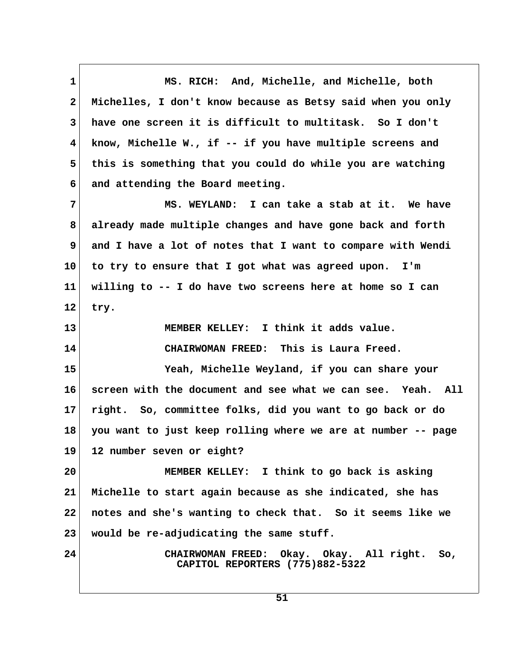**1 MS. RICH: And, Michelle, and Michelle, both 2 Michelles, I don't know because as Betsy said when you only 3 have one screen it is difficult to multitask. So I don't 4 know, Michelle W., if -- if you have multiple screens and 5 this is something that you could do while you are watching 6 and attending the Board meeting. 7 MS. WEYLAND: I can take a stab at it. We have 8 already made multiple changes and have gone back and forth 9 and I have a lot of notes that I want to compare with Wendi 10 to try to ensure that I got what was agreed upon. I'm 11 willing to -- I do have two screens here at home so I can 12 try. 13 MEMBER KELLEY: I think it adds value. 14 CHAIRWOMAN FREED: This is Laura Freed. 15 Yeah, Michelle Weyland, if you can share your 16 screen with the document and see what we can see. Yeah. All 17 right. So, committee folks, did you want to go back or do 18 you want to just keep rolling where we are at number -- page 19 12 number seven or eight? 20 MEMBER KELLEY: I think to go back is asking 21 Michelle to start again because as she indicated, she has 22 notes and she's wanting to check that. So it seems like we 23 would be re-adjudicating the same stuff. 24 CHAIRWOMAN FREED: Okay. Okay. All right. So, CAPITOL REPORTERS (775)882-5322**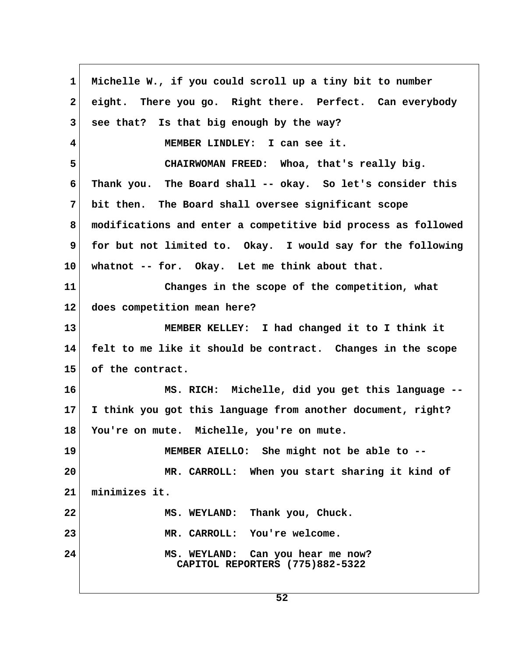**1 Michelle W., if you could scroll up a tiny bit to number 2 eight. There you go. Right there. Perfect. Can everybody 3 see that? Is that big enough by the way? 4 MEMBER LINDLEY: I can see it. 5 CHAIRWOMAN FREED: Whoa, that's really big. 6 Thank you. The Board shall -- okay. So let's consider this 7 bit then. The Board shall oversee significant scope 8 modifications and enter a competitive bid process as followed 9 for but not limited to. Okay. I would say for the following 10 whatnot -- for. Okay. Let me think about that. 11 Changes in the scope of the competition, what 12 does competition mean here? 13 MEMBER KELLEY: I had changed it to I think it 14 felt to me like it should be contract. Changes in the scope 15 of the contract. 16 MS. RICH: Michelle, did you get this language -- 17 I think you got this language from another document, right? 18 You're on mute. Michelle, you're on mute. 19 MEMBER AIELLO: She might not be able to -- 20 MR. CARROLL: When you start sharing it kind of 21 minimizes it. 22 MS. WEYLAND: Thank you, Chuck. 23 MR. CARROLL: You're welcome. 24 MS. WEYLAND: Can you hear me now? CAPITOL REPORTERS (775)882-5322**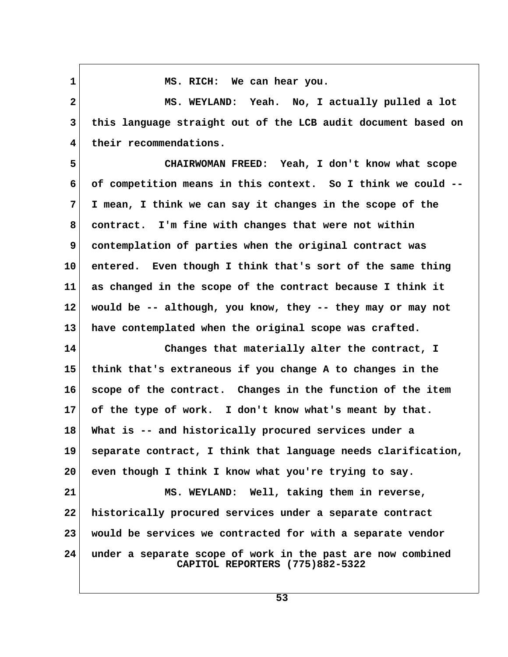1 MS. RICH: We can hear you.

 **2 MS. WEYLAND: Yeah. No, I actually pulled a lot 3 this language straight out of the LCB audit document based on 4 their recommendations.**

 **5 CHAIRWOMAN FREED: Yeah, I don't know what scope 6 of competition means in this context. So I think we could -- 7 I mean, I think we can say it changes in the scope of the 8 contract. I'm fine with changes that were not within 9 contemplation of parties when the original contract was 10 entered. Even though I think that's sort of the same thing 11 as changed in the scope of the contract because I think it 12 would be -- although, you know, they -- they may or may not 13 have contemplated when the original scope was crafted.**

**14 Changes that materially alter the contract, I 15 think that's extraneous if you change A to changes in the 16 scope of the contract. Changes in the function of the item 17 of the type of work. I don't know what's meant by that. 18 What is -- and historically procured services under a 19 separate contract, I think that language needs clarification, 20 even though I think I know what you're trying to say.**

**21 MS. WEYLAND: Well, taking them in reverse, 22 historically procured services under a separate contract 23 would be services we contracted for with a separate vendor 24 under a separate scope of work in the past are now combined CAPITOL REPORTERS (775)882-5322**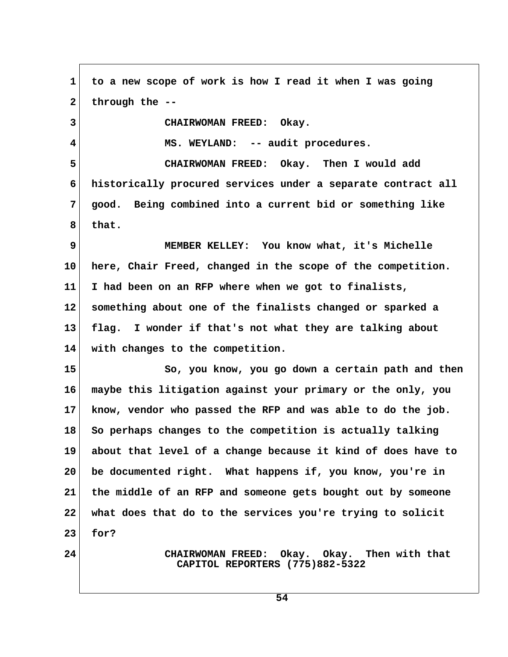**1 to a new scope of work is how I read it when I was going 2 through the -- 3 CHAIRWOMAN FREED: Okay. 4 MS. WEYLAND: -- audit procedures. 5 CHAIRWOMAN FREED: Okay. Then I would add 6 historically procured services under a separate contract all 7 good. Being combined into a current bid or something like 8 that. 9 MEMBER KELLEY: You know what, it's Michelle 10 here, Chair Freed, changed in the scope of the competition. 11 I had been on an RFP where when we got to finalists, 12 something about one of the finalists changed or sparked a 13 flag. I wonder if that's not what they are talking about 14 with changes to the competition. 15 So, you know, you go down a certain path and then 16 maybe this litigation against your primary or the only, you 17 know, vendor who passed the RFP and was able to do the job. 18 So perhaps changes to the competition is actually talking 19 about that level of a change because it kind of does have to 20 be documented right. What happens if, you know, you're in 21 the middle of an RFP and someone gets bought out by someone 22 what does that do to the services you're trying to solicit 23 for? 24 CHAIRWOMAN FREED: Okay. Okay. Then with that CAPITOL REPORTERS (775)882-5322**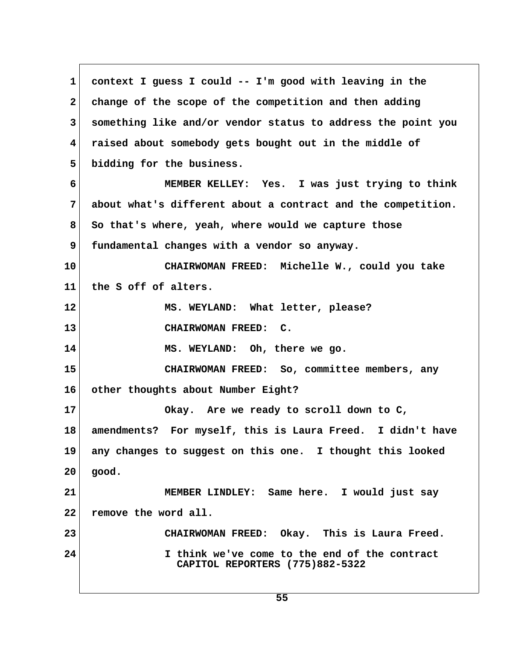**1 context I guess I could -- I'm good with leaving in the 2 change of the scope of the competition and then adding 3 something like and/or vendor status to address the point you 4 raised about somebody gets bought out in the middle of 5 bidding for the business. 6 MEMBER KELLEY: Yes. I was just trying to think 7 about what's different about a contract and the competition. 8 So that's where, yeah, where would we capture those 9 fundamental changes with a vendor so anyway. 10 CHAIRWOMAN FREED: Michelle W., could you take 11 the S off of alters. 12 MS. WEYLAND: What letter, please? 13 CHAIRWOMAN FREED: C. 14 MS. WEYLAND: Oh, there we go. 15 CHAIRWOMAN FREED: So, committee members, any 16 other thoughts about Number Eight? 17 Okay. Are we ready to scroll down to C, 18 amendments? For myself, this is Laura Freed. I didn't have 19 any changes to suggest on this one. I thought this looked 20 good. 21 MEMBER LINDLEY: Same here. I would just say 22 remove the word all. 23 CHAIRWOMAN FREED: Okay. This is Laura Freed. 24 I think we've come to the end of the contract CAPITOL REPORTERS (775)882-5322**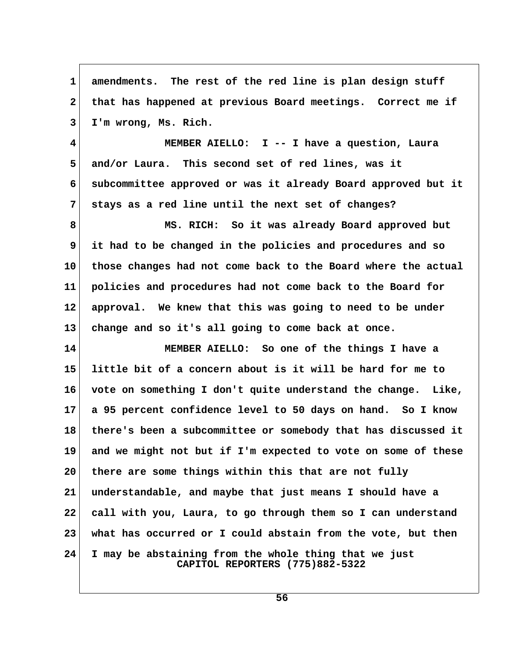1 amendments. The rest of the red line is plan design stuff 2 that has happened at previous Board meetings. Correct me if  **3 I'm wrong, Ms. Rich. 4 MEMBER AIELLO: I -- I have a question, Laura 5 and/or Laura. This second set of red lines, was it 6 subcommittee approved or was it already Board approved but it 7 stays as a red line until the next set of changes? 8 MS. RICH: So it was already Board approved but 9 it had to be changed in the policies and procedures and so 10 those changes had not come back to the Board where the actual 11 policies and procedures had not come back to the Board for 12 approval. We knew that this was going to need to be under 13 change and so it's all going to come back at once. 14 MEMBER AIELLO: So one of the things I have a 15 little bit of a concern about is it will be hard for me to 16 vote on something I don't quite understand the change. Like, 17 a 95 percent confidence level to 50 days on hand. So I know 18 there's been a subcommittee or somebody that has discussed it 19 and we might not but if I'm expected to vote on some of these 20 there are some things within this that are not fully 21 understandable, and maybe that just means I should have a 22 call with you, Laura, to go through them so I can understand 23 what has occurred or I could abstain from the vote, but then 24 I may be abstaining from the whole thing that we just CAPITOL REPORTERS (775)882-5322**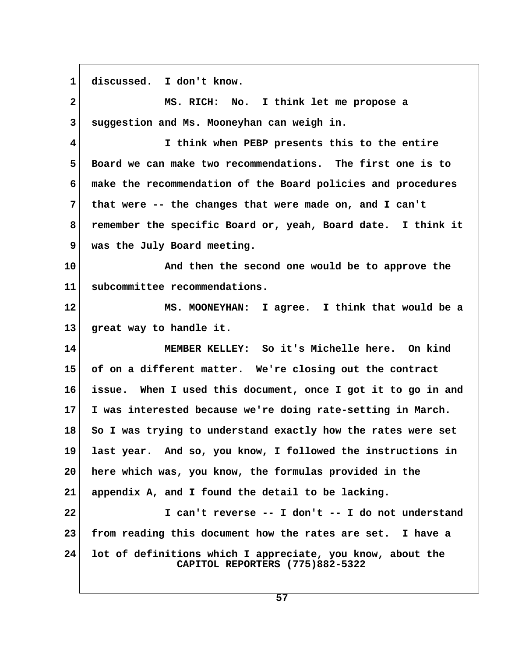**1 discussed. I don't know. 2 MS. RICH: No. I think let me propose a 3 suggestion and Ms. Mooneyhan can weigh in. 4 I think when PEBP presents this to the entire 5 Board we can make two recommendations. The first one is to 6 make the recommendation of the Board policies and procedures 7 that were -- the changes that were made on, and I can't 8 remember the specific Board or, yeah, Board date. I think it 9 was the July Board meeting. 10 And then the second one would be to approve the 11 subcommittee recommendations. 12 MS. MOONEYHAN: I agree. I think that would be a 13 great way to handle it. 14 MEMBER KELLEY: So it's Michelle here. On kind 15 of on a different matter. We're closing out the contract 16 issue. When I used this document, once I got it to go in and 17 I was interested because we're doing rate-setting in March. 18 So I was trying to understand exactly how the rates were set 19 last year. And so, you know, I followed the instructions in 20 here which was, you know, the formulas provided in the 21 appendix A, and I found the detail to be lacking. 22 I can't reverse -- I don't -- I do not understand 23 from reading this document how the rates are set. I have a 24 lot of definitions which I appreciate, you know, about the CAPITOL REPORTERS (775)882-5322**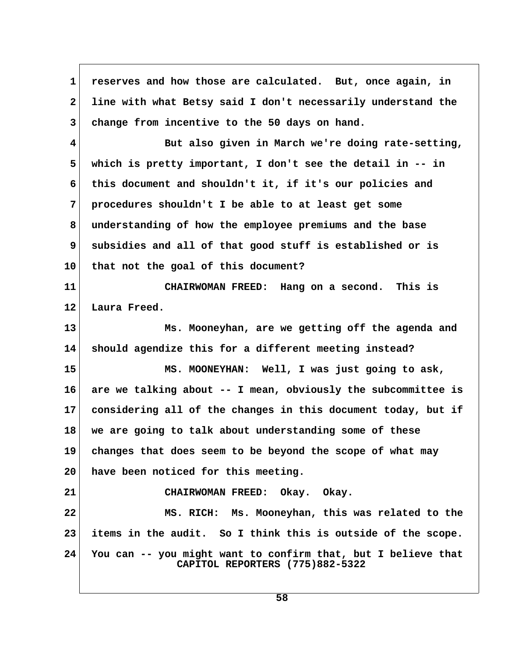1 reserves and how those are calculated. But, once again, in  **2 line with what Betsy said I don't necessarily understand the 3 change from incentive to the 50 days on hand. 4 But also given in March we're doing rate-setting, 5 which is pretty important, I don't see the detail in -- in 6 this document and shouldn't it, if it's our policies and 7 procedures shouldn't I be able to at least get some 8 understanding of how the employee premiums and the base 9 subsidies and all of that good stuff is established or is 10 that not the goal of this document? 11 CHAIRWOMAN FREED: Hang on a second. This is 12 Laura Freed. 13 Ms. Mooneyhan, are we getting off the agenda and 14 should agendize this for a different meeting instead? 15 MS. MOONEYHAN: Well, I was just going to ask, 16 are we talking about -- I mean, obviously the subcommittee is 17 considering all of the changes in this document today, but if 18 we are going to talk about understanding some of these 19 changes that does seem to be beyond the scope of what may 20 have been noticed for this meeting. 21 CHAIRWOMAN FREED: Okay. Okay. 22 MS. RICH: Ms. Mooneyhan, this was related to the 23 items in the audit. So I think this is outside of the scope. 24 You can -- you might want to confirm that, but I believe that CAPITOL REPORTERS (775)882-5322**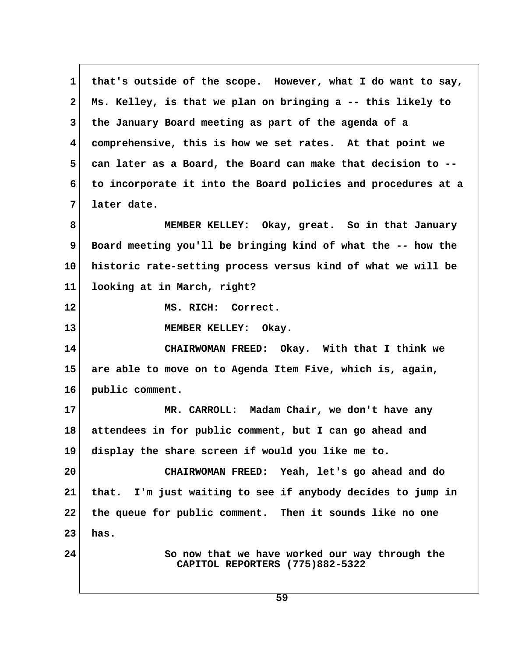**1 that's outside of the scope. However, what I do want to say, 2 Ms. Kelley, is that we plan on bringing a -- this likely to 3 the January Board meeting as part of the agenda of a 4 comprehensive, this is how we set rates. At that point we 5 can later as a Board, the Board can make that decision to -- 6 to incorporate it into the Board policies and procedures at a 7 later date. 8 MEMBER KELLEY: Okay, great. So in that January 9 Board meeting you'll be bringing kind of what the -- how the 10 historic rate-setting process versus kind of what we will be 11 looking at in March, right? 12 MS. RICH: Correct. 13 MEMBER KELLEY: Okay. 14 CHAIRWOMAN FREED: Okay. With that I think we 15 are able to move on to Agenda Item Five, which is, again, 16 public comment. 17 MR. CARROLL: Madam Chair, we don't have any 18 attendees in for public comment, but I can go ahead and 19 display the share screen if would you like me to. 20 CHAIRWOMAN FREED: Yeah, let's go ahead and do 21 that. I'm just waiting to see if anybody decides to jump in 22 the queue for public comment. Then it sounds like no one 23 has. 24 So now that we have worked our way through the CAPITOL REPORTERS (775)882-5322**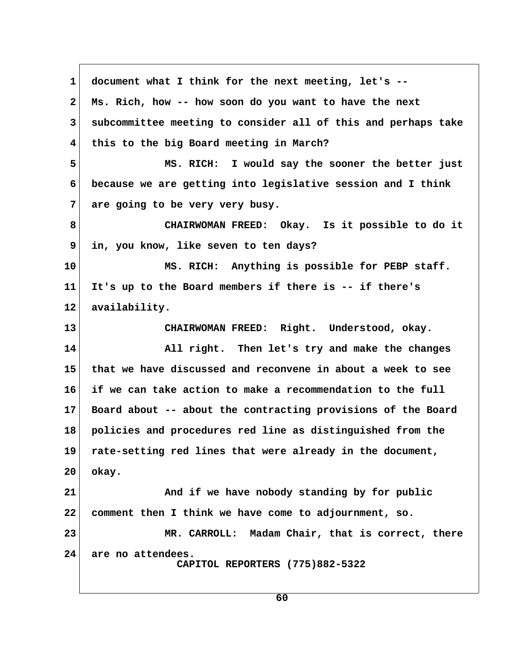**1 document what I think for the next meeting, let's -- 2 Ms. Rich, how -- how soon do you want to have the next 3 subcommittee meeting to consider all of this and perhaps take 4 this to the big Board meeting in March? 5 MS. RICH: I would say the sooner the better just 6 because we are getting into legislative session and I think 7 are going to be very very busy. 8 CHAIRWOMAN FREED: Okay. Is it possible to do it 9 in, you know, like seven to ten days? 10 MS. RICH: Anything is possible for PEBP staff. 11 It's up to the Board members if there is -- if there's 12 availability. 13 CHAIRWOMAN FREED: Right. Understood, okay. 14 All right. Then let's try and make the changes 15 that we have discussed and reconvene in about a week to see 16 if we can take action to make a recommendation to the full 17 Board about -- about the contracting provisions of the Board 18 policies and procedures red line as distinguished from the 19 rate-setting red lines that were already in the document, 20 okay. 21 And if we have nobody standing by for public 22 comment then I think we have come to adjournment, so. 23 MR. CARROLL: Madam Chair, that is correct, there 24 are no attendees. CAPITOL REPORTERS (775)882-5322**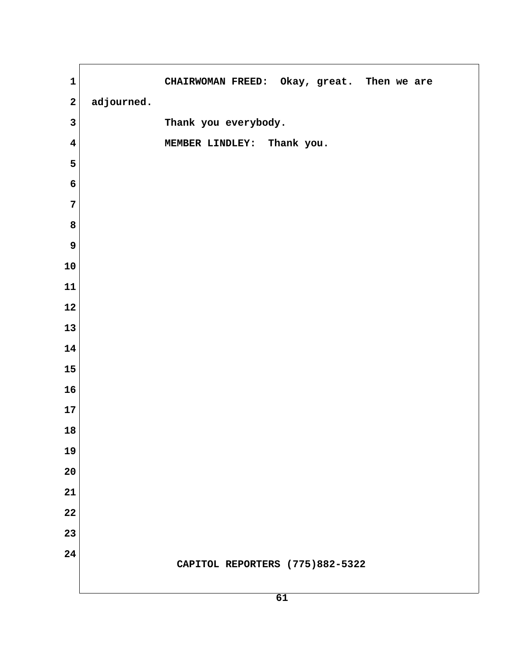| $\mathbf 1$             |            | CHAIRWOMAN FREED: Okay, great. Then we are |
|-------------------------|------------|--------------------------------------------|
| $\mathbf{2}$            | adjourned. |                                            |
| $\mathbf{3}$            |            | Thank you everybody.                       |
| $\overline{\mathbf{4}}$ |            | MEMBER LINDLEY: Thank you.                 |
| 5                       |            |                                            |
| 6                       |            |                                            |
| $\overline{7}$          |            |                                            |
| 8                       |            |                                            |
| 9                       |            |                                            |
| 10                      |            |                                            |
| 11                      |            |                                            |
| 12                      |            |                                            |
| 13                      |            |                                            |
| 14                      |            |                                            |
| 15                      |            |                                            |
| 16                      |            |                                            |
| 17                      |            |                                            |
| 18                      |            |                                            |
| 19                      |            |                                            |
| 20                      |            |                                            |
| 21                      |            |                                            |
| 22                      |            |                                            |
| 23                      |            |                                            |
| 24                      |            | CAPITOL REPORTERS (775)882-5322            |
|                         |            |                                            |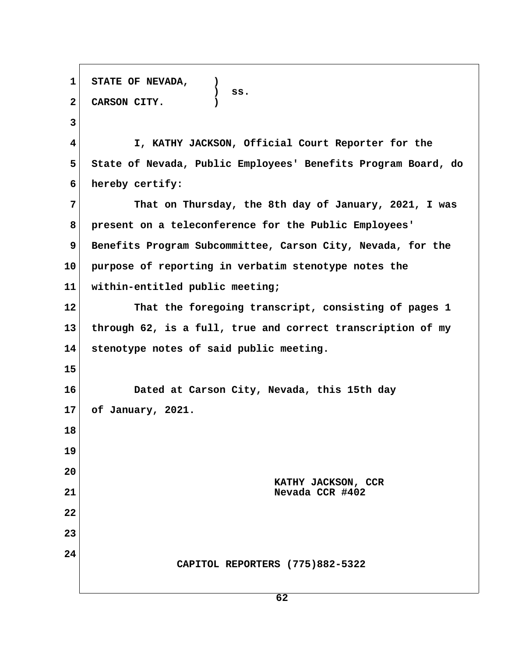**1 STATE OF NEVADA, ) ) ss. 2 CARSON CITY. ) 3 4 I, KATHY JACKSON, Official Court Reporter for the 5 State of Nevada, Public Employees' Benefits Program Board, do 6 hereby certify: 7 That on Thursday, the 8th day of January, 2021, I was 8 present on a teleconference for the Public Employees' 9 Benefits Program Subcommittee, Carson City, Nevada, for the 10 purpose of reporting in verbatim stenotype notes the 11 within-entitled public meeting; 12 That the foregoing transcript, consisting of pages 1 13 through 62, is a full, true and correct transcription of my 14 stenotype notes of said public meeting. 15 16 Dated at Carson City, Nevada, this 15th day 17 of January, 2021. 18 19 20 KATHY JACKSON, CCR 21 Nevada CCR #402 22 23 24 CAPITOL REPORTERS (775)882-5322**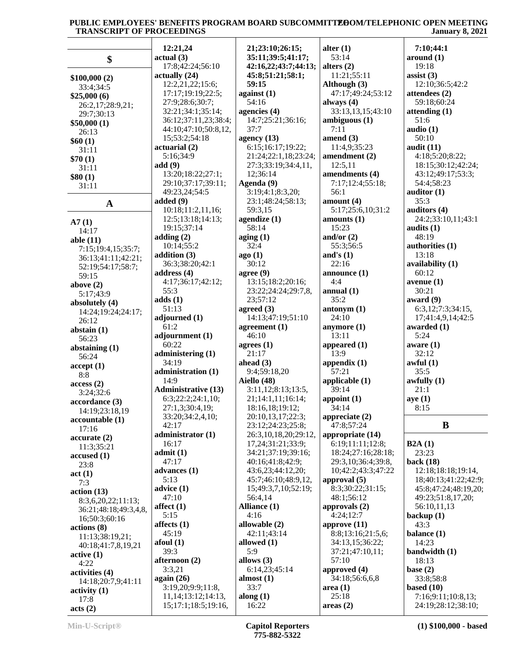|                               | 12:21,24                                       | 21;23:10;26:15;                        | alter $(1)$                    | 7:10;44:1                                |
|-------------------------------|------------------------------------------------|----------------------------------------|--------------------------------|------------------------------------------|
| \$                            | actual(3)                                      | 35:11;39:5;41:17;                      | 53:14                          | around (1)                               |
|                               | 17:8;42:24;56:10                               | 42:16,22;43:7;44:13;                   | alters $(2)$                   | 19:18                                    |
| \$100,000(2)                  | actually (24)                                  | 45:8;51:21;58:1;                       | 11:21;55:11                    | assist $(3)$                             |
| 33:4:34:5                     | 12:2,21,22;15:6;                               | 59:15                                  | Although (3)                   | 12:10;36:5;42:2                          |
| \$25,000(6)                   | 17:17;19:19;22:5;                              | against $(1)$                          | 47:17;49:24;53:12              | attendees (2)                            |
| 26:2,17;28:9,21;              | 27:9;28:6;30:7;                                | 54:16                                  | always $(4)$                   | 59:18;60:24                              |
| 29:7;30:13                    | 32:21;34:1;35:14;                              | agencies (4)                           | 33:13,13,15;43:10              | attending(1)                             |
| \$50,000(1)                   | 36:12;37:11,23;38:4;                           | 14:7;25:21;36:16;                      | ambiguous(1)                   | 51:6                                     |
| 26:13                         | 44:10;47:10;50:8,12,                           | 37:7                                   | 7:11                           | audio $(1)$                              |
| \$60(1)                       | 15;53:2;54:18                                  | agency $(13)$                          | amend $(3)$                    | 50:10                                    |
| 31:11                         | actuarial (2)                                  | 6:15;16:17;19:22;                      | 11:4,9;35:23                   | audit $(11)$                             |
| \$70(1)                       | 5:16;34:9                                      | 21:24;22:1,18;23:24;                   | amendment (2)                  | 4:18;5:20;8:22;                          |
| 31:11                         | add(9)                                         | 27:3;33:19;34:4,11,                    | 12:5,11                        | 18:15;30:12;42:24;                       |
| \$80(1)                       | 13:20;18:22;27:1;                              | 12;36:14                               | amendments (4)                 | 43:12;49:17;53:3;                        |
| 31:11                         | 29:10;37:17;39:11;                             | Agenda (9)                             | 7:17;12:4;55:18;               | 54:4;58:23                               |
|                               | 49:23,24;54:5                                  | 3:19;4:1;8:3,20;                       | 56:1                           | auditor $(1)$                            |
| $\mathbf A$                   | added (9)                                      | 23:1;48:24;58:13;                      | amount $(4)$                   | 35:3                                     |
|                               | 10:18;11:2,11,16;                              | 59:3,15                                | 5:17;25:6,10;31:2              | auditors (4)                             |
| A7(1)                         | 12:5;13:18;14:13;                              | agendize (1)                           | amounts $(1)$                  | 24:2;33:10,11;43:1                       |
| 14:17                         | 19:15;37:14<br>adding $(2)$                    | 58:14                                  | 15:23<br>and/or $(2)$          | audits (1)<br>48:19                      |
| able (11)                     | 10:14;55:2                                     | aging $(1)$<br>32:4                    | 55:3;56:5                      | authorities (1)                          |
| 7:15;19:4,15;35:7;            | addition (3)                                   | ago(1)                                 | and's $(1)$                    | 13:18                                    |
| 36:13;41:11;42:21;            | 36:3;38:20;42:1                                | 30:12                                  | 22:16                          | availability (1)                         |
| 52:19;54:17;58:7;             | address (4)                                    | agree $(9)$                            | announce $(1)$                 | 60:12                                    |
| 59:15                         | 4:17;36:17;42:12;                              | 13:15;18:2;20:16;                      | 4:4                            | average(1)                               |
| above $(2)$                   | 55:3                                           | 23:22;24:24;29:7,8,                    | annual $(1)$                   | 30:21                                    |
| 5:17;43:9                     | adds(1)                                        | 23;57:12                               | 35:2                           | award $(9)$                              |
| absolutely (4)                | 51:13                                          | agreed $(3)$                           | antonym(1)                     | 6:3,12;7:3;34:15,                        |
| 14:24;19:24;24:17;            | adjourned (1)                                  | 14:13;47:19;51:10                      | 24:10                          | 17;41:4,9,14;42:5                        |
| 26:12                         |                                                |                                        |                                |                                          |
|                               |                                                |                                        |                                |                                          |
| abstain $(1)$                 | 61:2                                           | agreement $(1)$                        | anymore $(1)$                  | awarded (1)                              |
| 56:23                         | adjournment (1)                                | 46:10                                  | 13:11                          | 5:24                                     |
| abstaining $(1)$              | 60:22                                          | agrees $(1)$                           | appeared $(1)$                 | aware $(1)$                              |
| 56:24                         | administering (1)                              | 21:17                                  | 13:9                           | 32:12                                    |
| accept(1)                     | 34:19                                          | ahead $(3)$                            | appendix $(1)$                 | awful(1)                                 |
| 8:8                           | administration (1)                             | 9:4;59:18,20                           | 57:21                          | 35:5                                     |
| access(2)                     | 14:9                                           | Aiello (48)                            | applicable $(1)$               | awfully $(1)$                            |
| 3:24;32:6                     | <b>Administrative (13)</b>                     | 3:11,12;8:13;13:5,                     | 39:14                          | 21:1                                     |
| accordance(3)                 | 6:3;22:2;24:1,10;                              | 21;14:1,11;16:14;                      | appoint $(1)$                  | aye(1)                                   |
| 14:19;23:18,19                | 27:1,3;30:4,19;                                | 18:16,18;19:12;                        | 34:14                          | 8:15                                     |
| accountable (1)               | 33:20;34:2,4,10;<br>42:17                      | 20:10,13,17;22:3;<br>23:12;24:23;25:8; | appreciate $(2)$<br>47:8;57:24 | B                                        |
| 17:16                         | administrator (1)                              | 26:3,10,18,20;29:12,                   | appropriate (14)               |                                          |
| accurate(2)                   | 16:17                                          | 17,24;31:21;33:9;                      | 6:19;11:11;12:8;               | B2A(1)                                   |
| 11:3;35:21                    | admit(1)                                       | 34:21;37:19;39:16;                     | 18:24;27:16;28:18;             | 23:23                                    |
| accused(1)                    | 47:17                                          | 40:16;41:8;42:9;                       | 29:3,10;36:4;39:8,             | back $(18)$                              |
| 23:8                          | advances $(1)$                                 | 43:6,23;44:12,20;                      | 10;42:2;43:3;47:22             | 12:18;18:18;19:14,                       |
| act(1)                        | 5:13                                           | 45:7;46:10;48:9,12,                    | approval $(5)$                 | 18;40:13;41:22;42:9;                     |
| 7:3                           | $\text{advice}$ (1)                            | 15;49:3,7,10;52:19;                    | 8:3;30:22;31:15;               | 45:8;47:24;48:19,20;                     |
| action (13)                   | 47:10                                          | 56:4,14                                | 48:1;56:12                     | 49:23;51:8,17,20;                        |
| 8:3,6,20,22;11:13;            | affect $(1)$                                   | Alliance (1)                           | approvals $(2)$                | 56:10,11,13                              |
| 36:21;48:18;49:3,4,8,         | 5:15                                           | 4:16                                   | 4:24;12:7                      | backup $(1)$                             |
| 16;50:3;60:16                 | affects $(1)$                                  | allowable (2)                          | approve $(11)$                 | 43:3                                     |
| actions (8)                   | 45:19                                          | 42:11;43:14                            | 8:8;13:16;21:5,6;              | balance (1)                              |
| 11:13;38:19,21;               | $a$ foul $(1)$                                 | allowed (1)                            | 34:13,15;36:22;                | 14:23                                    |
| 40:18;41:7,8,19,21            | 39:3                                           | 5:9                                    | 37:21;47:10,11;                | bandwidth (1)                            |
| active(1)                     | afternoon (2)                                  | allows $(3)$                           | 57:10                          | 18:13                                    |
| 4:22                          | 3:3,21                                         | 6:14,23;45:14                          | approved (4)                   | base $(2)$                               |
| activities (4)                | again $(26)$                                   | almost (1)                             | 34:18;56:6,6,8                 | 33:8;58:8                                |
| 14:18;20:7,9;41:11            | 3:19,20;9:9;11:8,                              | 33:7                                   | area(1)                        | based $(10)$                             |
| $\text{activity} (1)$<br>17:8 | 11, 14; 13: 12; 14: 13,<br>15;17:1;18:5;19:16, | along $(1)$<br>16:22                   | 25:18<br>areas $(2)$           | 7:16;9:11;10:8,13;<br>24:19;28:12;38:10; |

**acts (2)**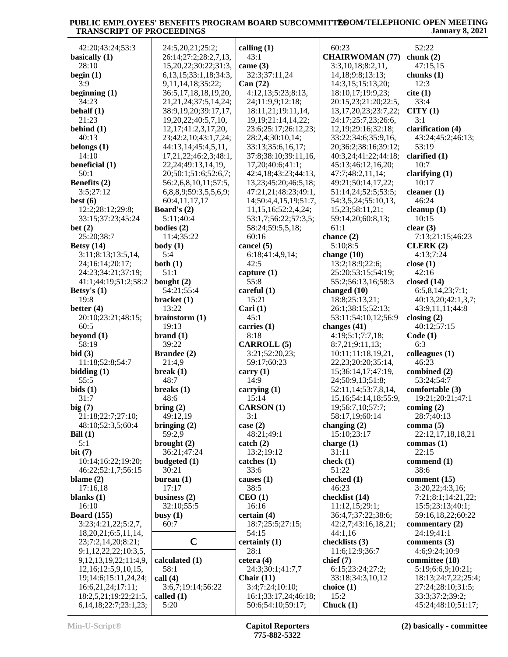| 42:20;43:24;53:3               | 24:5,20,21;25:2;                | calling $(1)$                 | 60:23                      | 52:22                                 |
|--------------------------------|---------------------------------|-------------------------------|----------------------------|---------------------------------------|
| basically (1)                  | 26:14;27:2;28:2,7,13,           | 43:1                          | <b>CHAIRWOMAN (77)</b>     | chunk $(2)$                           |
| 28:10                          | 15,20,22;30:22;31:3,            | came $(3)$                    | 3:3,10,18;8:2,11,          | 47:15,15                              |
| begin $(1)$                    | 6, 13, 15; 33: 1, 18; 34: 3,    | 32:3;37:11,24                 | 14, 18; 9: 8; 13: 13;      | chunks $(1)$                          |
| 3:9                            | 9,11,14,18;35:22;               | Can (72)                      | 14:3,15:15:13,20;          | 12:3                                  |
| beginning $(1)$                | 36:5,17,18,18,19,20,            | 4:12,13;5:23;8:13,            | 18:10,17;19:9,23;          | cite (1)                              |
| 34:23                          | 21, 21, 24; 37: 5, 14, 24;      | 24;11:9,9;12:18;              | 20:15,23;21:20;22:5,       | 33:4                                  |
| behalf $(1)$                   | 38:9,19,20;39:17,17,            | 18:11,21;19:11,14,            | 13, 17, 20, 23; 23: 7, 22; | CITY(1)                               |
| 21:23                          | 19,20,22;40:5,7,10,             | 19, 19; 21: 14, 14, 22;       | 24:17;25:7,23;26:6,        | 3:1                                   |
| behind $(1)$                   | 12, 17; 41: 2, 3, 17, 20,       | 23:6;25:17;26:12,23;          | 12, 19; 29: 16; 32: 18;    | clarification (4)                     |
| 40:13                          | 23;42:2,10;43:1,7,24;           | 28:2,4;30:10,14;              | 33:22;34:6;35:9,16,        | 43:24;45:2;46:13;                     |
| belongs $(1)$                  | 44:13,14;45:4,5,11,             | 33:13;35:6,16,17;             | 20;36:2;38:16;39:12;       | 53:19                                 |
| 14:10                          | 17,21,22;46:2,3;48:1,           | 37:8;38:10;39:11,16,          | 40:3,24;41:22;44:18;       | clarified $(1)$                       |
| beneficial (1)                 | 22, 24; 49: 13, 14, 19,         | 17,20;40:6;41:1;              | 45:13;46:12,16,20;         | 10:7                                  |
| 50:1                           | 20;50:1;51:6;52:6,7;            | 42:4,18;43:23;44:13,          | 47:7;48:2,11,14;           | clarifying $(1)$                      |
| Benefits (2)                   | 56:2,6,8,10,11;57:5,            | 13,23;45:20;46:5,18;          | 49:21;50:14,17,22;         | 10:17                                 |
| 3:5;27:12                      | 6,8,8,9;59:3,5,5,6,9;           | 47:21,21;48:23;49:1,          | 51:14,24;52:5;53:5;        | cleaner $(1)$                         |
|                                |                                 |                               |                            | 46:24                                 |
| best $(6)$<br>12:2;28:12;29:8; | 60:4,11,17,17                   | 14;50:4,4,15,19;51:7,         | 54:3,5,24;55:10,13,        |                                       |
|                                | <b>Board's <math>(2)</math></b> | 11,15,16;52:2,4,24;           | 15,23;58:11,21;            | cleanup $(1)$                         |
| 33:15;37:23;45:24              | 5:11;40:4                       | 53:1,7;56:22;57:3,5;          | 59:14,20;60:8,13;          | 10:15                                 |
| bet $(2)$                      | bodies $(2)$                    | 58:24;59:5,5,18;              | 61:1                       | clear(3)                              |
| 25:20;38:7                     | 11:4;35:22                      | 60:16                         | chance (2)                 | 7:13;21:15;46:23                      |
| Betsy $(14)$                   | body(1)                         | cancel (5)                    | 5:10;8:5                   | CLERK(2)                              |
| 3:11;8:13;13:5,14,             | 5:4                             | 6:18;41:4,9,14;               | change $(10)$              | 4:13:7:24                             |
| 24;16:14;20:17;                | both $(1)$                      | 42:5                          | 13:2;18:9;22:6;            | close $(1)$                           |
| 24:23;34:21;37:19;             | 51:1                            | capture $(1)$                 | 25:20;53:15;54:19;         | 42:16                                 |
| 41:1;44:19;51:2;58:2           | bought $(2)$                    | 55:8                          | 55:2;56:13,16;58:3         | closed $(14)$                         |
| Betsy's $(1)$                  | 54:21;55:4                      | careful $(1)$                 | changed (10)               | 6:5,8,14,23;7:1;                      |
| 19:8                           | bracket(1)                      | 15:21                         | 18:8;25:13,21;             | 40:13,20;42:1,3,7;                    |
| better $(4)$                   | 13:22                           | Cari $(1)$                    | 26:1;38:15;52:13;          | 43:9,11,11;44:8                       |
| 20:10;23:21;48:15;             | brainstorm $(1)$                | 45:1                          | 53:11;54:10,12;56:9        | closing $(2)$                         |
| 60:5                           | 19:13                           | carries (1)                   | changes (41)               | 40:12;57:15                           |
| beyond $(1)$                   | brand(1)                        | 8:18                          | 4:19;5:1;7:7,18;           | Code(1)                               |
|                                |                                 |                               |                            |                                       |
| 58:19                          | 39:22                           | <b>CARROLL</b> (5)            |                            | 6:3                                   |
|                                |                                 |                               | 8:7,21;9:11,13;            |                                       |
| bid(3)                         | <b>Brandee</b> (2)              | 3:21;52:20,23;<br>59:17;60:23 | 10:11;11:18,19,21,         | colleagues $(1)$<br>46:23             |
| 11:18;52:8;54:7                | 21:4,9                          |                               | 22, 23; 20: 20; 35: 14,    |                                       |
| bidding(1)                     | break $(1)$                     | carry $(1)$                   | 15;36:14,17;47:19,         | combined (2)                          |
| 55:5                           | 48:7                            | 14:9                          | 24;50:9,13;51:8;           | 53:24;54:7                            |
| bids(1)                        | breaks $(1)$                    | carrying $(1)$                | 52:11,14;53:7,8,14,        | comfortable (3)                       |
| 31:7                           | 48:6                            | 15:14                         | 15, 16; 54: 14, 18; 55: 9, | 19:21;20:21;47:1                      |
| big $(7)$                      | bring $(2)$                     | <b>CARSON</b> (1)             | 19;56:7,10;57:7;           | coming $(2)$                          |
| 21:18;22:7;27:10;              | 49:12,19                        | 3:1                           | 58:17,19;60:14             | 28:7;40:13                            |
| 48:10;52:3,5;60:4              | bringing $(2)$                  | case $(2)$                    | changing $(2)$             | comma $(5)$                           |
| Bill $(1)$                     | 59:2,9                          | 48:21;49:1                    | 15:10;23:17                | 22:12,17,18,18,21                     |
| 5:1                            | brought $(2)$                   | $\text{catch} (2)$            | charge $(1)$               | commas $(1)$                          |
| bit(7)                         | 36:21;47:24                     | 13:2;19:12                    | 31:11                      | 22:15                                 |
| 10:14;16:22;19:20;             | budgeted $(1)$                  | catches(1)                    | check $(1)$                | commend (1)                           |
| 46:22;52:1,7;56:15             | 30:21                           | 33:6                          | 51:22                      | 38:6                                  |
| blame $(2)$                    | bureau $(1)$                    | causes $(1)$                  | checked (1)                | comment (15)                          |
| 17:16,18                       | 17:17                           | 38:5                          | 46:23                      | 3:20,22;4:3,16;                       |
| blanks $(1)$                   | business $(2)$                  | CEO(1)                        | checklist (14)             | 7:21;8:1;14:21,22;                    |
| 16:10                          | 32:10;55:5                      | 16:16                         | 11:12,15;29:1;             | 15:5;23:13;40:1;                      |
| <b>Board</b> (155)             | busy $(1)$                      | certain(4)                    | 36:4,7;37:22;38:6;         | 59:16,18,22;60:22                     |
| 3:23;4:21,22;5:2,7,            | 60:7                            | 18:7;25:5;27:15;              | 42:2,7;43:16,18,21;        | commentary $(2)$                      |
| 18,20,21;6:5,11,14,            |                                 | 54:15                         | 44:1,16                    | 24:19;41:1                            |
| 23;7:2,14,20;8:21;             | $\mathbf C$                     | certainly (1)                 | checklists (3)             | comments $(3)$                        |
| 9:1,12,22,22;10:3,5,           |                                 | 28:1                          | 11:6;12:9;36:7             | 4:6;9:24;10:9                         |
| 9, 12, 13, 19, 22; 11: 4, 9,   | calculated (1)                  | cetera $(4)$                  | chief(7)                   | committee (18)                        |
| 12,16;12:5,9,10,15,            | 58:1                            | 24:3:30:1:41:7.7              | 6:15;23:24;27:2;           | 5:19;6:6,9;10:21;                     |
| 19;14:6;15:11,24,24;           | call $(4)$                      | Chair $(11)$                  | 33:18;34:3,10,12           | 18:13;24:7,22;25:4;                   |
| 16:6,21,24;17:11;              | 3:6,7;19:14;56:22               | 3:4;7:24;10:10;               | choice (1)                 | 27:24;28:10;31:5;                     |
| 18:2,5,21;19:22;21:5,          | called $(1)$<br>5:20            | 16:1;33:17,24;46:18;          | 15:2<br>Chuck $(1)$        | 33:3;37:2;39:2;<br>45:24;48:10;51:17; |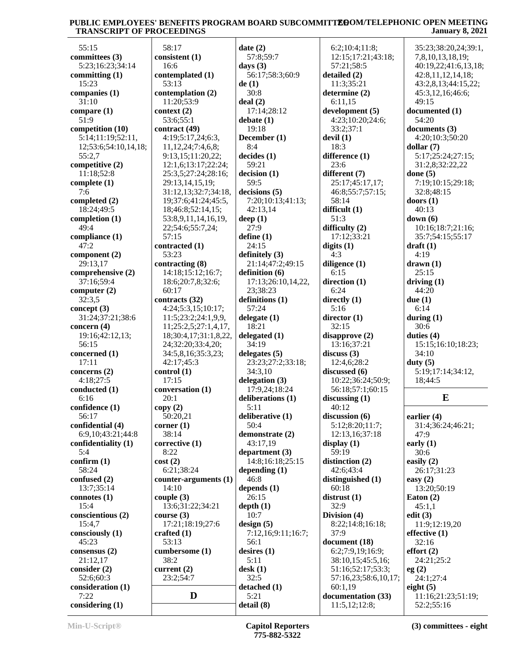| 55:15                | 58:17                   | date(2)            | 6:2;10:4;11:8;       | 35:23;38:20,24;39:1, |
|----------------------|-------------------------|--------------------|----------------------|----------------------|
| committees (3)       | consistent (1)          | 57:8;59:7          | 12:15;17:21;43:18;   | 7,8,10,13,18,19;     |
| 5:23;16:23;34:14     | 16:6                    | days $(3)$         | 57:21;58:5           | 40:19,22;41:6,13,18; |
| committing $(1)$     | contemplated (1)        | 56:17;58:3;60:9    | detailed (2)         | 42:8,11,12,14,18;    |
| 15:23                |                         |                    |                      |                      |
|                      | 53:13                   | de(1)              | 11:3;35:21           | 43:2,8,13;44:15,22;  |
| companies $(1)$      | contemplation (2)       | 30:8               | determine (2)        | 45:3,12,16;46:6;     |
| 31:10                | 11:20;53:9              | deal(2)            | 6:11,15              | 49:15                |
| compare $(1)$        | context (2)             | 17:14;28:12        | development (5)      | documented (1)       |
| 51:9                 | 53:6;55:1               | debate(1)          | 4:23;10:20;24:6;     | 54:20                |
| competition (10)     | contract (49)           | 19:18              | 33:2;37:1            | documents (3)        |
| 5:14;11:19;52:11,    | 4:19;5:17,24;6:3,       | December (1)       | devil $(1)$          | 4:20;10:3;50:20      |
|                      |                         |                    |                      |                      |
| 12;53:6;54:10,14,18; | 11, 12, 24; 7: 4, 6, 8; | 8:4                | 18:3                 | dollar $(7)$         |
| 55:2,7               | 9:13,15;11:20,22;       | decides(1)         | difference (1)       | 5:17;25:24;27:15;    |
| competitive (2)      | 12:1,6;13:17;22:24;     | 59:21              | 23:6                 | 31:2,8;32:22,22      |
| 11:18;52:8           | 25:3,5;27:24;28:16;     | decision (1)       | different (7)        | done $(5)$           |
| complete $(1)$       | 29:13,14,15,19;         | 59:5               | 25:17;45:17,17;      | 7:19;10:15;29:18;    |
| 7:6                  | 31:12,13;32:7;34:18,    | decisions (5)      | 46:8;55:7;57:15;     | 32:8;48:15           |
| completed $(2)$      | 19;37:6;41:24;45:5,     | 7:20;10:13;41:13;  | 58:14                | doors $(1)$          |
|                      |                         |                    |                      |                      |
| 18:24;49:5           | 18;46:8;52:14,15;       | 42:13,14           | difficult (1)        | 40:13                |
| completion $(1)$     | 53:8,9,11,14,16,19,     | deep $(1)$         | 51:3                 | down $(6)$           |
| 49:4                 | 22;54:6;55:7,24;        | 27:9               | difficulty $(2)$     | 10:16;18:7;21:16;    |
| compliance (1)       | 57:15                   | define $(1)$       | 17:12:33:21          | 35:7;54:15;55:17     |
| 47:2                 | contracted (1)          | 24:15              | digits $(1)$         | $dr$ aft $(1)$       |
| component (2)        | 53:23                   | definitely $(3)$   | 4:3                  | 4:19                 |
|                      |                         |                    |                      |                      |
| 29:13,17             | contracting (8)         | 21:14;47:2;49:15   | diligence (1)        | drawn(1)             |
| comprehensive (2)    | 14:18;15:12;16:7;       | definition (6)     | 6:15                 | 25:15                |
| 37:16;59:4           | 18:6;20:7,8;32:6;       | 17:13;26:10,14,22, | direction (1)        | driving $(1)$        |
| computer $(2)$       | 60:17                   | 23;38:23           | 6:24                 | 44:20                |
| 32:3,5               | contracts (32)          | definitions (1)    | directly $(1)$       | due $(1)$            |
| concept $(3)$        | 4:24;5:3,15;10:17;      | 57:24              | 5:16                 | 6:14                 |
| 31:24;37:21;38:6     | 11:5;23:2;24:1,9,9,     | delegate $(1)$     | director (1)         | during $(1)$         |
| concern $(4)$        | 11;25:2,5;27:1,4,17,    | 18:21              | 32:15                | 30:6                 |
|                      |                         |                    |                      |                      |
| 19:16;42:12,13;      | 18;30:4,17;31:1,8,22,   | delegated $(1)$    | disapprove(2)        | duties $(4)$         |
| 56:15                | 24;32:20;33:4,20;       | 34:19              | 13:16;37:21          | 15:15;16:10;18:23;   |
| concerned (1)        | 34:5,8,16;35:3,23;      | delegates $(5)$    | discuss $(3)$        | 34:10                |
| 17:11                | 42:17;45:3              | 23:23;27:2;33:18;  | 12:4,6;28:2          | duty $(5)$           |
| concerns $(2)$       | control(1)              | 34:3,10            | discussed (6)        | 5:19;17:14;34:12,    |
| 4:18;27:5            | 17:15                   | delegation $(3)$   | 10:22;36:24;50:9;    | 18;44:5              |
| conducted (1)        | conversation (1)        | 17:9,24;18:24      | 56:18;57:1;60:15     |                      |
|                      |                         |                    |                      | $\bf{E}$             |
| 6:16                 | 20:1                    | deliberations (1)  | discussing $(1)$     |                      |
| confidence (1)       | copy(2)                 | 5:11               | 40:12                |                      |
| 56:17                | 50:20,21                | deliberative (1)   | discussion $(6)$     | earlier $(4)$        |
| confidential (4)     | corner $(1)$            | 50:4               | 5:12;8:20;11:7;      | 31:4;36:24;46:21;    |
| 6:9,10;43:21;44:8    | 38:14                   | demonstrate (2)    | 12:13,16;37:18       | 47:9                 |
| confidentiality (1)  | corrective $(1)$        | 43:17,19           | display $(1)$        | early $(1)$          |
| 5:4                  | 8:22                    | department (3)     | 59:19                | 30:6                 |
|                      |                         |                    |                      |                      |
| confirm (1)          | cost(2)                 | 14:8;16:18;25:15   | distinction (2)      | easily $(2)$         |
| 58:24                | 6:21;38:24              | depending (1)      | 42:6;43:4            | 26:17;31:23          |
| confused (2)         | $counter-arguments (1)$ | 46:8               | distinguished (1)    | easy $(2)$           |
| 13:7;35:14           | 14:10                   | depends $(1)$      | 60:18                | 13:20;50:19          |
| connotes $(1)$       | couple $(3)$            | 26:15              | distrust(1)          | Eaton $(2)$          |
| 15:4                 | 13:6;31:22;34:21        | depth(1)           | 32:9                 | 45:1,1               |
| conscientious (2)    |                         | 10:7               | Division $(4)$       | edit $(3)$           |
|                      | course $(3)$            |                    |                      |                      |
| 15:4,7               | 17:21;18:19;27:6        | design(5)          | 8:22;14:8;16:18;     | 11:9;12:19,20        |
| consciously (1)      | crafted $(1)$           | 7:12,16;9:11;16:7; | 37:9                 | effective $(1)$      |
| 45:23                | 53:13                   | 56:1               | document (18)        | 32:16                |
| consensus (2)        | cumbersome (1)          | desires $(1)$      | 6:2;7:9,19;16:9;     | effort(2)            |
| 21:12,17             | 38:2                    | 5:11               | 38:10,15;45:5,16;    | 24:21;25:2           |
| consider $(2)$       | current (2)             | $\text{desk}(1)$   | 51:16;52:17;53:3;    |                      |
|                      |                         |                    |                      | eg(2)                |
| 52:6;60:3            | 23:2;54:7               | 32:5               | 57:16,23;58:6,10,17; | 24:1;27:4            |
| consideration (1)    |                         | detached (1)       | 60:1,19              | eight $(5)$          |
| 7:22                 | D                       | 5:21               | documentation (33)   | 11:16;21:23;51:19;   |
| considering (1)      |                         | detail (8)         | 11:5,12;12:8;        | 52:2;55:16           |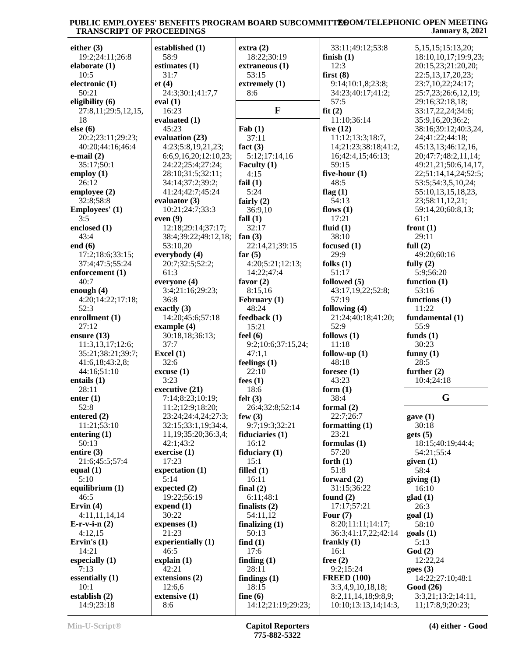| either $(3)$                   | established (1)       | extra(2)                         | 33:11;49:12;53:8                            | 5, 15, 15; 15: 13, 20;                 |
|--------------------------------|-----------------------|----------------------------------|---------------------------------------------|----------------------------------------|
| 19:2;24:11;26:8                | 58:9                  | 18:22;30:19                      | finish $(1)$                                | 18:10,10,17;19:9,23;                   |
| elaborate $(1)$                | estimates (1)         | extraneous (1)                   | 12:3                                        | 20:15,23;21:20,20;                     |
| 10:5                           | 31:7                  | 53:15                            | first $(8)$                                 | 22:5,13,17,20,23;                      |
| electronic (1)                 | et(4)                 | extremely (1)                    | 9:14:10:1,8:23:8;                           | 23:7,10,22;24:17;                      |
| 50:21                          | 24:3;30:1;41:7,7      | 8:6                              | 34:23;40:17;41:2;                           | 25:7,23;26:6,12,19;                    |
| eligibility (6)                | eval $(1)$            |                                  | 57:5                                        | 29:16;32:18,18;                        |
| 27:8,11;29:5,12,15,            | 16:23                 | $\mathbf{F}$                     | fit(2)                                      | 33:17,22,24;34:6;                      |
| 18                             | evaluated (1)         |                                  | 11:10;36:14                                 | 35:9,16,20;36:2;                       |
| else (6)                       | 45:23                 | $\text{Fab}(1)$                  | five $(12)$                                 | 38:16;39:12;40:3,24,                   |
| 20:2;23:11;29:23;              | evaluation (23)       | 37:11                            | 11:12;13:3;18:7,                            | 24;41:22;44:18;                        |
| 40:20:44:16:46:4               | 4:23;5:8,19,21,23;    | fact $(3)$                       | 14;21:23;38:18;41:2,                        | 45:13,13;46:12,16,                     |
| e-mail $(2)$                   | 6:6,9,16,20;12:10,23; | 5:12;17:14,16                    | 16;42:4,15;46:13;                           | 20;47:7;48:2,11,14;                    |
| 35:17;50:1                     | 24:22;25:4;27:24;     | Faculty (1)                      | 59:15                                       | 49:21,21;50:6,14,17,                   |
| employ $(1)$                   | 28:10;31:5;32:11;     | 4:15                             | five-hour (1)                               | 22;51:14,14,24;52:5;                   |
| 26:12                          | 34:14;37:2;39:2;      | fail $(1)$                       | 48:5                                        | 53:5;54:3,5,10,24;                     |
| employee (2)                   | 41:24;42:7;45:24      | 5:24                             | flag $(1)$                                  | 55:10,13,15,18,23,                     |
| 32:8:58:8                      | evaluator $(3)$       | fairly $(2)$                     | 54:13                                       | 23;58:11,12,21;                        |
| Employees' (1)                 | 10:21;24:7;33:3       | 36:9,10                          | flows $(1)$                                 | 59:14,20;60:8,13;                      |
| 3:5                            | even(9)               | fall $(1)$                       | 17:21                                       | 61:1                                   |
| enclosed (1)                   | 12:18;29:14;37:17;    | 32:17                            | fluid $(1)$                                 | front $(1)$                            |
| 43:4                           | 38:4;39:22;49:12,18;  | fan $(3)$                        | 38:10                                       | 29:11                                  |
| end $(6)$                      | 53:10,20              | 22:14,21;39:15                   | focused (1)                                 | full $(2)$                             |
| 17:2;18:6;33:15;               | everybody (4)         | far $(5)$                        | 29:9                                        | 49:20;60:16                            |
| 37:4;47:5;55:24                | 20:7;32:5;52:2;       | 4:20;5:21;12:13;                 | folks $(1)$                                 | fully $(2)$                            |
| enforcement (1)                | 61:3                  | 14:22;47:4                       | 51:17                                       | 5:9;56:20                              |
| 40:7                           | everyone (4)          | favor $(2)$                      | followed (5)                                | function $(1)$                         |
| enough $(4)$                   | 3:4;21:16;29:23;      | 8:15,16                          | 43:17,19,22;52:8;                           | 53:16                                  |
| 4:20;14:22;17:18;              | 36:8                  | February (1)                     | 57:19                                       | functions $(1)$                        |
| 52:3                           | exactly $(3)$         | 48:24                            | following (4)                               | 11:22                                  |
| enrollment (1)                 | 14:20;45:6;57:18      | feedback(1)                      | 21:24;40:18;41:20;                          | fundamental (1)                        |
| 27:12                          | example (4)           | 15:21                            | 52:9                                        | 55:9                                   |
| ensure $(13)$                  | 30:18,18;36:13;       | feel $(6)$                       | follows $(1)$                               | funds $(1)$                            |
| 11:3,13,17;12:6;               | 37:7                  | 9:2;10:6;37:15,24;               | 11:18                                       | 30:23                                  |
| 35:21;38:21;39:7;              | Excel $(1)$           | 47:1,1                           | follow-up $(1)$                             | funny $(1)$                            |
| 41:6,18;43:2,8;                | 32:6                  | feelings $(1)$                   | 48:18                                       | 28:5                                   |
| 44:16;51:10                    | excuse(1)             | 22:10                            | foresee $(1)$                               | further $(2)$                          |
| entails $(1)$                  | 3:23                  | fees $(1)$                       | 43:23                                       | 10:4;24:18                             |
| 28:11                          | executive (21)        | 18:6                             | form $(1)$                                  | G                                      |
| enter $(1)$                    | 7:14;8:23;10:19;      | felt $(3)$                       | 38:4                                        |                                        |
| 52:8                           | 11:2;12:9;18:20;      | 26:4;32:8;52:14                  | formal (2)                                  |                                        |
| entered $(2)$                  | 23:24;24:4,24;27:3;   | few $(3)$                        | 22:7;26:7                                   | gave(1)                                |
| 11:21;53:10                    | 32:15;33:1,19;34:4,   | 9:7;19:3;32:21                   | formatting $(1)$<br>23:21                   | 30:18                                  |
| entering (1)<br>50:13          | 11,19;35:20;36:3,4;   | fiduciaries $(1)$                |                                             | gets(5)                                |
|                                | 42:1;43:2             | 16:12<br>fiduciary $(1)$         | formulas $(1)$<br>57:20                     | 18:15;40:19;44:4;<br>54:21;55:4        |
| entire $(3)$<br>21:6;45:5;57:4 | exercise $(1)$        |                                  |                                             |                                        |
|                                |                       |                                  |                                             |                                        |
|                                | 17:23                 | 15:1                             | forth $(1)$                                 | given $(1)$                            |
| equal $(1)$                    | expectation (1)       | filled $(1)$                     | 51:8                                        | 58:4                                   |
| 5:10                           | 5:14                  | 16:11                            | forward $(2)$                               | giving(1)                              |
| equilibrium (1)                | expected $(2)$        | final $(2)$                      | 31:15;36:22                                 | 16:10                                  |
| 46:5                           | 19:22;56:19           | 6:11;48:1                        | found $(2)$                                 | glad(1)                                |
| Ervin $(4)$                    | expend $(1)$          | finalists $(2)$                  | 17:17;57:21                                 | 26:3                                   |
| 4:11,11,14,14                  | 30:22                 | 54:11,12                         | Four $(7)$                                  | goal(1)                                |
| $E-r-v-i-n(2)$                 | expenses $(1)$        | finalizing $(1)$                 | 8:20;11:11;14:17;                           | 58:10                                  |
| 4:12,15                        | 21:23                 | 50:13                            | 36:3;41:17,22;42:14                         | $\text{goals}$ (1)                     |
| Ervin's $(1)$                  | experientially (1)    | find $(1)$                       | frankly $(1)$                               | 5:13                                   |
| 14:21                          | 46:5                  | 17:6                             | 16:1                                        | God(2)                                 |
| especially (1)                 | explain(1)            | finding $(1)$                    | free $(2)$                                  | 12:22,24                               |
| 7:13                           | 42:21                 | 28:11                            | 9:2;15:24                                   | goes(3)                                |
| essentially $(1)$              | extensions (2)        | findings $(1)$                   | <b>FREED (100)</b>                          | 14:22;27:10;48:1                       |
| 10:1                           | 12:6,6                | 18:15                            | 3:3,4,9,10,18,18;                           | Good (26)                              |
| establish $(2)$<br>14:9;23:18  | extensive (1)<br>8:6  | fine $(6)$<br>14:12;21:19;29:23; | 8:2,11,14,18;9:8,9;<br>10:10;13:13,14;14:3, | 3:3,21;13:2;14:11,<br>11;17:8,9;20:23; |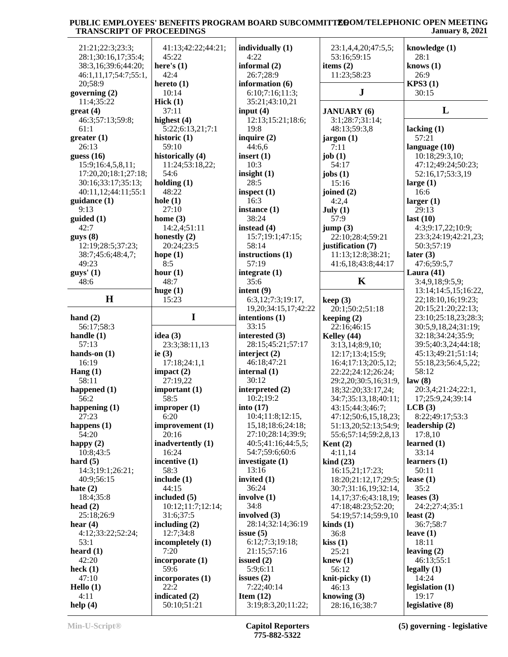| 21:21;22:3;23:3;      | 41:13;42:22;44:21; | individually (1)           | 23:1,4,4,20;47:5,5;             | knowledge (1)        |
|-----------------------|--------------------|----------------------------|---------------------------------|----------------------|
| 28:1;30:16,17;35:4;   | 45:22              | 4:22                       | 53:16;59:15                     | 28:1                 |
| 38:3,16;39:6;44:20;   | here's $(1)$       | informal $(2)$             | items $(2)$                     | knows $(1)$          |
| 46:1,11,17;54:7;55:1, | 42:4               | 26:7;28:9                  | 11:23;58:23                     | 26:9                 |
| 20;58:9               | hereto $(1)$       | information (6)            |                                 | <b>KPS3(1)</b>       |
| governing $(2)$       | 10:14              | 6:10;7:16;11:3;            | J                               | 30:15                |
| 11:4;35:22            | Hick(1)            | 35:21;43:10,21             |                                 |                      |
|                       |                    |                            |                                 | L                    |
| $gr(4)$               | 37:11              | input $(4)$                | <b>JANUARY</b> (6)              |                      |
| 46:3;57:13;59:8;      | highest (4)        | 12:13;15:21;18:6;          | 3:1;28:7;31:14;                 |                      |
| 61:1                  | 5:22;6:13,21;7:1   | 19:8                       | 48:13;59:3,8                    | lacking $(1)$        |
| greater(1)            | historic $(1)$     | inquire $(2)$              | jargon(1)                       | 57:21                |
| 26:13                 | 59:10              | 44:6,6                     | 7:11                            | language $(10)$      |
| guess $(16)$          | historically (4)   | insert $(1)$               | job $(1)$                       | 10:18;29:3,10;       |
| 15:9;16:4,5,8,11;     | 11:24;53:18,22;    | 10:3                       | 54:17                           | 47:12;49:24;50:23;   |
| 17:20,20;18:1;27:18;  | 54:6               | insight $(1)$              | jobs $(1)$                      | 52:16,17;53:3,19     |
| 30:16;33:17;35:13;    | holding $(1)$      | 28:5                       | 15:16                           | large $(1)$          |
| 40:11,12;44:11;55:1   | 48:22              | inspect $(1)$              | joined (2)                      | 16:6                 |
| quidance(1)           | hole $(1)$         | 16:3                       | 4:2,4                           | larger $(1)$         |
| 9:13                  | 27:10              | instance $(1)$             | July $(1)$                      | 29:13                |
| guided (1)            | home $(3)$         | 38:24                      | 57:9                            | last $(10)$          |
| 42:7                  | 14:2,4;51:11       | instead (4)                | jump(3)                         | 4:3;9:17,22;10:9;    |
| guys(8)               | honestly $(2)$     | 15:7;19:1;47:15;           | 22:10;28:4;59:21                | 23:3;24:19;42:21,23; |
| 12:19;28:5;37:23;     | 20:24;23:5         | 58:14                      | justification (7)               | 50:3:57:19           |
| 38:7;45:6;48:4,7;     | hope $(1)$         | instructions (1)           | 11:13;12:8;38:21;               | later $(3)$          |
| 49:23                 | 8:5                | 57:19                      | 41:6,18;43:8;44:17              | 47:6;59:5,7          |
| $guys'$ (1)           | hour $(1)$         | integrate (1)              |                                 | Laura $(41)$         |
| 48:6                  | 48:7               | 35:6                       | K                               | 3:4,9,18;9:5,9;      |
|                       | huge $(1)$         | intent $(9)$               |                                 | 13:14;14:5,15;16:22, |
| H                     | 15:23              | 6:3,12;7:3;19:17,          | keep(3)                         | 22;18:10,16;19:23;   |
|                       |                    | 19, 20; 34: 15, 17; 42: 22 | 20:1;50:2;51:18                 | 20:15;21:20;22:13;   |
| hand $(2)$            | I                  | intentions (1)             | keeping $(2)$                   | 23:10;25:18,23;28:3; |
| 56:17;58:3            |                    | 33:15                      | 22:16;46:15                     | 30:5,9,18,24;31:19;  |
| handle $(1)$          | idea $(3)$         | interested (3)             | Kelley (44)                     | 32:18;34:24;35:9;    |
| 57:13                 | 23:3;38:11,13      | 28:15;45:21;57:17          | 3:13,14;8:9,10;                 | 39:5;40:3,24;44:18;  |
| hands-on $(1)$        | ie $(3)$           | interject $(2)$            | 12:17;13:4;15:9;                | 45:13;49:21;51:14;   |
| 16:19                 | 17:18;24:1,1       | 46:18;47:21                | 16:4;17:13;20:5,12;             | 55:18,23;56:4,5,22;  |
| Hang $(1)$            | impact $(2)$       | internal $(1)$             | 22:22;24:12;26:24;              | 58:12                |
| 58:11                 | 27:19,22           | 30:12                      | 29:2,20:30:5,16:31:9,           | law(8)               |
| happened (1)          | important $(1)$    | interpreted (2)            |                                 |                      |
| 56:2                  |                    |                            |                                 |                      |
|                       |                    |                            | 18;32:20;33:17,24;              | 20:3,4;21:24;22:1,   |
|                       | 58:5               | 10:2;19:2                  | 34:7;35:13,18;40:11;            | 17;25:9,24;39:14     |
| happening $(1)$       | improper(1)        | into $(17)$                | 43:15;44:3;46:7;                | LCB(3)               |
| 27:23                 | 6:20               | 10:4;11:8;12:15,           | 47:12;50:6,15,18,23;            | 8:22;49:17;53:3      |
| happens $(1)$         | improvement (1)    | 15,18;18:6;24:18;          | 51:13,20;52:13;54:9;            | leadership (2)       |
| 54:20                 | 20:16              | 27:10;28:14;39:9;          | 55:6;57:14;59:2,8,13            | 17:8,10              |
| happy $(2)$           | inadvertently (1)  | 40:5;41:16;44:5,5;         | Kent $(2)$                      | learned $(1)$        |
| 10:8;43:5             | 16:24              | 54:7:59:6:60:6             | 4:11,14                         | 33:14                |
| hard $(5)$            | incentive (1)      | investigate $(1)$          | $\operatorname{kind}(23)$       | learners $(1)$       |
| 14:3;19:1;26:21;      | 58:3               | 13:16                      | 16:15,21;17:23;                 | 50:11                |
| 40:9;56:15            | include $(1)$      | invited $(1)$              | 18:20;21:12,17;29:5;            | lease $(1)$          |
| hate $(2)$            | 44:15              | 36:24                      | 30:7;31:16,19;32:14,            | 35:2                 |
| 18:4;35:8             | included (5)       | involve $(1)$              | 14, 17; 37: 6; 43: 18, 19;      | leases $(3)$         |
| head $(2)$            | 10:12;11:7;12:14;  | 34:8                       | 47:18;48:23;52:20;              | 24:2;27:4;35:1       |
| 25:18:26:9            | 31:6;37:5          | involved (3)               | 54:19;57:14;59:9,10             | least $(2)$          |
| hear $(4)$            | including $(2)$    | 28:14;32:14;36:19          | $\boldsymbol{\text{kinds}}$ (1) | 36:7;58:7            |
| 4:12;33:22;52:24;     | 12:7;34:8          | issue $(5)$                | 36:8                            | leave $(1)$          |
| 53:1                  | incompletely (1)   | 6:12;7:3;19:18;            | kiss(1)                         | 18:11                |
| heard $(1)$           | 7:20               | 21:15;57:16                | 25:21                           | leaving $(2)$        |
| 42:20                 | incorporate $(1)$  | issued $(2)$               | knew $(1)$                      | 46:13;55:1           |
| heck $(1)$            | 59:6               | 5:9;6:11                   | 56:12                           | legally $(1)$        |
| 47:10                 | incorporates (1)   | issues $(2)$               | knit-picky $(1)$                | 14:24                |
| Hello $(1)$           | 22:2               | 7:22;40:14                 | 46:13                           | legislation $(1)$    |
| 4:11                  | indicated (2)      | Item $(12)$                | knowing $(3)$                   | 19:17                |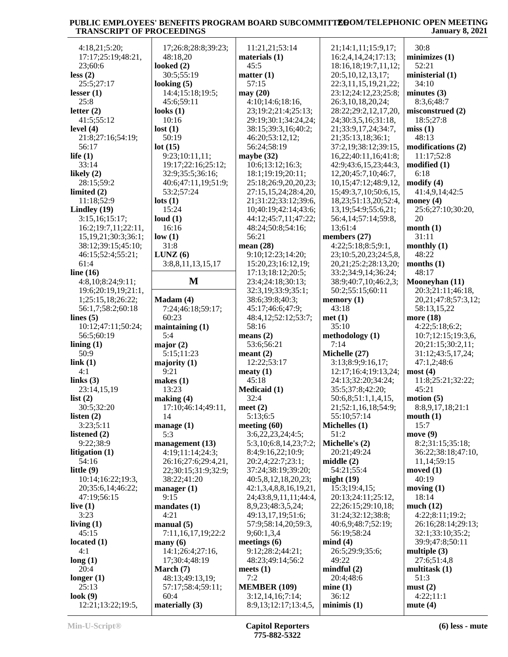| 4:18,21;5:20;                | 17;26:8;28:8;39:23;      | 11:21,21;53:14                           | 21;14:1,11;15:9,17;        | 30:8                      |
|------------------------------|--------------------------|------------------------------------------|----------------------------|---------------------------|
| 17:17;25:19;48:21,           | 48:18,20                 | materials $(1)$                          | 16:2,4,14,24;17:13;        | minimizes(1)              |
|                              |                          |                                          |                            |                           |
| 23;60:6                      | looked $(2)$             | 45:5                                     | 18:16,18;19:7,11,12;       | 52:21                     |
| less(2)                      | 30:5;55:19               | matter $(1)$                             | 20:5, 10, 12, 13, 17;      | ministerial (1)           |
| 25:5;27:17                   | looking $(5)$            | 57:15                                    | 22:3,11,15,19,21,22;       | 34:10                     |
| lesser $(1)$                 | 14:4;15:18;19:5;         | may(20)                                  | 23:12;24:12,23;25:8;       | minutes $(3)$             |
| 25:8                         | 45:6;59:11               | 4:10;14:6;18:16,                         | 26:3,10,18,20,24;          | 8:3,6;48:7                |
| letter $(2)$                 | looks $(1)$              | 23;19:2;21:4;25:13;                      | 28:22;29:2,12,17,20,       | misconstrued (2)          |
| 41:5;55:12                   | 10:16                    | 29:19:30:1:34:24,24:                     | 24;30:3,5,16;31:18,        | 18:5;27:8                 |
|                              |                          |                                          |                            |                           |
| level $(4)$                  | lost(1)                  | 38:15;39:3,16;40:2;                      | 21;33:9,17,24;34:7,        | miss(1)                   |
| 21:8;27:16;54:19;            | 50:19                    | 46:20;53:12,12;                          | 21;35:13,18;36:1;          | 48:13                     |
| 56:17                        | lot(15)                  | 56:24;58:19                              | 37:2,19;38:12;39:15,       | modifications (2)         |
| life $(1)$                   | 9:23;10:11,11;           | maybe $(32)$                             | 16,22;40:11,16;41:8;       | 11:17;52:8                |
| 33:14                        | 19:17;22:16;25:12;       | 10:6;13:12;16:3;                         | 42:9;43:6,15,23;44:3,      | modified(1)               |
| likely $(2)$                 | 32:9;35:5;36:16;         | 18:1;19:19;20:11;                        | 12, 20; 45: 7, 10; 46: 7,  | 6:18                      |
|                              |                          |                                          |                            |                           |
| 28:15:59:2                   | 40:6;47:11,19;51:9;      | 25:18;26:9,20,20,23;                     | 10, 15; 47: 12; 48: 9, 12, | $\text{modify}(4)$        |
| limited $(2)$                | 53:2;57:24               | 27:15,15,24;28:4,20,                     | 15;49:3,7,10;50:6,15,      | 41:4,9,14;42:5            |
| 11:18;52:9                   | $\text{lots}$ (1)        | 21;31:22;33:12;39:6,                     | 18,23;51:13,20;52:4,       | money $(4)$               |
| Lindley $(19)$               | 15:24                    | 10;40:19;42:14;43:6;                     | 13, 19; 54: 9; 55: 6, 21;  | 25:6;27:10;30:20,         |
| 3:15,16;15:17;               | loud $(1)$               | 44:12;45:7,11;47:22;                     | 56:4,14;57:14;59:8,        | 20                        |
| 16:2;19:7,11;22:11,          | 16:16                    | 48:24;50:8;54:16;                        | 13;61:4                    | month $(1)$               |
|                              |                          |                                          |                            | 31:11                     |
| 15, 19, 21; 30: 3; 36: 1;    | low(1)                   | 56:21                                    | members (27)               |                           |
| 38:12;39:15;45:10;           | 31:8                     | mean $(28)$                              | 4:22;5:18;8:5;9:1,         | monthly $(1)$             |
| 46:15;52:4;55:21;            | LUNZ(6)                  | 9:10;12:23;14:20;                        | 23;10:5,20,23;24:5,8,      | 48:22                     |
| 61:4                         | 3:8,8,11,13,15,17        | 15:20,23;16:12,19;                       | 20, 21; 25: 2; 28: 13, 20; | months $(1)$              |
| line $(16)$                  |                          | 17:13;18:12;20:5;                        | 33:2;34:9,14;36:24;        | 48:17                     |
| 4:8,10;8:24;9:11;            | M                        | 23:4;24:18;30:13;                        | 38:9;40:7,10;46:2,3;       | Mooneyhan (11)            |
| 19:6;20:19,19;21:1,          |                          | 32:3,19;33:9;35:1;                       | 50:2;55:15;60:11           | 20:3;21:11;46:18,         |
|                              |                          |                                          |                            |                           |
| 1;25:15,18;26:22;            | Madam(4)                 | 38:6;39:8;40:3;                          | memory $(1)$               | 20, 21; 47: 8; 57: 3, 12; |
| 56:1,7;58:2;60:18            | 7:24;46:18;59:17;        | 45:17;46:6;47:9;                         | 43:18                      | 58:13,15,22               |
| lines $(5)$                  | 60:23                    | 48:4,12;52:12;53:7;                      | met(1)                     | more $(18)$               |
| 10:12;47:11;50:24;           | maintaining $(1)$        | 58:16                                    | 35:10                      | 4:22;5:18;6:2;            |
| 56:5;60:19                   | 5:4                      | means $(2)$                              | methodology (1)            | 10:7;12:15;19:3,6,        |
| lining $(1)$                 | major $(2)$              | 53:6;56:21                               | 7:14                       | 20;21:15;30:2,11;         |
| 50:9                         | 5:15;11:23               | meant $(2)$                              | Michelle (27)              | 31:12;43:5,17,24;         |
|                              |                          | 12:22;53:17                              | 3:13;8:9;9:16,17;          | 47:1,2;48:6               |
| link(1)                      | majority $(1)$           |                                          |                            |                           |
| 4:1                          | 9:21                     | meaty $(1)$                              | 12:17;16:4;19:13,24;       | most(4)                   |
| links $(3)$                  | makes $(1)$              | 45:18                                    | 24:13;32:20;34:24;         | 11:8;25:21;32:22;         |
| 23:14,15,19                  | 13:23                    | Medicaid (1)                             | 35:5;37:8;42:20;           | 45:21                     |
| list $(2)$                   | making (4)               | 32:4                                     | 50:6,8;51:1,1,4,15,        | motion (5)                |
| 30:5;32:20                   | 17:10;46:14;49:11,       | meet $(2)$                               | 21;52:1,16,18;54:9;        | 8:8,9,17,18;21:1          |
| listen $(2)$                 | 14                       | 5:13:6:5                                 | 55:10;57:14                | mouth(1)                  |
|                              |                          |                                          |                            |                           |
| 3:23:5:11                    | manage (1)               | meeting $(60)$                           | Michelles (1)              | 15:7                      |
| listened (2)                 | 5:3                      | 3:6,22,23,24;4:5;                        | 51:2                       | move(9)                   |
| 9:22;38:9                    | management (13)          | 5:3,10;6:8,14,23;7:2;                    | Michelle's (2)             | 8:2;31:15;35:18;          |
| litigation $(1)$             | 4:19;11:14;24:3;         | 8:4;9:16,22;10:9;                        | 20:21;49:24                | 36:22;38:18;47:10,        |
| 54:16                        | 26:16;27:6;29:4,21,      | 20:2,4;22:7;23:1;                        | middle $(2)$               | 11, 14: 59: 15            |
|                              |                          |                                          |                            |                           |
|                              |                          |                                          |                            |                           |
| little $(9)$                 | 22;30:15;31:9;32:9;      | 37:24;38:19;39:20;                       | 54:21;55:4                 | moved $(1)$               |
| 10:14;16:22;19:3,            | 38:22;41:20              | 40:5,8,12,18,20,23;                      | might $(19)$               | 40:19                     |
| 20;35:6,14;46:22;            | manager $(1)$            | 42:1,3,4,8,8,16,19,21,                   | 15:3;19:4,15;              | moving $(1)$              |
| 47:19;56:15                  | 9:15                     | 24;43:8,9,11,11;44:4,                    | 20:13;24:11;25:12,         | 18:14                     |
| live $(1)$                   | mandates(1)              | 8,9,23;48:3,5,24;                        | 22;26:15;29:10,18;         | much(12)                  |
| 3:23                         | 4:21                     | 49:13,17,19;51:6;                        | 31:24;32:12;38:8;          | 4:22;8:11;19:2;           |
|                              | manual(5)                | 57:9;58:14,20;59:3,                      | 40:6,9;48:7;52:19;         | 26:16;28:14;29:13;        |
| living $(1)$                 |                          |                                          |                            |                           |
| 45:15                        | 7:11,16,17,19;22:2       | 9;60:1,3,4                               | 56:19;58:24                | 32:1;33:10;35:2;          |
| located $(1)$                | $\mathbf{many}(6)$       | meetings $(6)$                           | mind(4)                    | 39:9;47:8;50:11           |
| 4:1                          | 14:1;26:4;27:16,         | 9:12;28:2;44:21;                         | 26:5;29:9;35:6;            | multiple $(3)$            |
| long(1)                      | 17;30:4;48:19            | 48:23;49:14;56:2                         | 49:22                      | 27:6;51:4,8               |
| 20:4                         | March $(7)$              | meets $(1)$                              | mindful(2)                 | multitask $(1)$           |
| longer $(1)$                 | 48:13;49:13,19;          | 7:2                                      | 20:4;48:6                  | 51:3                      |
| 25:13                        | 57:17;58:4;59:11;        | <b>MEMBER (109)</b>                      | mine(1)                    | must(2)                   |
|                              |                          |                                          |                            |                           |
| look(9)<br>12:21;13:22;19:5, | 60:4<br>materially $(3)$ | 3:12,14,16;7:14;<br>8:9,13;12:17;13:4,5, | 36:12<br>minimis(1)        | 4:22;11:1<br>mute $(4)$   |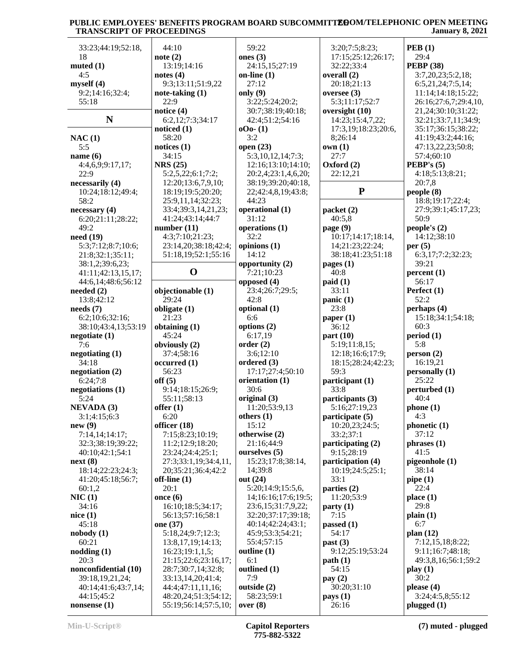| 33:23;44:19;52:18,           | 44:10                                        | 59:22                    | 3:20;7:5;8:23;           | PEB(1)                          |
|------------------------------|----------------------------------------------|--------------------------|--------------------------|---------------------------------|
| 18                           | note(2)                                      | ones $(3)$               | 17:15;25:12;26:17;       | 29:4                            |
| muted(1)                     | 13:19;14:16                                  | 24:15,15;27:19           | 32:22;33:4               | <b>PEBP</b> (38)                |
| 4:5                          | notes $(4)$                                  | on-line $(1)$            | overall (2)              | 3:7,20,23;5:2,18;               |
| myself(4)                    | 9:3;13:11;51:9,22                            | 27:12                    | 20:18;21:13              | 6:5,21,24;7:5,14;               |
| 9:2;14:16;32:4;              | note-taking $(1)$                            | only $(9)$               | oversee $(3)$            | 11:14;14:18;15:22;              |
| 55:18                        | 22:9                                         | 3:22;5:24;20:2;          | 5:3;11:17;52:7           | 26:16;27:6,7;29:4,10,           |
|                              | notice (4)                                   | 30:7;38:19;40:18;        | oversight (10)           | 21,24;30:10;31:22;              |
| $\mathbf N$                  | 6:2,12;7:3;34:17                             | 42:4;51:2;54:16          | 14:23;15:4,7,22;         | 32:21;33:7,11;34:9;             |
|                              | noticed $(1)$                                | $000 - (1)$              | 17:3,19;18:23;20:6,      | 35:17;36:15;38:22;              |
| NAC(1)                       | 58:20                                        | 3:2                      | 8;26:14                  | 41:19;43:2;44:16;               |
| 5:5                          | notices $(1)$                                | open $(23)$              | own(1)                   | 47:13,22,23;50:8;               |
|                              | 34:15                                        | 5:3,10,12,14;7:3;        | 27:7                     | 57:4;60:10                      |
| name $(6)$                   | <b>NRS</b> (25)                              |                          |                          | <b>PEBP's</b> $(5)$             |
| 4:4,6,9;9:17,17;             |                                              | 12:16;13:10;14:10;       | Oxford (2)               |                                 |
| 22:9                         | 5:2,5,22;6:1;7:2;                            | 20:2,4;23:1,4,6,20;      | 22:12,21                 | 4:18;5:13;8:21;                 |
| necessarily (4)              | 12:20;13:6,7,9,10;                           | 38:19;39:20;40:18,       | ${\bf P}$                | 20:7,8                          |
| 10:24;18:12;49:4;            | 18:19;19:5;20:20;                            | 22;42:4,8,19;43:8;       |                          | people(8)                       |
| 58:2                         | 25:9,11,14;32:23;                            | 44:23                    |                          | 18:8;19:17;22:4;                |
| necessary(4)                 | 33:4;39:3,14,21,23;                          | operational (1)          | packet(2)                | 27:9;39:1;45:17,23;             |
| 6:20;21:11;28:22;            | 41:24;43:14;44:7                             | 31:12                    | 40:5,8                   | 50:9                            |
| 49:2                         | number $(11)$                                | operations (1)           | page $(9)$               | people's $(2)$                  |
| need(19)                     | 4:3;7:10;21:23;                              | 32:2                     | 10:17;14:17;18:14,       | 14:12;38:10                     |
| 5:3;7:12;8:7;10:6;           | 23:14,20;38:18;42:4;                         | opinions (1)             | 14;21:23;22:24;          | per $(5)$                       |
| 21:8;32:1;35:11;             | 51:18,19;52:1;55:16                          | 14:12                    | 38:18;41:23;51:18        | 6:3,17;7:2;32:23;               |
| 38:1,2;39:6,23;              |                                              | opportunity (2)          | pages $(1)$              | 39:21                           |
| 41:11;42:13,15,17;           | $\mathbf 0$                                  | 7:21;10:23               | 40:8                     | percent(1)                      |
| 44:6,14;48:6;56:12           |                                              | opposed $(4)$            | paid(1)                  | 56:17                           |
| needed $(2)$                 | objectionable (1)                            | 23:4;26:7;29:5;          | 33:11                    | Perfect (1)                     |
| 13:8;42:12                   | 29:24                                        | 42:8                     | panic(1)                 | 52:2                            |
| needs(7)                     | obligate $(1)$                               | optional (1)             | 23:8                     | perhaps (4)                     |
| 6:2;10:6;32:16;              | 21:23                                        | 6:6                      | paper $(1)$              | 15:18;34:1;54:18;               |
| 38:10;43:4,13;53:19          | obtaining (1)                                | options (2)              | 36:12                    | 60:3                            |
| negotiate(1)                 | 45:24                                        | 6:17,19                  | part $(10)$              | period (1)                      |
| 7:6                          | obviously (2)                                | order(2)                 | 5:19;11:8,15;            | 5:8                             |
| negotiating $(1)$            | 37:4;58:16                                   | 3:6;12:10                | 12:18;16:6;17:9;         | person(2)                       |
| 34:18                        | occurred(1)                                  | ordered (3)              | 18:15;28:24;42:23;       | 16:19,21                        |
| negotiation $(2)$            | 56:23                                        | 17:17:27:4:50:10         | 59:3                     | personally (1)                  |
| 6:24;7:8                     | off(5)                                       | orientation (1)          | participant (1)          | 25:22                           |
|                              |                                              | 30:6                     | 33:8                     |                                 |
| negotiations (1)             | 9:14;18:15;26:9;                             |                          |                          | perturbed (1)                   |
| 5:24                         | 55:11;58:13                                  | original (3)             | participants (3)         | 40:4                            |
| <b>NEVADA (3)</b>            | offer $(1)$                                  | 11:20;53:9,13            | 5:16;27:19,23            | phone(1)                        |
| 3:1;4:15;6:3                 | 6:20                                         | others $(1)$             | participate (5)          | 4:3                             |
| new(9)                       | officer (18)                                 | 15:12                    | 10:20,23;24:5;           | phonetic (1)                    |
| 7:14,14;14:17;               | 7:15;8:23;10:19;                             | otherwise (2)            | 33:2;37:1                | 37:12                           |
| 32:3;38:19;39:22;            | 11:2;12:9;18:20;                             | 21:16;44:9               | participating (2)        | phrases (1)                     |
| 40:10;42:1;54:1              | 23:24;24:4;25:1;                             | ourselves (5)            | 9:15;28:19               | 41:5                            |
| next(8)                      | 27:3;33:1,19;34:4,11,                        | 15:23;17:8;38:14,        | participation (4)        | pigeonhole (1)                  |
| 18:14;22:23;24:3;            | 20;35:21;36:4;42:2                           | 14;39:8                  | 10:19;24:5;25:1;         | 38:14                           |
| 41:20;45:18;56:7;            | off-line $(1)$                               | out (24)                 | 33:1                     | pipe(1)                         |
| 60:1,2                       | 20:1                                         | 5:20;14:9;15:5,6,        | parties (2)              | 22:4                            |
| NIC(1)                       | once $(6)$                                   | 14;16:16;17:6;19:5;      | 11:20;53:9               | place $(1)$                     |
| 34:16                        | 16:10;18:5;34:17;                            | 23:6,15;31:7,9,22;       | party(1)                 | 29:8                            |
| nice(1)                      | 56:13:57:16:58:1                             | 32:20;37:17;39:18;       | 7:15                     | plain(1)                        |
| 45:18                        | one (37)                                     | 40:14;42:24;43:1;        | passed $(1)$             | 6:7                             |
| nobody(1)                    | 5:18,24;9:7;12:3;                            | 45:9;53:3;54:21;         | 54:17                    | plan (12)                       |
| 60:21                        | 13:8, 17, 19; 14: 13;                        | 55:4;57:15               | past (3)                 | 7:12,15,18;8:22;                |
| nodding(1)                   | 16:23;19:1,1,5;                              | outline (1)              | 9:12;25:19;53:24         | 9:11;16:7;48:18;                |
| 20:3                         | 21:15;22:6;23:16,17;                         | 6:1                      | path(1)                  | 49:3,8,16;56:1;59:2             |
| nonconfidential (10)         | 28:7;30:7,14;32:8;                           | outlined (1)             | 54:15                    | play(1)                         |
| 39:18,19,21,24;              | 33:13,14,20;41:4;                            | 7:9                      | pay $(2)$                | 30:2                            |
| 40:14;41:6;43:7,14;          |                                              | outside (2)              | 30:20;31:10              | please $(4)$                    |
|                              |                                              |                          |                          |                                 |
|                              | 44:4:47:11,11,16;                            |                          |                          |                                 |
| 44:15;45:2<br>nonsense $(1)$ | 48:20,24;51:3;54:12;<br>55:19;56:14;57:5,10; | 58:23;59:1<br>over $(8)$ | $\bf{pays}$ (1)<br>26:16 | 3:24;4:5,8;55:12<br>plugged (1) |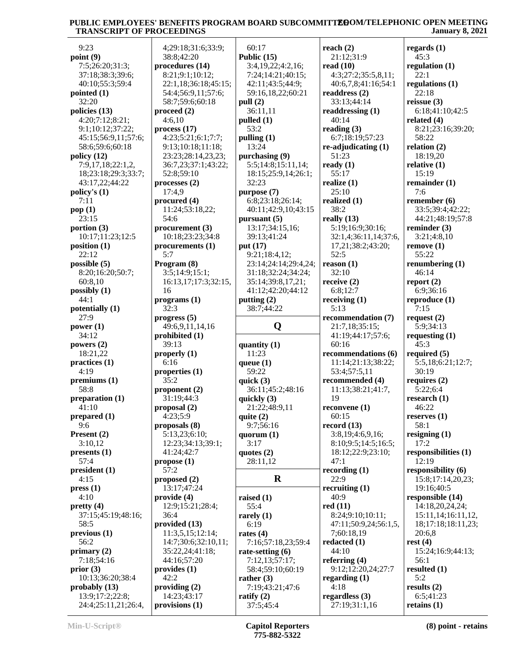| 9:23                  | 4;29:18;31:6;33:9;   | 60:17                | reach $(2)$              | regards $(1)$        |
|-----------------------|----------------------|----------------------|--------------------------|----------------------|
| point (9)             | 38:8;42:20           | Public $(15)$        | 21:12;31:9               | 45:3                 |
| 7:5;26:20;31:3;       | procedures (14)      | 3:4,19,22;4:2,16;    | read $(10)$              | regulation $(1)$     |
| 37:18;38:3;39:6;      | 8:21;9:1;10:12;      | 7:24;14:21;40:15;    | 4:3;27:2;35:5,8,11;      | 22:1                 |
| 40:10;55:3;59:4       | 22:1,18;36:18;45:15; | 42:11;43:5;44:9;     | 40:6,7,8;41:16;54:1      | regulations (1)      |
| pointed (1)           | 54:4;56:9,11;57:6;   | 59:16,18,22;60:21    | readdress $(2)$          | 22:18                |
| 32:20                 | 58:7;59:6;60:18      | pull (2)             | 33:13;44:14              | reissue $(3)$        |
| policies (13)         | proceed $(2)$        | 36:11,11             | readdressing (1)         | 6:18;41:10;42:5      |
| 4:20;7:12;8:21;       | 4:6,10               | pulled (1)           | 40:14                    | related $(4)$        |
| 9:1;10:12;37:22;      | process(17)          | 53:2                 | reading $(3)$            | 8:21;23:16;39:20;    |
| 45:15:56:9,11:57:6;   | 4:23;5:21;6:1;7:7;   | pulling $(1)$        | 6:7;18:19;57:23          | 58:22                |
| 58:6;59:6;60:18       | 9:13;10:18;11:18;    | 13:24                | $re$ -adjudicating $(1)$ | relation $(2)$       |
| policy (12)           | 23:23;28:14,23,23;   | purchasing (9)       | 51:23                    | 18:19,20             |
| 7:9,17,18;22:1,2,     | 36:7,23;37:1;43:22;  | 5:5;14:8;15:11,14;   | ready $(1)$              | relative $(1)$       |
| 18;23:18;29:3;33:7;   | 52:8;59:10           | 18:15;25:9,14;26:1;  | 55:17                    | 15:19                |
| 43:17,22;44:22        | processes(2)         | 32:23                | realize $(1)$            | remainder $(1)$      |
| policy's (1)          | 17:4,9               | purpose (7)          | 25:10                    | 7:6                  |
| 7:11                  | procured (4)         | 6:8;23:18;26:14;     | realized (1)             | remember $(6)$       |
| pop (1)               | 11:24;53:18,22;      | 40:11;42:9,10;43:15  | 38:2                     | 33:5;39:4;42:22;     |
| 23:15                 | 54:6                 | pursuant $(5)$       | really $(13)$            | 44:21;48:19;57:8     |
| portion $(3)$         | procurement (3)      | 13:17;34:15,16;      | 5:19;16:9;30:16;         | reminder $(3)$       |
| 10:17;11:23;12:5      | 10:18;23:23;34:8     | 39:13;41:24          | 32:1,4;36:11,14;37:6,    | 3:21;4:8,10          |
| position (1)          | procurements (1)     | put (17)             | 17,21;38:2;43:20;        | remove(1)            |
| 22:12                 | 5:7                  | 9:21;18:4,12;        | 52:5                     | 55:22                |
| possible $(5)$        | Program (8)          | 23:14;24:14;29:4,24; | reason $(1)$             | renumbering $(1)$    |
| 8:20;16:20;50:7;      | 3:5;14:9;15:1;       | 31:18;32:24;34:24;   | 32:10                    | 46:14                |
| 60:8,10               | 16:13,17;17:3;32:15, | 35:14;39:8,17,21;    | receive $(2)$            | report $(2)$         |
| possibly (1)          | 16                   | 41:12;42:20;44:12    | 6:8;12:7                 | 6:9;36:16            |
| 44:1                  | programs(1)          | putting $(2)$        | receiving $(1)$          | reproduce $(1)$      |
| potentially (1)       | 32:3                 | 38:7;44:22           | 5:13                     | 7:15                 |
| 27:9                  | progress (5)         |                      | recommendation (7)       | request $(2)$        |
| power $(1)$           | 49:6,9,11,14,16      | Q                    | 21:7,18;35:15;           | 5:9;34:13            |
| 34:12                 | prohibited (1)       |                      | 41:19;44:17;57:6;        | requesting $(1)$     |
| powers $(2)$          | 39:13                | quantity $(1)$       | 60:16                    | 45:3                 |
| 18:21,22              | properly $(1)$       | 11:23                | recommendations (6)      | required $(5)$       |
| practices (1)         | 6:16                 | queue $(1)$          | 11:14;21:13;38:22;       | 5:5,18;6:21;12:7;    |
| 4:19                  | properties $(1)$     | 59:22                | 53:4;57:5,11             | 30:19                |
| premiums (1)          | 35:2                 | quick $(3)$          | recommended (4)          | requires $(2)$       |
| 58:8                  | proponent $(2)$      | 36:11;45:2;48:16     | 11:13;38:21;41:7,        | 5:22;6:4             |
| preparation (1)       | 31:19;44:3           | quickly $(3)$        | 19                       | research $(1)$       |
| 41:10                 | proposal (2)         | 21:22;48:9,11        | reconvene (1)            | 46:22                |
| prepared (1)          | 4:23;5:9             | quite $(2)$          | 60:15                    | reserves $(1)$       |
| 9:6                   | proposals (8)        | 9:7;56:16            | record $(13)$            | 58:1                 |
| Present $(2)$         | 5:13,23;6:10;        | quorum $(1)$         | 3:8,19;4:6,9,16;         | resigning $(1)$      |
| 3:10,12               | 12:23;34:13;39:1;    | 3:17                 | 8:10;9:5;14:5;16:5;      | 17:2                 |
| presents (1)          | 41:24;42:7           | quotes $(2)$         | 18:12;22:9;23:10;        | responsibilities (1) |
| 57:4                  | propose $(1)$        | 28:11,12             | 47:1                     | 12:19                |
| president (1)         | 57:2                 |                      | recording $(1)$          | responsibility (6)   |
| 4:15                  | proposed $(2)$       | $\bf{R}$             | 22:9                     | 15:8;17:14,20,23;    |
| pres(1)               | 13:17;47:24          |                      | recruiting $(1)$         | 19:16;40:5           |
| 4:10                  | provide (4)          | raised $(1)$         | 40:9                     | responsible (14)     |
| pretty $(4)$          | 12:9;15:21;28:4;     | 55:4                 | red(11)                  | 14:18,20,24,24;      |
| 37:15:45:19:48:16;    | 36:4                 | rarely $(1)$         | 8:24;9:10;10:11;         | 15:11,14;16:11,12,   |
| 58:5                  | provided (13)        | 6:19                 | 47:11;50:9,24;56:1,5,    | 18;17:18;18:11,23;   |
| previous <sub>1</sub> | 11:3,5,15;12:14;     | rates $(4)$          | 7;60:18,19               | 20:6,8               |
| 56:2                  | 14:7;30:6;32:10,11;  | 7:16;57:18,23;59:4   | redacted $(1)$           | rest $(4)$           |
| primary $(2)$         | 35:22,24;41:18;      | rate-setting $(6)$   | 44:10                    | 15:24;16:9;44:13;    |
| 7:18;54:16            | 44:16;57:20          | 7:12,13;57:17;       | referring $(4)$          | 56:1                 |
| prior(3)              | provides (1)         | 58:4;59:10;60:19     | 9:12;12:20,24;27:7       | resulted $(1)$       |
| 10:13;36:20;38:4      | 42:2                 | rather $(3)$         | regarding $(1)$          | 5:2                  |
| probably $(13)$       | providing $(2)$      | 7:19;43:21;47:6      | 4:18                     | results $(2)$        |
| 13:9;17:2;22:8;       | 14:23;43:17          | ratify $(2)$         | regardless $(3)$         | 6:5;41:23            |
| 24:4;25:11,21;26:4,   | provisions (1)       | 37:5;45:4            | 27:19;31:1,16            | retains $(1)$        |
|                       |                      |                      |                          |                      |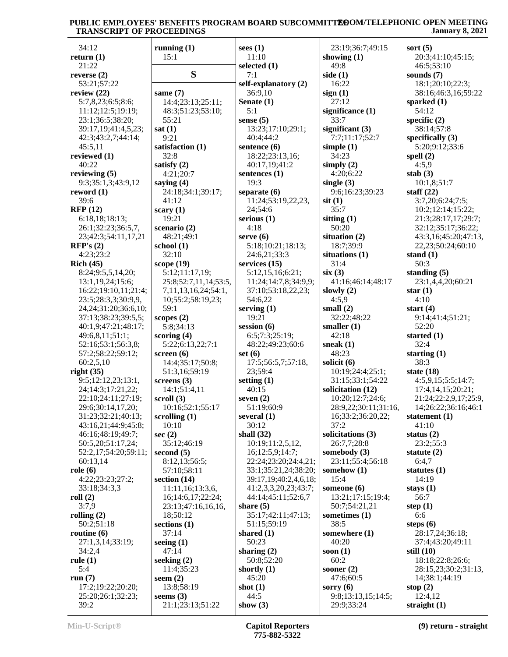| 34:12                      | running $(1)$         | sees $(1)$            | 23:19;36:7;49:15     | sort $(5)$            |
|----------------------------|-----------------------|-----------------------|----------------------|-----------------------|
| return $(1)$               | 15:1                  | 11:10                 | showing $(1)$        | 20:3;41:10;45:15;     |
| 21:22                      |                       | selected (1)          | 49:8                 | 46:5;53:10            |
| reverse $(2)$              | S                     | 7:1                   | side $(1)$           | sounds $(7)$          |
| 53:21;57:22                |                       | self-explanatory (2)  | 16:22                | 18:1;20:10;22:3;      |
| review $(22)$              | same $(7)$            | 36:9,10               | sign(1)              | 38:16;46:3,16;59:22   |
| 5:7,8,23;6:5;8:6;          | 14:4;23:13;25:11;     | Senate (1)            | 27:12                | sparked $(1)$         |
| 11:12;12:5;19:19;          | 48:3;51:23;53:10;     | 5:1                   | significance (1)     | 54:12                 |
| 23:1;36:5;38:20;           | 55:21                 | sense $(5)$           | 33:7                 | specific $(2)$        |
| 39:17,19;41:4,5,23;        | sat(1)                | 13:23;17:10;29:1;     | significant (3)      | 38:14;57:8            |
| 42:3;43:2,7;44:14;         | 9:21                  | 40:4;44:2             | 7:7;11:17;52:7       | specifically $(3)$    |
| 45:5,11                    | satisfaction (1)      | sentence $(6)$        | simple $(1)$         | 5:20;9:12;33:6        |
| reviewed (1)               | 32:8                  | 18:22;23:13,16;       | 34:23                | spell $(2)$           |
| 40:22                      | satisfy (2)           | 40:17,19;41:2         | simply $(2)$         | 4:5,9                 |
| reviewing $(5)$            | 4:21;20:7             | sentences $(1)$       | 4:20;6:22            | stab $(3)$            |
| 9:3;35:1,3;43:9,12         |                       | 19:3                  | single $(3)$         | 10:1,8;51:7           |
|                            | saying $(4)$          |                       |                      |                       |
| reword $(1)$               | 24:18;34:1;39:17;     | separate $(6)$        | 9:6;16:23;39:23      | staff $(22)$          |
| 39:6                       | 41:12                 | 11:24;53:19,22,23,    | $s$ it $(1)$         | 3:7,20;6:24;7:5;      |
| <b>RFP</b> (12)            | scary $(1)$           | 24;54:6               | 35:7                 | 10:2;12:14;15:22;     |
| 6:18,18;18:13;             | 19:21                 | serious $(1)$         | sitting $(1)$        | 21:3;28:17,17;29:7;   |
| 26:1;32:23;36:5,7,         | scenario $(2)$        | 4:18                  | 50:20                | 32:12;35:17;36:22;    |
| 23;42:3;54:11,17,21        | 48:21;49:1            | serve $(6)$           | situation (2)        | 43:3,16;45:20;47:13,  |
| RFP's(2)                   | school $(1)$          | 5:18;10:21;18:13;     | 18:7;39:9            | 22,23;50:24;60:10     |
| 4:23;23:2                  | 32:10                 | 24:6,21;33:3          | situations (1)       | stand $(1)$           |
| Rich (45)                  | scope $(19)$          | services $(15)$       | 31:4                 | 50:3                  |
| 8:24;9:5,5,14,20;          | 5:12;11:17,19;        | 5:12,15,16;6:21;      | six(3)               | standing $(5)$        |
| 13:1,19,24;15:6;           | 25:8;52:7,11,14;53:5, | 11:24;14:7,8;34:9,9;  | 41:16;46:14;48:17    | 23:1,4,4,20;60:21     |
| 16:22;19:10,11;21:4;       | 7,11,13,16,24;54:1,   | 37:10;53:18,22,23;    | slowly $(2)$         | star $(1)$            |
| 23:5;28:3,3;30:9,9,        | 10;55:2;58:19,23;     | 54:6,22               | 4:5,9                | 4:10                  |
| 24, 24; 31: 20; 36: 6, 10; | 59:1                  | serving $(1)$         | small $(2)$          | start $(4)$           |
| 37:13;38:23;39:5,5;        | scopes $(2)$          | 19:21                 | 32:22;48:22          | 9:14;41:4;51:21;      |
| 40:1,9;47:21;48:17;        | 5:8;34:13             | session $(6)$         | smaller $(1)$        | 52:20                 |
|                            |                       | 6:5;7:3;25:19;        | 42:18                | started $(1)$         |
| 49:6,8,11;51:1;            | scoring $(4)$         |                       |                      |                       |
| 52:16;53:1;56:3,8;         | 5:22;6:13,22;7:1      | 48:22;49:23;60:6      | sneak $(1)$          | 32:4                  |
| 57:2;58:22;59:12;          | screen $(6)$          | set $(6)$             | 48:23                | starting $(1)$        |
| 60:2,5,10                  | 14:4;35:17;50:8;      | 17:5:56:5,7:57:18,    | solicit (6)          | 38:3                  |
| right $(35)$               | 51:3,16;59:19         | 23;59:4               | 10:19;24:4;25:1;     | state $(18)$          |
| 9:5;12:12,23;13:1,         | screens $(3)$         | setting $(1)$         | 31:15;33:1;54:22     | 4:5,9,15;5:5;14:7;    |
| 24;14:3;17:21,22;          | 14:1;51:4,11          | 40:15                 | solicitation (12)    | 17:4,14,15;20:21;     |
| 22:10;24:11;27:19;         | scroll $(3)$          | seven $(2)$           | 10:20;12:7;24:6;     | 21:24;22:2,9,17;25:9, |
| 29:6;30:14,17,20;          | 10:16;52:1;55:17      | 51:19;60:9            | 28:9,22;30:11;31:16, | 14;26:22;36:16;46:1   |
| 31:23;32:21;40:13;         | scrolling $(1)$       | several $(1)$         | 16;33:2;36:20,22;    | statement $(1)$       |
| 43:16,21;44:9;45:8;        | 10:10                 | 30:12                 | 37:2                 | 41:10                 |
| 46:16;48:19;49:7;          | sec(2)                | shall $(32)$          | solicitations (3)    | status $(2)$          |
| 50:5,20;51:17,24;          | 35:12;46:19           | 10:19;11:2,5,12,      | 26:7,7;28:8          | 23:2;55:3             |
| 52:2,17;54:20;59:11;       | second $(5)$          | 16; 12: 5, 9; 14: 7;  | somebody $(3)$       | statute $(2)$         |
| 60:13,14                   | 8:12,13;56:5;         | 22:24;23:20;24:4,21;  | 23:11;55:4;56:18     | 6:4,7                 |
| role(6)                    | 57:10:58:11           | 33:1;35:21,24;38:20;  | somehow $(1)$        | statutes $(1)$        |
| 4:22;23:23;27:2;           | section $(14)$        | 39:17,19;40:2,4,6,18; | 15:4                 | 14:19                 |
| 33:18;34:3,3               | 11:11,16;13:3,6,      | 41:2,3,3,20,23;43:7;  | someone $(6)$        | stays $(1)$           |
| roll $(2)$                 | 16;14:6,17;22:24;     | 44:14;45:11;52:6,7    | 13:21;17:15;19:4;    | 56:7                  |
| 3:7,9                      | 23:13;47:16,16,16,    | share $(5)$           | 50:7;54:21,21        | step $(1)$            |
| rolling $(2)$              | 18;50:12              | 35:17;42:11;47:13;    | sometimes (1)        | 6:6                   |
| 50:2;51:18                 | sections $(1)$        | 51:15;59:19           | 38:5                 | steps $(6)$           |
| routine $(6)$              | 37:14                 | shared $(1)$          | somewhere (1)        | 28:17,24;36:18;       |
|                            |                       |                       |                      |                       |
| 27:1,3,14;33:19;           | seeing $(1)$          | 50:23                 | 40:20                | 37:4;43:20;49:11      |
| 34:2,4                     | 47:14                 | sharing $(2)$         | soon $(1)$           | still $(10)$          |
| rule $(1)$                 | seeking $(2)$         | 50:8;52:20            | 60:2                 | 18:18;22:8;26:6;      |
| 5:4                        | 11:4;35:23            | shortly $(1)$         | sooner $(2)$         | 28:15,23;30:2;31:13,  |
| run $(7)$                  | seem $(2)$            | 45:20                 | 47:6;60:5            | 14;38:1;44:19         |
| 17:2;19:22;20:20;          | 13:8;58:19            | shot $(1)$            | sorry $(6)$          | stop $(2)$            |
| 25:20;26:1;32:23;          | seems $(3)$           | 44:5                  | 9:8;13:13,15;14:5;   | 12:4,12               |
| 39:2                       | 21:1;23:13;51:22      | show $(3)$            | 29:9;33:24           | straight $(1)$        |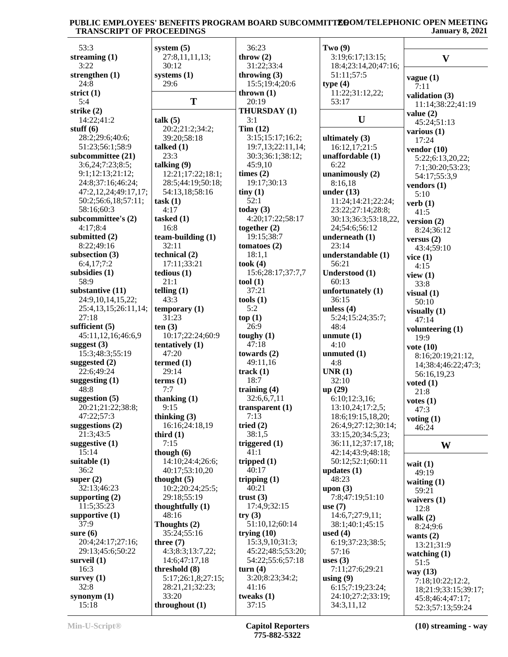## PUBLIC EMPLOYEES' BENEFITS PROGRAM BOARD SUBCOMMITT**E0**OM/TELEPHONIC OPEN MEETING  **TRANSCRIPT OF PROCEEDINGS January 8, 2021**

| 53:3                 | system $(5)$         | 36:23             | Two(9)               |                      |
|----------------------|----------------------|-------------------|----------------------|----------------------|
| streaming $(1)$      | 27:8,11,11,13;       | throw $(2)$       | 3:19;6:17;13:15;     | $\mathbf{V}$         |
| 3:22                 | 30:12                | 31:22;33:4        | 18:4;23:14,20;47:16; |                      |
| strengthen $(1)$     | systems $(1)$        | throwing $(3)$    | 51:11;57:5           | vague(1)             |
| 24:8                 | 29:6                 | 15:5;19:4;20:6    | type $(4)$           | 7:11                 |
| strict $(1)$         |                      | thrown $(1)$      | 11:22;31:12,22;      | validation (3)       |
| 5:4                  | T                    | 20:19             | 53:17                | 11:14;38:22;41:19    |
| strike $(2)$         |                      | THURSDAY (1)      |                      | value $(2)$          |
| 14:22;41:2           | talk (5)             | 3:1               | U                    | 45:24;51:13          |
| stuff $(6)$          | 20:2;21:2;34:2;      | Tim(12)           |                      | various $(1)$        |
| 28:2;29:6;40:6;      | 39:20;58:18          | 3:15;15:17;16:2;  | ultimately $(3)$     | 17:24                |
| 51:23;56:1;58:9      | talked $(1)$         | 19:7,13;22:11,14; | 16:12,17;21:5        | vendor $(10)$        |
| subcommittee (21)    | 23:3                 | 30:3;36:1;38:12;  | unaffordable (1)     | 5:22;6:13,20,22;     |
| 3:6,24;7:23;8:5;     | talking $(9)$        | 45:9,10           | 6:22                 | 7:1;30:20;53:23;     |
| 9:1;12:13;21:12;     | 12:21;17:22;18:1;    | times $(2)$       | unanimously $(2)$    | 54:17;55:3,9         |
| 24:8;37:16;46:24;    | 28:5;44:19;50:18;    | 19:17;30:13       | 8:16,18              | vendors (1)          |
| 47:2,12,24;49:17,17; | 54:13,18;58:16       | tiny(1)           | under $(13)$         | 5:10                 |
| 50:2;56:6,18;57:11;  | task(1)              | 52:1              | 11:24;14:21;22:24;   | verb $(1)$           |
| 58:16;60:3           | 4:17                 | today $(3)$       | 23:22;27:14;28:8;    | 41:5                 |
| subcommittee's (2)   | tasked $(1)$         | 4:20;17:22;58:17  | 30:13;36:3;53:18,22, | version $(2)$        |
| 4:17;8:4             | 16:8                 | together $(2)$    | 24;54:6;56:12        | 8:24;36:12           |
| submitted (2)        | team-building $(1)$  | 19:15;38:7        | underneath $(1)$     | versus $(2)$         |
| 8:22;49:16           | 32:11                | tomatoes $(2)$    | 23:14                | 43:4;59:10           |
| subsection $(3)$     | technical (2)        | 18:1,1            | understandable (1)   | vice $(1)$           |
| 6:4,17;7:2           | 17:11;33:21          | took(4)           | 56:21                | 4:15                 |
| subsidies (1)        | tedious(1)           | 15:6;28:17;37:7,7 | Understood (1)       | view $(1)$           |
| 58:9                 | 21:1                 | tool (1)          | 60:13                | 33:8                 |
| substantive (11)     | telling $(1)$        | 37:21             | unfortunately $(1)$  | visual $(1)$         |
| 24:9,10,14,15,22;    | 43:3                 | tools(1)          | 36:15                | 50:10                |
| 25:4,13,15;26:11,14; | temporary (1)        | 5:2               | unless $(4)$         | visually $(1)$       |
| 27:18                | 31:23                | top(1)            | 5:24;15:24;35:7;     | 47:14                |
| sufficient $(5)$     | ten(3)               | 26:9              | 48:4                 | volunteering (1)     |
| 45:11,12,16;46:6,9   | 10:17;22:24;60:9     | toughy $(1)$      | unmute $(1)$         | 19:9                 |
| suggest (3)          | tentatively (1)      | 47:18             | 4:10                 | vote $(10)$          |
| 15:3;48:3;55:19      | 47:20                | towards $(2)$     | unmuted $(1)$        | 8:16;20:19;21:12,    |
| suggested $(2)$      | termed $(1)$         | 49:11,16          | 4:8                  | 14;38:4;46:22;47:3;  |
| 22:6;49:24           | 29:14                | track $(1)$       | UNR(1)               | 56:16,19,23          |
| suggesting $(1)$     | terms <sub>(1)</sub> | 18:7              | 32:10                | voted $(1)$          |
| 48:8                 | 7:7                  | training $(4)$    | up(29)               | 21:8                 |
| suggestion $(5)$     | thanking $(1)$       | 32:6,6,7,11       | 6:10;12:3,16;        | votes $(1)$          |
| 20:21;21:22;38:8;    | 9:15                 | transparent (1)   | 13:10,24;17:2,5;     | 47:3                 |
| 47:22;57:3           | thinking $(3)$       | 7:13              | 18:6;19:15,18,20;    | voting $(1)$         |
| suggestions $(2)$    | 16:16;24:18,19       | tried $(2)$       | 26:4,9;27:12;30:14;  | 46:24                |
| 21:3;43:5            | third $(1)$          | 38:1,5            | 33:15,20;34:5,23;    |                      |
| suggestive (1)       | 7:15                 | triggered $(1)$   | 36:11,12;37:17,18;   | W                    |
| 15:14                | though $(6)$         | 41:1              | 42:14;43:9;48:18;    |                      |
| suitable $(1)$       | 14:10;24:4;26:6;     | tripped $(1)$     | 50:12;52:1;60:11     | wait $(1)$           |
| 36:2                 | 40:17;53:10,20       | 40:17             | updates $(1)$        | 49:19                |
| super $(2)$          | thought $(5)$        | tripping $(1)$    | 48:23                | waiting $(1)$        |
| 32:13;46:23          | 10:2;20:24;25:5;     | 40:21             | upon $(3)$           | 59:21                |
| supporting $(2)$     | 29:18;55:19          | trust $(3)$       | 7:8;47:19;51:10      | waivers $(1)$        |
| 11:5;35:23           | thoughtfully $(1)$   | 17:4,9;32:15      | use $(7)$            | 12:8                 |
| supportive $(1)$     | 48:16                | try(3)            | 14:6,7;27:9,11;      | walk $(2)$           |
| 37:9                 | Thoughts (2)         | 51:10,12;60:14    | 38:1;40:1;45:15      | 8:24;9:6             |
| sure $(6)$           | 35:24;55:16          | trying $(10)$     | used $(4)$           | wants $(2)$          |
| 20:4;24:17;27:16;    | three $(7)$          | 15:3,9,10;31:3;   | 6:19;37:23;38:5;     | 13:21;31:9           |
| 29:13;45:6;50:22     | 4:3;8:3;13:7,22;     | 45:22;48:5;53:20; | 57:16                | watching $(1)$       |
| surveil $(1)$        | 14:6;47:17,18        | 54:22;55:6;57:18  | uses $(3)$           | 51:5                 |
| 16:3                 | threshold (8)        | turn $(4)$        | 7:11;27:6;29:21      | way (13)             |
| survey $(1)$         | 5:17;26:1,8;27:15;   | 3:20;8:23;34:2;   | using $(9)$          | 7:18;10:22;12:2,     |
| 32:8                 | 28:21,21;32:23;      | 41:16             | 6:15;7:19;23:24;     | 18;21:9;33:15;39:17; |
| synonym $(1)$        | 33:20                | tweaks $(1)$      | 24:10;27:2;33:19;    | 45:8;46:4;47:17;     |
| 15:18                | throughout $(1)$     | 37:15             | 34:3,11,12           | 52:3;57:13;59:24     |